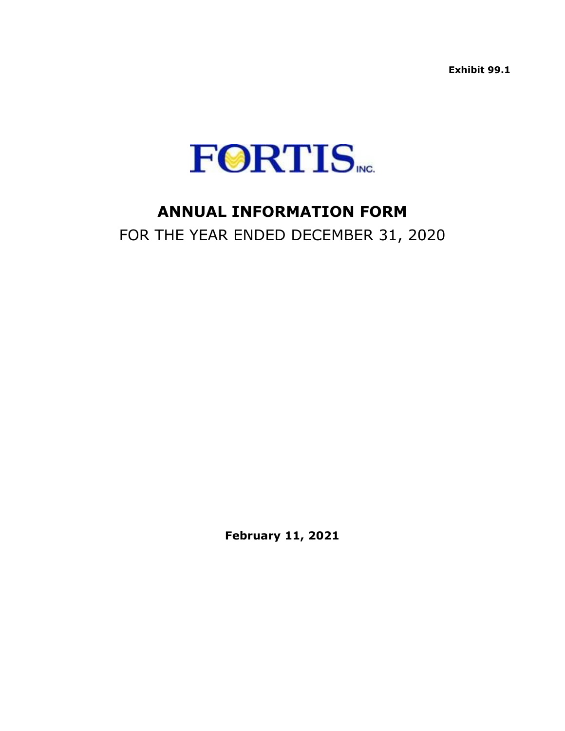**Exhibit 99.1**



# **ANNUAL INFORMATION FORM**

FOR THE YEAR ENDED DECEMBER 31, 2020

**February 11, 2021**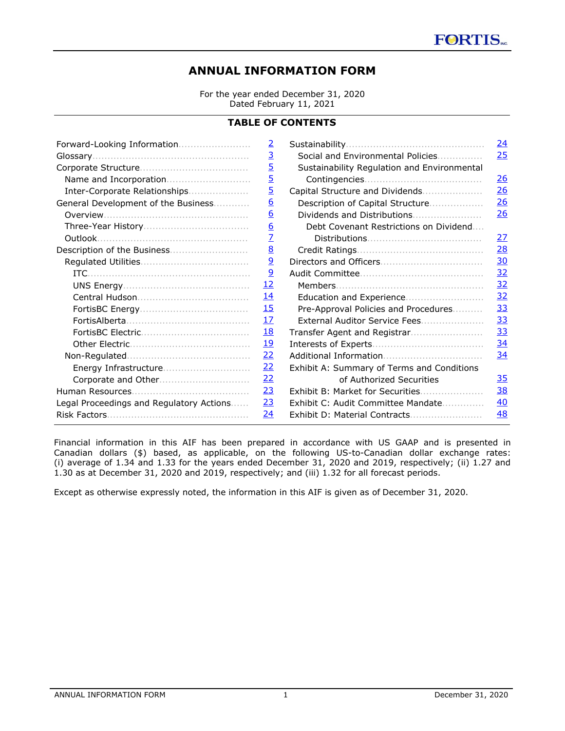# **ANNUAL INFORMATION FORM**

For the year ended December 31, 2020 Dated February 11, 2021

# **TABLE OF CONTENTS**

|                                                                      | $\overline{2}$<br>$\overline{3}$<br>$\overline{5}$<br>$\overline{5}$<br>$\overline{5}$ | Social and Environmental Policies<br>Sustainability Regulation and Environmental | <u>24</u><br>25<br>26<br>26 |
|----------------------------------------------------------------------|----------------------------------------------------------------------------------------|----------------------------------------------------------------------------------|-----------------------------|
| Inter-Corporate Relationships<br>General Development of the Business | $\underline{6}$                                                                        | Capital Structure and Dividends<br>Description of Capital Structure              | 26                          |
|                                                                      | $\underline{6}$                                                                        | Dividends and Distributions                                                      | 26                          |
|                                                                      | $\underline{6}$                                                                        | Debt Covenant Restrictions on Dividend                                           |                             |
|                                                                      | $\overline{Z}$                                                                         |                                                                                  | 27                          |
|                                                                      | $\underline{8}$                                                                        |                                                                                  | 28                          |
|                                                                      | $\overline{9}$                                                                         |                                                                                  | 30                          |
|                                                                      | $\overline{6}$                                                                         |                                                                                  | 32                          |
|                                                                      | <u>12</u>                                                                              | Members                                                                          | 32                          |
|                                                                      | <u> 14</u>                                                                             |                                                                                  | 32                          |
|                                                                      | <u>15</u>                                                                              | Pre-Approval Policies and Procedures                                             | 33                          |
|                                                                      | <u>17</u>                                                                              | External Auditor Service Fees                                                    | 33                          |
|                                                                      | <u> 18</u>                                                                             |                                                                                  | 33                          |
|                                                                      | <u>19</u>                                                                              |                                                                                  | 34                          |
|                                                                      | 22                                                                                     |                                                                                  | 34                          |
| Energy Infrastructure                                                | 22                                                                                     | Exhibit A: Summary of Terms and Conditions                                       |                             |
|                                                                      | 22                                                                                     | of Authorized Securities                                                         | 35                          |
|                                                                      | 23                                                                                     | Exhibit B: Market for Securities                                                 | 38                          |
| Legal Proceedings and Regulatory Actions                             | 23                                                                                     | Exhibit C: Audit Committee Mandate                                               | 40                          |
|                                                                      | 24                                                                                     |                                                                                  | 48                          |

Financial information in this AIF has been prepared in accordance with US GAAP and is presented in Canadian dollars (\$) based, as applicable, on the following US-to-Canadian dollar exchange rates: (i) average of 1.34 and 1.33 for the years ended December 31, 2020 and 2019, respectively; (ii) 1.27 and 1.30 as at December 31, 2020 and 2019, respectively; and (iii) 1.32 for all forecast periods.

Except as otherwise expressly noted, the information in this AIF is given as of December 31, 2020.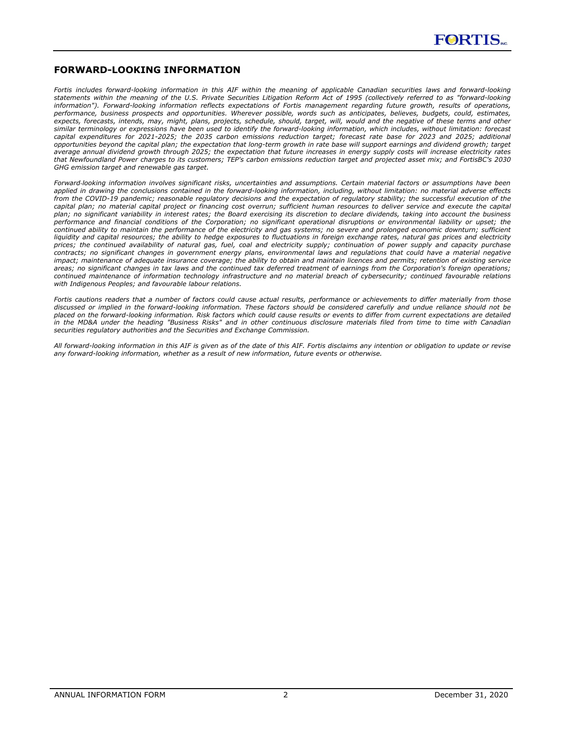

### <span id="page-2-0"></span>**FORWARD-LOOKING INFORMATION**

*Fortis includes forward-looking information in this AIF within the meaning of applicable Canadian securities laws and forward-looking statements within the meaning of the U.S. Private Securities Litigation Reform Act of 1995 (collectively referred to as "forward-looking information"). Forward-looking information reflects expectations of Fortis management regarding future growth, results of operations, performance, business prospects and opportunities. Wherever possible, words such as anticipates, believes, budgets, could, estimates, expects, forecasts, intends, may, might, plans, projects, schedule, should, target, will, would and the negative of these terms and other similar terminology or expressions have been used to identify the forward-looking information, which includes, without limitation: forecast capital expenditures for 2021-2025; the 2035 carbon emissions reduction target; forecast rate base for 2023 and 2025; additional opportunities beyond the capital plan; the expectation that long-term growth in rate base will support earnings and dividend growth; target average annual dividend growth through 2025; the expectation that future increases in energy supply costs will increase electricity rates that Newfoundland Power charges to its customers; TEP's carbon emissions reduction target and projected asset mix; and FortisBC's 2030 GHG emission target and renewable gas target.* 

Forward-looking information involves significant risks, uncertainties and assumptions. Certain material factors or assumptions have been *applied in drawing the conclusions contained in the forward-looking information, including, without limitation: no material adverse effects from the COVID-19 pandemic; reasonable regulatory decisions and the expectation of regulatory stability; the successful execution of the capital plan; no material capital project or financing cost overrun; sufficient human resources to deliver service and execute the capital plan; no significant variability in interest rates; the Board exercising its discretion to declare dividends, taking into account the business performance and financial conditions of the Corporation; no significant operational disruptions or environmental liability or upset; the continued ability to maintain the performance of the electricity and gas systems; no severe and prolonged economic downturn; sufficient liquidity and capital resources; the ability to hedge exposures to fluctuations in foreign exchange rates, natural gas prices and electricity prices; the continued availability of natural gas, fuel, coal and electricity supply; continuation of power supply and capacity purchase contracts; no significant changes in government energy plans, environmental laws and regulations that could have a material negative impact; maintenance of adequate insurance coverage; the ability to obtain and maintain licences and permits; retention of existing service areas; no significant changes in tax laws and the continued tax deferred treatment of earnings from the Corporation's foreign operations; continued maintenance of information technology infrastructure and no material breach of cybersecurity; continued favourable relations with Indigenous Peoples; and favourable labour relations.* 

*Fortis cautions readers that a number of factors could cause actual results, performance or achievements to differ materially from those discussed or implied in the forward-looking information. These factors should be considered carefully and undue reliance should not be placed on the forward-looking information. Risk factors which could cause results or events to differ from current expectations are detailed in the MD&A under the heading "Business Risks" and in other continuous disclosure materials filed from time to time with Canadian securities regulatory authorities and the Securities and Exchange Commission.* 

*All forward-looking information in this AIF is given as of the date of this AIF. Fortis disclaims any intention or obligation to update or revise any forward-looking information, whether as a result of new information, future events or otherwise.*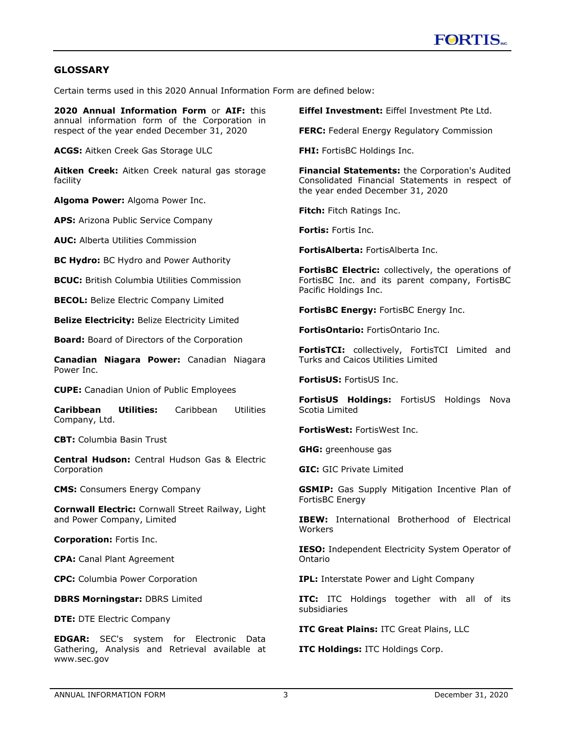# <span id="page-3-0"></span>**GLOSSARY**

Certain terms used in this 2020 Annual Information Form are defined below:

**2020 Annual Information Form** or **AIF:** this annual information form of the Corporation in respect of the year ended December 31, 2020

**ACGS:** Aitken Creek Gas Storage ULC

**Aitken Creek:** Aitken Creek natural gas storage facility

**Algoma Power:** Algoma Power Inc.

**APS:** Arizona Public Service Company

**AUC:** Alberta Utilities Commission

**BC Hydro:** BC Hydro and Power Authority

**BCUC:** British Columbia Utilities Commission

**BECOL:** Belize Electric Company Limited

**Belize Electricity:** Belize Electricity Limited

**Board:** Board of Directors of the Corporation

**Canadian Niagara Power:** Canadian Niagara Power Inc.

**CUPE:** Canadian Union of Public Employees

**Caribbean Utilities:** Caribbean Utilities Company, Ltd.

**CBT:** Columbia Basin Trust

**Central Hudson:** Central Hudson Gas & Electric Corporation

**CMS:** Consumers Energy Company

**Cornwall Electric:** Cornwall Street Railway, Light and Power Company, Limited

**Corporation:** Fortis Inc.

**CPA:** Canal Plant Agreement

**CPC:** Columbia Power Corporation

**DBRS Morningstar:** DBRS Limited

**DTE: DTE Electric Company** 

**EDGAR:** SEC's system for Electronic Data Gathering, Analysis and Retrieval available at www.sec.gov

**Eiffel Investment:** Eiffel Investment Pte Ltd.

**FERC:** Federal Energy Regulatory Commission

**FHI:** FortisBC Holdings Inc.

**Financial Statements:** the Corporation's Audited Consolidated Financial Statements in respect of the year ended December 31, 2020

**Fitch:** Fitch Ratings Inc.

**Fortis:** Fortis Inc.

**FortisAlberta:** FortisAlberta Inc.

**FortisBC Electric:** collectively, the operations of FortisBC Inc. and its parent company, FortisBC Pacific Holdings Inc.

**FortisBC Energy:** FortisBC Energy Inc.

**FortisOntario:** FortisOntario Inc.

**FortisTCI:** collectively, FortisTCI Limited and Turks and Caicos Utilities Limited

**FortisUS:** FortisUS Inc.

**FortisUS Holdings:** FortisUS Holdings Nova Scotia Limited

**FortisWest:** FortisWest Inc.

**GHG:** greenhouse gas

**GIC:** GIC Private Limited

**GSMIP:** Gas Supply Mitigation Incentive Plan of FortisBC Energy

**IBEW:** International Brotherhood of Electrical **Workers** 

**IESO:** Independent Electricity System Operator of Ontario

**IPL:** Interstate Power and Light Company

**ITC:** ITC Holdings together with all of its subsidiaries

**ITC Great Plains:** ITC Great Plains, LLC

**ITC Holdings:** ITC Holdings Corp.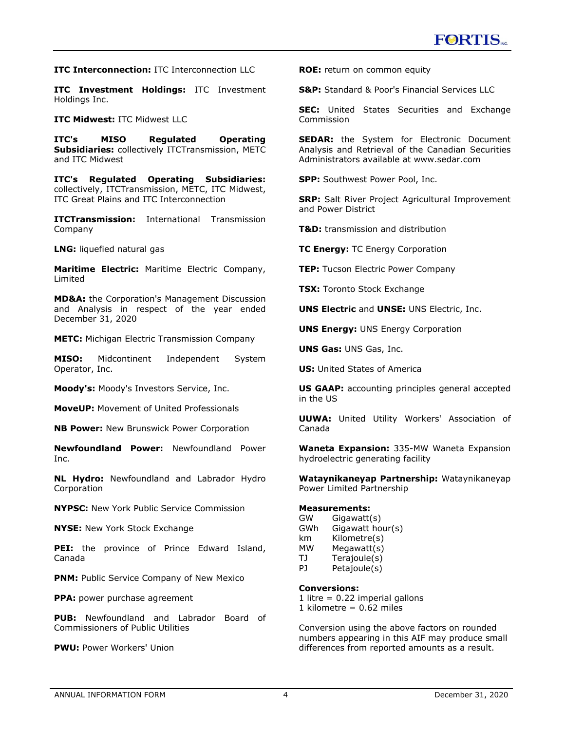**ITC Interconnection:** ITC Interconnection LLC

**ITC Investment Holdings:** ITC Investment Holdings Inc.

**ITC Midwest: ITC Midwest LLC** 

**ITC's MISO Regulated Operating Subsidiaries:** collectively ITCTransmission, METC and ITC Midwest

**ITC's Regulated Operating Subsidiaries:** collectively, ITCTransmission, METC, ITC Midwest, ITC Great Plains and ITC Interconnection

**ITCTransmission:** International Transmission Company

**LNG:** liquefied natural gas

**Maritime Electric:** Maritime Electric Company, Limited

**MD&A:** the Corporation's Management Discussion and Analysis in respect of the year ended December 31, 2020

**METC:** Michigan Electric Transmission Company

**MISO:** Midcontinent Independent System Operator, Inc.

**Moody's:** Moody's Investors Service, Inc.

**MoveUP:** Movement of United Professionals

**NB Power:** New Brunswick Power Corporation

**Newfoundland Power:** Newfoundland Power Inc.

**NL Hydro:** Newfoundland and Labrador Hydro Corporation

**NYPSC:** New York Public Service Commission

**NYSE:** New York Stock Exchange

**PEI:** the province of Prince Edward Island, Canada

**PNM:** Public Service Company of New Mexico

**PPA:** power purchase agreement

**PUB:** Newfoundland and Labrador Board of Commissioners of Public Utilities

**PWU:** Power Workers' Union

**ROE:** return on common equity

**S&P:** Standard & Poor's Financial Services LLC

**SEC:** United States Securities and Exchange Commission

**SEDAR:** the System for Electronic Document Analysis and Retrieval of the Canadian Securities Administrators available at www.sedar.com

**SPP:** Southwest Power Pool, Inc.

**SRP:** Salt River Project Agricultural Improvement and Power District

**T&D:** transmission and distribution

**TC Energy:** TC Energy Corporation

**TEP:** Tucson Electric Power Company

**TSX:** Toronto Stock Exchange

**UNS Electric** and **UNSE:** UNS Electric, Inc.

**UNS Energy:** UNS Energy Corporation

**UNS Gas:** UNS Gas, Inc.

**US:** United States of America

**US GAAP:** accounting principles general accepted in the US

**UUWA:** United Utility Workers' Association of Canada

**Waneta Expansion:** 335-MW Waneta Expansion hydroelectric generating facility

**Wataynikaneyap Partnership:** Wataynikaneyap Power Limited Partnership

#### **Measurements:**

GW Gigawatt(s) GWh Gigawatt hour(s) km Kilometre(s) MW Megawatt(s) TJ Terajoule(s) PJ Petajoule(s)

### **Conversions:**

1 litre  $= 0.22$  imperial gallons 1 kilometre =  $0.62$  miles

Conversion using the above factors on rounded numbers appearing in this AIF may produce small differences from reported amounts as a result.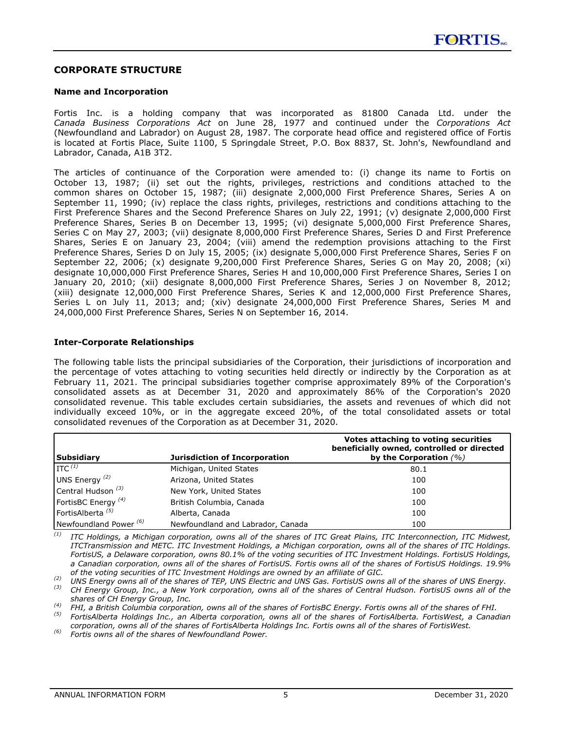### <span id="page-5-0"></span>**CORPORATE STRUCTURE**

#### **Name and Incorporation**

Fortis Inc. is a holding company that was incorporated as 81800 Canada Ltd. under the *Canada Business Corporations Act* on June 28, 1977 and continued under the *Corporations Act* (Newfoundland and Labrador) on August 28, 1987. The corporate head office and registered office of Fortis is located at Fortis Place, Suite 1100, 5 Springdale Street, P.O. Box 8837, St. John's, Newfoundland and Labrador, Canada, A1B 3T2.

The articles of continuance of the Corporation were amended to: (i) change its name to Fortis on October 13, 1987; (ii) set out the rights, privileges, restrictions and conditions attached to the common shares on October 15, 1987; (iii) designate 2,000,000 First Preference Shares, Series A on September 11, 1990; (iv) replace the class rights, privileges, restrictions and conditions attaching to the First Preference Shares and the Second Preference Shares on July 22, 1991; (v) designate 2,000,000 First Preference Shares, Series B on December 13, 1995; (vi) designate 5,000,000 First Preference Shares, Series C on May 27, 2003; (vii) designate 8,000,000 First Preference Shares, Series D and First Preference Shares, Series E on January 23, 2004; (viii) amend the redemption provisions attaching to the First Preference Shares, Series D on July 15, 2005; (ix) designate 5,000,000 First Preference Shares, Series F on September 22, 2006; (x) designate 9,200,000 First Preference Shares, Series G on May 20, 2008; (xi) designate 10,000,000 First Preference Shares, Series H and 10,000,000 First Preference Shares, Series I on January 20, 2010; (xii) designate 8,000,000 First Preference Shares, Series J on November 8, 2012; (xiii) designate 12,000,000 First Preference Shares, Series K and 12,000,000 First Preference Shares, Series L on July 11, 2013; and; (xiv) designate 24,000,000 First Preference Shares, Series M and 24,000,000 First Preference Shares, Series N on September 16, 2014.

### **Inter-Corporate Relationships**

The following table lists the principal subsidiaries of the Corporation, their jurisdictions of incorporation and the percentage of votes attaching to voting securities held directly or indirectly by the Corporation as at February 11, 2021. The principal subsidiaries together comprise approximately 89% of the Corporation's consolidated assets as at December 31, 2020 and approximately 86% of the Corporation's 2020 consolidated revenue. This table excludes certain subsidiaries, the assets and revenues of which did not individually exceed 10%, or in the aggregate exceed 20%, of the total consolidated assets or total consolidated revenues of the Corporation as at December 31, 2020.

| Subsidiary                        | <b>Jurisdiction of Incorporation</b> | Votes attaching to voting securities<br>beneficially owned, controlled or directed<br>by the Corporation $(%)$ |
|-----------------------------------|--------------------------------------|----------------------------------------------------------------------------------------------------------------|
| $\prod$ rc $(1)$                  | Michigan, United States              | 80.1                                                                                                           |
| UNS Energy <sup>(2)</sup>         | Arizona, United States               | 100                                                                                                            |
| Central Hudson <sup>(3)</sup>     | New York, United States              | 100                                                                                                            |
| FortisBC Energy $(4)$             | British Columbia, Canada             | 100                                                                                                            |
| FortisAlberta <sup>(5)</sup>      | Alberta, Canada                      | 100                                                                                                            |
| Newfoundland Power <sup>(6)</sup> | Newfoundland and Labrador, Canada    | 100                                                                                                            |

*(1) ITC Holdings, a Michigan corporation, owns all of the shares of ITC Great Plains, ITC Interconnection, ITC Midwest, ITCTransmission and METC. ITC Investment Holdings, a Michigan corporation, owns all of the shares of ITC Holdings. FortisUS, a Delaware corporation, owns 80.1% of the voting securities of ITC Investment Holdings. FortisUS Holdings, a Canadian corporation, owns all of the shares of FortisUS. Fortis owns all of the shares of FortisUS Holdings. 19.9% of the voting securities of ITC Investment Holdings are owned by an affiliate of GIC.*

*(2) UNS Energy owns all of the shares of TEP, UNS Energy.*<br>*(3) CH Energy owns all of the shares of TEP, UNS Electric and UNS Gas. FortisUS owns all of the shares of UNS Energy.*<br>*(3) CH Energy Group, Inc. a New Yor* 

*(3) CH Energy Group, Inc., a New York corporation, owns all of the shares of Central Hudson. FortisUS owns all of the shares of CH Energy Group, Inc.*

*(4) FHI, a British Columbia corporation, owns all of the shares of FortisBC Energy. Fortis owns all of the shares of FHI. (5) FortisAlberta Holdings Inc., an Alberta corporation, owns all of the shares of FortisAlberta. FortisWest, a Canadian* 

*corporation, owns all of the shares of FortisAlberta Holdings Inc. Fortis owns all of the shares of FortisWest.*

*(6) Fortis owns all of the shares of Newfoundland Power.*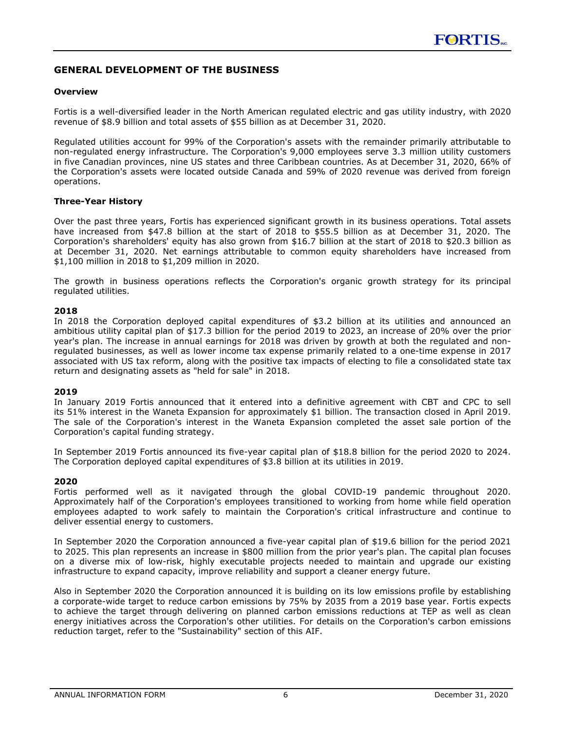# <span id="page-6-0"></span>**GENERAL DEVELOPMENT OF THE BUSINESS**

#### **Overview**

Fortis is a well-diversified leader in the North American regulated electric and gas utility industry, with 2020 revenue of \$8.9 billion and total assets of \$55 billion as at December 31, 2020.

Regulated utilities account for 99% of the Corporation's assets with the remainder primarily attributable to non-regulated energy infrastructure. The Corporation's 9,000 employees serve 3.3 million utility customers in five Canadian provinces, nine US states and three Caribbean countries. As at December 31, 2020, 66% of the Corporation's assets were located outside Canada and 59% of 2020 revenue was derived from foreign operations.

#### **Three-Year History**

Over the past three years, Fortis has experienced significant growth in its business operations. Total assets have increased from \$47.8 billion at the start of 2018 to \$55.5 billion as at December 31, 2020. The Corporation's shareholders' equity has also grown from \$16.7 billion at the start of 2018 to \$20.3 billion as at December 31, 2020. Net earnings attributable to common equity shareholders have increased from \$1,100 million in 2018 to \$1,209 million in 2020.

The growth in business operations reflects the Corporation's organic growth strategy for its principal regulated utilities.

### **2018**

In 2018 the Corporation deployed capital expenditures of \$3.2 billion at its utilities and announced an ambitious utility capital plan of \$17.3 billion for the period 2019 to 2023, an increase of 20% over the prior year's plan. The increase in annual earnings for 2018 was driven by growth at both the regulated and nonregulated businesses, as well as lower income tax expense primarily related to a one-time expense in 2017 associated with US tax reform, along with the positive tax impacts of electing to file a consolidated state tax return and designating assets as "held for sale" in 2018.

#### **2019**

In January 2019 Fortis announced that it entered into a definitive agreement with CBT and CPC to sell its 51% interest in the Waneta Expansion for approximately \$1 billion. The transaction closed in April 2019. The sale of the Corporation's interest in the Waneta Expansion completed the asset sale portion of the Corporation's capital funding strategy.

In September 2019 Fortis announced its five-year capital plan of \$18.8 billion for the period 2020 to 2024. The Corporation deployed capital expenditures of \$3.8 billion at its utilities in 2019.

#### **2020**

Fortis performed well as it navigated through the global COVID-19 pandemic throughout 2020. Approximately half of the Corporation's employees transitioned to working from home while field operation employees adapted to work safely to maintain the Corporation's critical infrastructure and continue to deliver essential energy to customers.

In September 2020 the Corporation announced a five-year capital plan of \$19.6 billion for the period 2021 to 2025. This plan represents an increase in \$800 million from the prior year's plan. The capital plan focuses on a diverse mix of low-risk, highly executable projects needed to maintain and upgrade our existing infrastructure to expand capacity, improve reliability and support a cleaner energy future.

Also in September 2020 the Corporation announced it is building on its low emissions profile by establishing a corporate-wide target to reduce carbon emissions by 75% by 2035 from a 2019 base year. Fortis expects to achieve the target through delivering on planned carbon emissions reductions at TEP as well as clean energy initiatives across the Corporation's other utilities. For details on the Corporation's carbon emissions reduction target, refer to the "Sustainability" section of this AIF.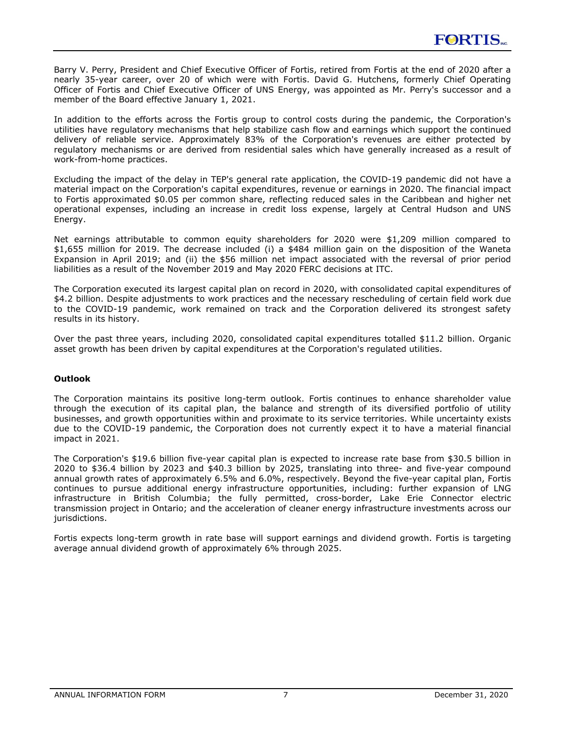<span id="page-7-0"></span>Barry V. Perry, President and Chief Executive Officer of Fortis, retired from Fortis at the end of 2020 after a nearly 35-year career, over 20 of which were with Fortis. David G. Hutchens, formerly Chief Operating Officer of Fortis and Chief Executive Officer of UNS Energy, was appointed as Mr. Perry's successor and a member of the Board effective January 1, 2021.

In addition to the efforts across the Fortis group to control costs during the pandemic, the Corporation's utilities have regulatory mechanisms that help stabilize cash flow and earnings which support the continued delivery of reliable service. Approximately 83% of the Corporation's revenues are either protected by regulatory mechanisms or are derived from residential sales which have generally increased as a result of work-from-home practices.

Excluding the impact of the delay in TEP's general rate application, the COVID-19 pandemic did not have a material impact on the Corporation's capital expenditures, revenue or earnings in 2020. The financial impact to Fortis approximated \$0.05 per common share, reflecting reduced sales in the Caribbean and higher net operational expenses, including an increase in credit loss expense, largely at Central Hudson and UNS Energy.

Net earnings attributable to common equity shareholders for 2020 were \$1,209 million compared to \$1,655 million for 2019. The decrease included (i) a \$484 million gain on the disposition of the Waneta Expansion in April 2019; and (ii) the \$56 million net impact associated with the reversal of prior period liabilities as a result of the November 2019 and May 2020 FERC decisions at ITC.

The Corporation executed its largest capital plan on record in 2020, with consolidated capital expenditures of \$4.2 billion. Despite adjustments to work practices and the necessary rescheduling of certain field work due to the COVID-19 pandemic, work remained on track and the Corporation delivered its strongest safety results in its history.

Over the past three years, including 2020, consolidated capital expenditures totalled \$11.2 billion. Organic asset growth has been driven by capital expenditures at the Corporation's regulated utilities.

### **Outlook**

The Corporation maintains its positive long-term outlook. Fortis continues to enhance shareholder value through the execution of its capital plan, the balance and strength of its diversified portfolio of utility businesses, and growth opportunities within and proximate to its service territories. While uncertainty exists due to the COVID-19 pandemic, the Corporation does not currently expect it to have a material financial impact in 2021.

The Corporation's \$19.6 billion five-year capital plan is expected to increase rate base from \$30.5 billion in 2020 to \$36.4 billion by 2023 and \$40.3 billion by 2025, translating into three- and five-year compound annual growth rates of approximately 6.5% and 6.0%, respectively. Beyond the five-year capital plan, Fortis continues to pursue additional energy infrastructure opportunities, including: further expansion of LNG infrastructure in British Columbia; the fully permitted, cross-border, Lake Erie Connector electric transmission project in Ontario; and the acceleration of cleaner energy infrastructure investments across our jurisdictions.

Fortis expects long-term growth in rate base will support earnings and dividend growth. Fortis is targeting average annual dividend growth of approximately 6% through 2025.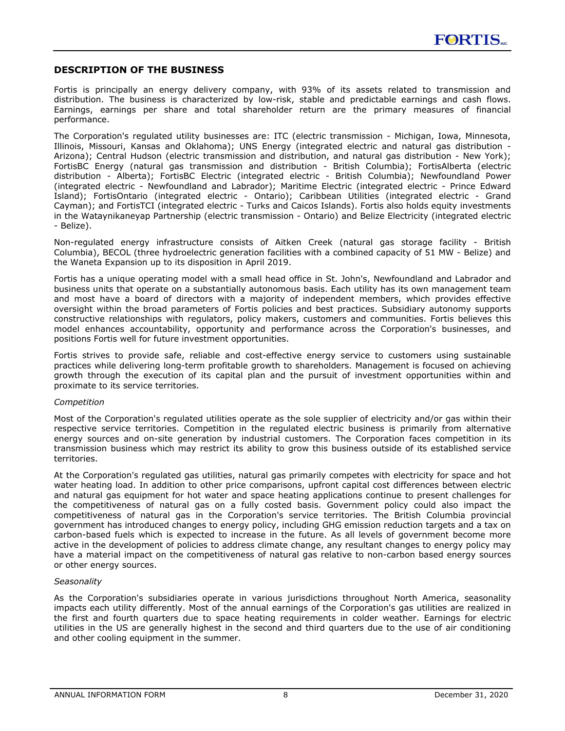### <span id="page-8-0"></span>**DESCRIPTION OF THE BUSINESS**

Fortis is principally an energy delivery company, with 93% of its assets related to transmission and distribution. The business is characterized by low-risk, stable and predictable earnings and cash flows. Earnings, earnings per share and total shareholder return are the primary measures of financial performance.

The Corporation's regulated utility businesses are: ITC (electric transmission - Michigan, Iowa, Minnesota, Illinois, Missouri, Kansas and Oklahoma); UNS Energy (integrated electric and natural gas distribution - Arizona); Central Hudson (electric transmission and distribution, and natural gas distribution - New York); FortisBC Energy (natural gas transmission and distribution - British Columbia); FortisAlberta (electric distribution - Alberta); FortisBC Electric (integrated electric - British Columbia); Newfoundland Power (integrated electric - Newfoundland and Labrador); Maritime Electric (integrated electric - Prince Edward Island); FortisOntario (integrated electric - Ontario); Caribbean Utilities (integrated electric - Grand Cayman); and FortisTCI (integrated electric - Turks and Caicos Islands). Fortis also holds equity investments in the Wataynikaneyap Partnership (electric transmission - Ontario) and Belize Electricity (integrated electric - Belize).

Non-regulated energy infrastructure consists of Aitken Creek (natural gas storage facility - British Columbia), BECOL (three hydroelectric generation facilities with a combined capacity of 51 MW - Belize) and the Waneta Expansion up to its disposition in April 2019.

Fortis has a unique operating model with a small head office in St. John's, Newfoundland and Labrador and business units that operate on a substantially autonomous basis. Each utility has its own management team and most have a board of directors with a majority of independent members, which provides effective oversight within the broad parameters of Fortis policies and best practices. Subsidiary autonomy supports constructive relationships with regulators, policy makers, customers and communities. Fortis believes this model enhances accountability, opportunity and performance across the Corporation's businesses, and positions Fortis well for future investment opportunities.

Fortis strives to provide safe, reliable and cost-effective energy service to customers using sustainable practices while delivering long-term profitable growth to shareholders. Management is focused on achieving growth through the execution of its capital plan and the pursuit of investment opportunities within and proximate to its service territories.

#### *Competition*

Most of the Corporation's regulated utilities operate as the sole supplier of electricity and/or gas within their respective service territories. Competition in the regulated electric business is primarily from alternative energy sources and on-site generation by industrial customers. The Corporation faces competition in its transmission business which may restrict its ability to grow this business outside of its established service territories.

At the Corporation's regulated gas utilities, natural gas primarily competes with electricity for space and hot water heating load. In addition to other price comparisons, upfront capital cost differences between electric and natural gas equipment for hot water and space heating applications continue to present challenges for the competitiveness of natural gas on a fully costed basis. Government policy could also impact the competitiveness of natural gas in the Corporation's service territories. The British Columbia provincial government has introduced changes to energy policy, including GHG emission reduction targets and a tax on carbon-based fuels which is expected to increase in the future. As all levels of government become more active in the development of policies to address climate change, any resultant changes to energy policy may have a material impact on the competitiveness of natural gas relative to non-carbon based energy sources or other energy sources.

#### *Seasonality*

As the Corporation's subsidiaries operate in various jurisdictions throughout North America, seasonality impacts each utility differently. Most of the annual earnings of the Corporation's gas utilities are realized in the first and fourth quarters due to space heating requirements in colder weather. Earnings for electric utilities in the US are generally highest in the second and third quarters due to the use of air conditioning and other cooling equipment in the summer.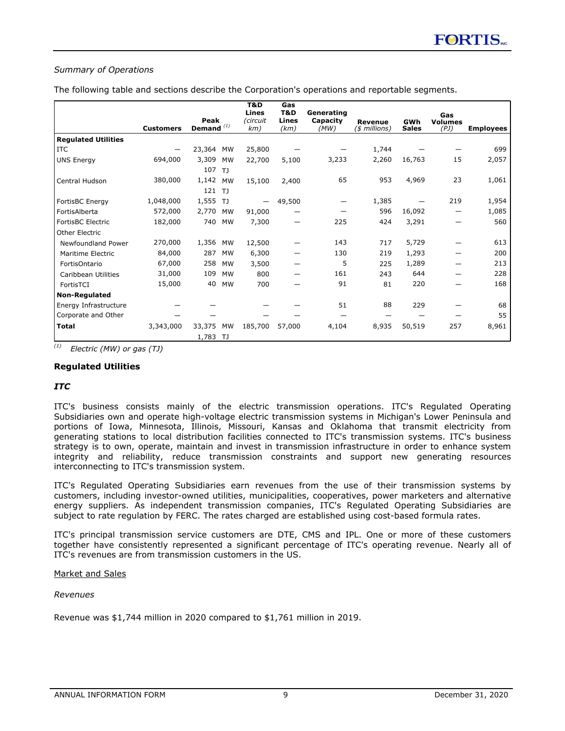### <span id="page-9-0"></span>*Summary of Operations*

The following table and sections describe the Corporation's operations and reportable segments.

|                            |                  |                      |                             | T&D                      | Gas                  |                                |                                 |                     |                               |                  |
|----------------------------|------------------|----------------------|-----------------------------|--------------------------|----------------------|--------------------------------|---------------------------------|---------------------|-------------------------------|------------------|
|                            | <b>Customers</b> | Peak<br>Demand $(1)$ |                             | Lines<br>(circuit<br>km) | T&D<br>Lines<br>(km) | Generating<br>Capacity<br>(MW) | <b>Revenue</b><br>(\$ millions) | GWh<br><b>Sales</b> | Gas<br><b>Volumes</b><br>(PJ) | <b>Employees</b> |
| <b>Regulated Utilities</b> |                  |                      |                             |                          |                      |                                |                                 |                     |                               |                  |
| <b>ITC</b>                 |                  | 23,364               | MW                          | 25,800                   |                      |                                | 1,744                           |                     |                               | 699              |
| <b>UNS Energy</b>          | 694,000          | 3,309<br>107         | <b>MW</b><br>T <sub>J</sub> | 22,700                   | 5,100                | 3,233                          | 2,260                           | 16,763              | 15                            | 2,057            |
| Central Hudson             | 380,000          | 1,142<br>121         | <b>MW</b><br>T <sub>J</sub> | 15,100                   | 2,400                | 65                             | 953                             | 4,969               | 23                            | 1,061            |
| FortisBC Energy            | 1,048,000        | 1,555 TJ             |                             |                          | 49,500               |                                | 1,385                           |                     | 219                           | 1,954            |
| FortisAlberta              | 572,000          | 2,770                | MW                          | 91,000                   |                      |                                | 596                             | 16,092              | —                             | 1,085            |
| FortisBC Electric          | 182,000          | 740                  | <b>MW</b>                   | 7,300                    |                      | 225                            | 424                             | 3,291               |                               | 560              |
| Other Electric             |                  |                      |                             |                          |                      |                                |                                 |                     |                               |                  |
| <b>Newfoundland Power</b>  | 270,000          | 1,356                | MW                          | 12,500                   |                      | 143                            | 717                             | 5,729               |                               | 613              |
| Maritime Electric          | 84,000           | 287                  | <b>MW</b>                   | 6,300                    |                      | 130                            | 219                             | 1,293               |                               | 200              |
| FortisOntario              | 67,000           | 258                  | <b>MW</b>                   | 3,500                    |                      | 5                              | 225                             | 1,289               |                               | 213              |
| Caribbean Utilities        | 31,000           | 109                  | <b>MW</b>                   | 800                      |                      | 161                            | 243                             | 644                 |                               | 228              |
| FortisTCI                  | 15,000           | 40                   | <b>MW</b>                   | 700                      |                      | 91                             | 81                              | 220                 |                               | 168              |
| <b>Non-Regulated</b>       |                  |                      |                             |                          |                      |                                |                                 |                     |                               |                  |
| Energy Infrastructure      |                  |                      |                             |                          |                      | 51                             | 88                              | 229                 |                               | 68               |
| Corporate and Other        |                  |                      |                             |                          |                      |                                |                                 |                     |                               | 55               |
| <b>Total</b>               | 3,343,000        | 33,375<br>1,783      | <b>MW</b><br>- TJ           | 185,700                  | 57,000               | 4,104                          | 8,935                           | 50,519              | 257                           | 8,961            |

*(1) Electric (MW) or gas (TJ)*

#### **Regulated Utilities**

### *ITC*

ITC's business consists mainly of the electric transmission operations. ITC's Regulated Operating Subsidiaries own and operate high-voltage electric transmission systems in Michigan's Lower Peninsula and portions of Iowa, Minnesota, Illinois, Missouri, Kansas and Oklahoma that transmit electricity from generating stations to local distribution facilities connected to ITC's transmission systems. ITC's business strategy is to own, operate, maintain and invest in transmission infrastructure in order to enhance system integrity and reliability, reduce transmission constraints and support new generating resources interconnecting to ITC's transmission system.

ITC's Regulated Operating Subsidiaries earn revenues from the use of their transmission systems by customers, including investor-owned utilities, municipalities, cooperatives, power marketers and alternative energy suppliers. As independent transmission companies, ITC's Regulated Operating Subsidiaries are subject to rate regulation by FERC. The rates charged are established using cost-based formula rates.

ITC's principal transmission service customers are DTE, CMS and IPL. One or more of these customers together have consistently represented a significant percentage of ITC's operating revenue. Nearly all of ITC's revenues are from transmission customers in the US.

### Market and Sales

### *Revenues*

Revenue was \$1,744 million in 2020 compared to \$1,761 million in 2019.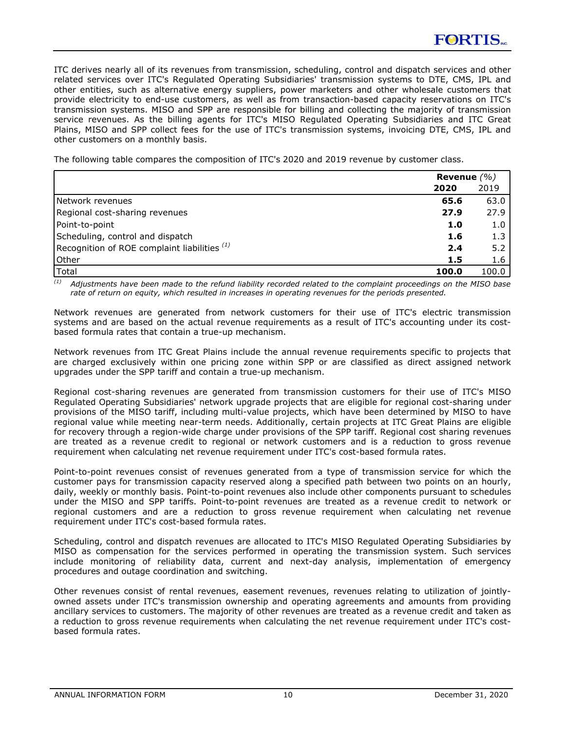ITC derives nearly all of its revenues from transmission, scheduling, control and dispatch services and other related services over ITC's Regulated Operating Subsidiaries' transmission systems to DTE, CMS, IPL and other entities, such as alternative energy suppliers, power marketers and other wholesale customers that provide electricity to end-use customers, as well as from transaction-based capacity reservations on ITC's transmission systems. MISO and SPP are responsible for billing and collecting the majority of transmission service revenues. As the billing agents for ITC's MISO Regulated Operating Subsidiaries and ITC Great Plains, MISO and SPP collect fees for the use of ITC's transmission systems, invoicing DTE, CMS, IPL and other customers on a monthly basis.

The following table compares the composition of ITC's 2020 and 2019 revenue by customer class.

|                                                | Revenue $(\% )$ |       |
|------------------------------------------------|-----------------|-------|
|                                                | 2020            | 2019  |
| <b>INetwork revenues</b>                       | 65.6            | 63.0  |
| Regional cost-sharing revenues                 | 27.9            | 27.9  |
| Point-to-point                                 | 1.0             | 1.0   |
| Scheduling, control and dispatch               | 1.6             | 1.3   |
| Recognition of ROE complaint liabilities $(1)$ | 2.4             | 5.2   |
| Other                                          | 1.5             | 1.6   |
| Total                                          | 100.0           | 100.0 |

*(1) Adjustments have been made to the refund liability recorded related to the complaint proceedings on the MISO base rate of return on equity, which resulted in increases in operating revenues for the periods presented.*

Network revenues are generated from network customers for their use of ITC's electric transmission systems and are based on the actual revenue requirements as a result of ITC's accounting under its costbased formula rates that contain a true-up mechanism.

Network revenues from ITC Great Plains include the annual revenue requirements specific to projects that are charged exclusively within one pricing zone within SPP or are classified as direct assigned network upgrades under the SPP tariff and contain a true-up mechanism.

Regional cost-sharing revenues are generated from transmission customers for their use of ITC's MISO Regulated Operating Subsidiaries' network upgrade projects that are eligible for regional cost-sharing under provisions of the MISO tariff, including multi-value projects, which have been determined by MISO to have regional value while meeting near-term needs. Additionally, certain projects at ITC Great Plains are eligible for recovery through a region-wide charge under provisions of the SPP tariff. Regional cost sharing revenues are treated as a revenue credit to regional or network customers and is a reduction to gross revenue requirement when calculating net revenue requirement under ITC's cost-based formula rates.

Point-to-point revenues consist of revenues generated from a type of transmission service for which the customer pays for transmission capacity reserved along a specified path between two points on an hourly, daily, weekly or monthly basis. Point-to-point revenues also include other components pursuant to schedules under the MISO and SPP tariffs. Point-to-point revenues are treated as a revenue credit to network or regional customers and are a reduction to gross revenue requirement when calculating net revenue requirement under ITC's cost-based formula rates.

Scheduling, control and dispatch revenues are allocated to ITC's MISO Regulated Operating Subsidiaries by MISO as compensation for the services performed in operating the transmission system. Such services include monitoring of reliability data, current and next-day analysis, implementation of emergency procedures and outage coordination and switching.

Other revenues consist of rental revenues, easement revenues, revenues relating to utilization of jointlyowned assets under ITC's transmission ownership and operating agreements and amounts from providing ancillary services to customers. The majority of other revenues are treated as a revenue credit and taken as a reduction to gross revenue requirements when calculating the net revenue requirement under ITC's costbased formula rates.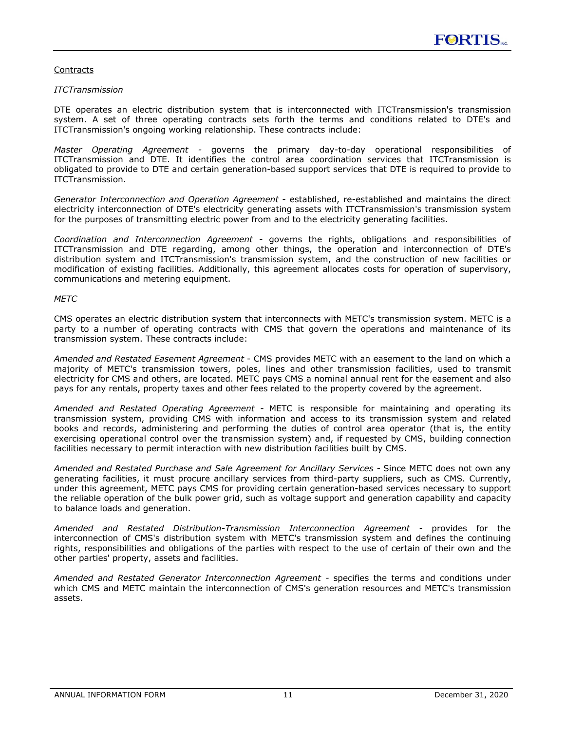### **Contracts**

#### *ITCTransmission*

DTE operates an electric distribution system that is interconnected with ITCTransmission's transmission system. A set of three operating contracts sets forth the terms and conditions related to DTE's and ITCTransmission's ongoing working relationship. These contracts include:

*Master Operating Agreement -* governs the primary day-to-day operational responsibilities of ITCTransmission and DTE. It identifies the control area coordination services that ITCTransmission is obligated to provide to DTE and certain generation-based support services that DTE is required to provide to ITCTransmission.

*Generator Interconnection and Operation Agreement* - established, re-established and maintains the direct electricity interconnection of DTE's electricity generating assets with ITCTransmission's transmission system for the purposes of transmitting electric power from and to the electricity generating facilities.

*Coordination and Interconnection Agreement -* governs the rights, obligations and responsibilities of ITCTransmission and DTE regarding, among other things, the operation and interconnection of DTE's distribution system and ITCTransmission's transmission system, and the construction of new facilities or modification of existing facilities. Additionally, this agreement allocates costs for operation of supervisory, communications and metering equipment.

### *METC*

CMS operates an electric distribution system that interconnects with METC's transmission system. METC is a party to a number of operating contracts with CMS that govern the operations and maintenance of its transmission system. These contracts include:

*Amended and Restated Easement Agreement* - CMS provides METC with an easement to the land on which a majority of METC's transmission towers, poles, lines and other transmission facilities, used to transmit electricity for CMS and others, are located. METC pays CMS a nominal annual rent for the easement and also pays for any rentals, property taxes and other fees related to the property covered by the agreement.

*Amended and Restated Operating Agreement -* METC is responsible for maintaining and operating its transmission system, providing CMS with information and access to its transmission system and related books and records, administering and performing the duties of control area operator (that is, the entity exercising operational control over the transmission system) and, if requested by CMS, building connection facilities necessary to permit interaction with new distribution facilities built by CMS.

*Amended and Restated Purchase and Sale Agreement for Ancillary Services -* Since METC does not own any generating facilities, it must procure ancillary services from third-party suppliers, such as CMS. Currently, under this agreement, METC pays CMS for providing certain generation-based services necessary to support the reliable operation of the bulk power grid, such as voltage support and generation capability and capacity to balance loads and generation.

*Amended and Restated Distribution-Transmission Interconnection Agreement -* provides for the interconnection of CMS's distribution system with METC's transmission system and defines the continuing rights, responsibilities and obligations of the parties with respect to the use of certain of their own and the other parties' property, assets and facilities.

*Amended and Restated Generator Interconnection Agreement -* specifies the terms and conditions under which CMS and METC maintain the interconnection of CMS's generation resources and METC's transmission assets.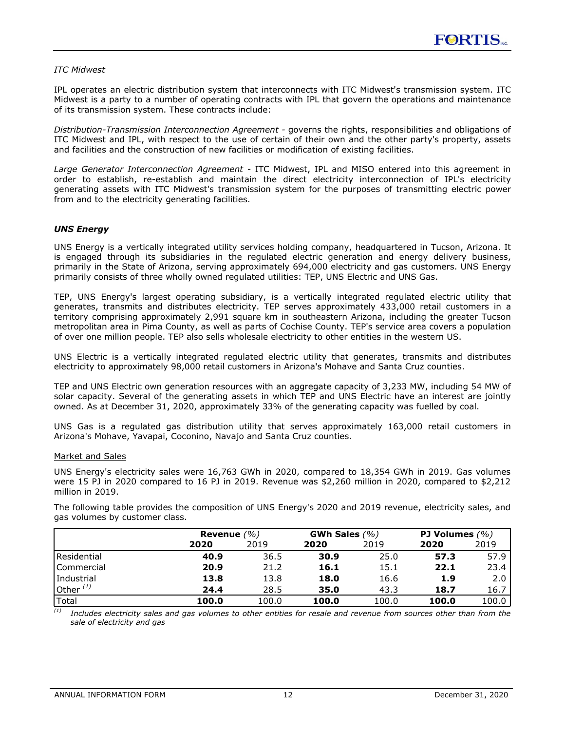### <span id="page-12-0"></span>*ITC Midwest*

IPL operates an electric distribution system that interconnects with ITC Midwest's transmission system. ITC Midwest is a party to a number of operating contracts with IPL that govern the operations and maintenance of its transmission system. These contracts include:

*Distribution-Transmission Interconnection Agreement -* governs the rights, responsibilities and obligations of ITC Midwest and IPL, with respect to the use of certain of their own and the other party's property, assets and facilities and the construction of new facilities or modification of existing facilities.

*Large Generator Interconnection Agreement -* ITC Midwest, IPL and MISO entered into this agreement in order to establish, re-establish and maintain the direct electricity interconnection of IPL's electricity generating assets with ITC Midwest's transmission system for the purposes of transmitting electric power from and to the electricity generating facilities.

### *UNS Energy*

UNS Energy is a vertically integrated utility services holding company, headquartered in Tucson, Arizona. It is engaged through its subsidiaries in the regulated electric generation and energy delivery business, primarily in the State of Arizona, serving approximately 694,000 electricity and gas customers. UNS Energy primarily consists of three wholly owned regulated utilities: TEP, UNS Electric and UNS Gas.

TEP, UNS Energy's largest operating subsidiary, is a vertically integrated regulated electric utility that generates, transmits and distributes electricity. TEP serves approximately 433,000 retail customers in a territory comprising approximately 2,991 square km in southeastern Arizona, including the greater Tucson metropolitan area in Pima County, as well as parts of Cochise County. TEP's service area covers a population of over one million people. TEP also sells wholesale electricity to other entities in the western US.

UNS Electric is a vertically integrated regulated electric utility that generates, transmits and distributes electricity to approximately 98,000 retail customers in Arizona's Mohave and Santa Cruz counties.

TEP and UNS Electric own generation resources with an aggregate capacity of 3,233 MW, including 54 MW of solar capacity. Several of the generating assets in which TEP and UNS Electric have an interest are jointly owned. As at December 31, 2020, approximately 33% of the generating capacity was fuelled by coal.

UNS Gas is a regulated gas distribution utility that serves approximately 163,000 retail customers in Arizona's Mohave, Yavapai, Coconino, Navajo and Santa Cruz counties.

#### Market and Sales

UNS Energy's electricity sales were 16,763 GWh in 2020, compared to 18,354 GWh in 2019. Gas volumes were 15 PJ in 2020 compared to 16 PJ in 2019. Revenue was \$2,260 million in 2020, compared to \$2,212 million in 2019.

The following table provides the composition of UNS Energy's 2020 and 2019 revenue, electricity sales, and gas volumes by customer class.

|                |       | Revenue $(\% )$ |       | GWh Sales $(%)$ |       | <b>PJ Volumes</b> $(% )$ |  |
|----------------|-------|-----------------|-------|-----------------|-------|--------------------------|--|
|                | 2020  | 2019            | 2020  | 2019            | 2020  | 2019                     |  |
| l Residential  | 40.9  | 36.5            | 30.9  | 25.0            | 57.3  | 57.9 l                   |  |
| Commercial     | 20.9  | 21.2            | 16.1  | 15.1            | 22.1  | $23.4 \;$                |  |
| l Industrial   | 13.8  | 13.8            | 18.0  | 16.6            | 1.9   | 2.01                     |  |
| Other $^{(1)}$ | 24.4  | 28.5            | 35.0  | 43.3            | 18.7  | $16.7 \mid$              |  |
| Total          | 100.0 | 100.0           | 100.0 | 100.0           | 100.0 | 100.0                    |  |

*(1) Includes electricity sales and gas volumes to other entities for resale and revenue from sources other than from the sale of electricity and gas*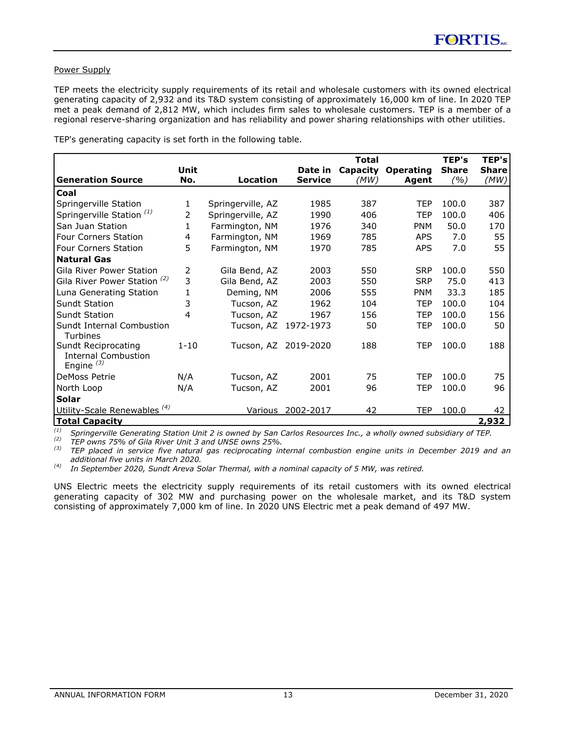### Power Supply

TEP meets the electricity supply requirements of its retail and wholesale customers with its owned electrical generating capacity of 2,932 and its T&D system consisting of approximately 16,000 km of line. In 2020 TEP met a peak demand of 2,812 MW, which includes firm sales to wholesale customers. TEP is a member of a regional reserve-sharing organization and has reliability and power sharing relationships with other utilities.

|                                                                   |          |                   |                      | <b>Total</b> |                  | TEP's        | TEP's        |
|-------------------------------------------------------------------|----------|-------------------|----------------------|--------------|------------------|--------------|--------------|
|                                                                   | Unit     |                   | Date in              | Capacity     | <b>Operating</b> | <b>Share</b> | <b>Share</b> |
| <b>Generation Source</b>                                          | No.      | Location          | <b>Service</b>       | (MW)         | Agent            | (%)          | (MW)         |
| Coal                                                              |          |                   |                      |              |                  |              |              |
| Springerville Station                                             | 1        | Springerville, AZ | 1985                 | 387          | <b>TEP</b>       | 100.0        | 387          |
| Springerville Station <sup>(1)</sup>                              | 2        | Springerville, AZ | 1990                 | 406          | TEP              | 100.0        | 406          |
| San Juan Station                                                  | 1        | Farmington, NM    | 1976                 | 340          | <b>PNM</b>       | 50.0         | 170          |
| Four Corners Station                                              | 4        | Farmington, NM    | 1969                 | 785          | <b>APS</b>       | 7.0          | 55           |
| <b>Four Corners Station</b>                                       | 5        | Farmington, NM    | 1970                 | 785          | <b>APS</b>       | 7.0          | 55           |
| <b>Natural Gas</b>                                                |          |                   |                      |              |                  |              |              |
| Gila River Power Station                                          | 2        | Gila Bend, AZ     | 2003                 | 550          | <b>SRP</b>       | 100.0        | 550          |
| Gila River Power Station <sup>(2)</sup>                           | 3        | Gila Bend, AZ     | 2003                 | 550          | <b>SRP</b>       | 75.0         | 413          |
| Luna Generating Station                                           | 1        | Deming, NM        | 2006                 | 555          | <b>PNM</b>       | 33.3         | 185          |
| <b>Sundt Station</b>                                              | 3        | Tucson, AZ        | 1962                 | 104          | <b>TEP</b>       | 100.0        | 104          |
| <b>Sundt Station</b>                                              | 4        | Tucson, AZ        | 1967                 | 156          | TEP              | 100.0        | 156          |
| Sundt Internal Combustion<br>Turbines                             |          |                   | Tucson, AZ 1972-1973 | 50           | TEP              | 100.0        | 50           |
| Sundt Reciprocating<br><b>Internal Combustion</b><br>Engine $(3)$ | $1 - 10$ |                   | Tucson, AZ 2019-2020 | 188          | <b>TEP</b>       | 100.0        | 188          |
| DeMoss Petrie                                                     | N/A      | Tucson, AZ        | 2001                 | 75           | TEP              | 100.0        | 75           |
| North Loop                                                        | N/A      | Tucson, AZ        | 2001                 | 96           | TEP              | 100.0        | 96           |
| <b>Solar</b>                                                      |          |                   |                      |              |                  |              |              |
| Utility-Scale Renewables <sup>(4)</sup>                           |          |                   | Various 2002-2017    | 42           | <b>TEP</b>       | 100.0        | 42           |
| <b>Total Capacity</b>                                             |          |                   |                      |              |                  |              | 2,932        |

TEP's generating capacity is set forth in the following table.

*(1) Springerville Generating Station Unit 2 is owned by San Carlos Resources Inc., a wholly owned subsidiary of TEP.*

*(2) TEP owns 75% of Gila River Unit 3 and UNSE owns 25%.*

*(3) TEP placed in service five natural gas reciprocating internal combustion engine units in December 2019 and an additional five units in March 2020.*

*(4) In September 2020, Sundt Areva Solar Thermal, with a nominal capacity of 5 MW, was retired.* 

UNS Electric meets the electricity supply requirements of its retail customers with its owned electrical generating capacity of 302 MW and purchasing power on the wholesale market, and its T&D system consisting of approximately 7,000 km of line. In 2020 UNS Electric met a peak demand of 497 MW.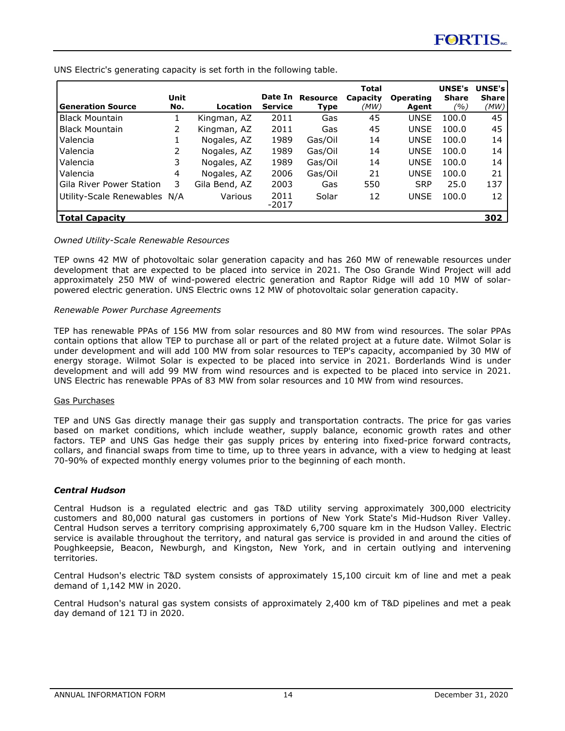**Generation Source Unit No. Location Date In Resource Service Type Total Capacity**  *(MW)* **Operating Agent UNSE's UNSE's Share**  *(%)* **Share** *(MW)* Black Mountain 1 Kingman, AZ 2011 Gas 45 UNSE 100.0 45 Black Mountain 2 Kingman, AZ 2011 Gas 45 UNSE 100.0 45 Valencia 1 Nogales, AZ 1989 Gas/Oil 14 UNSE 100.0 14 Valencia 2 Nogales, AZ 1989 Gas/Oil 14 UNSE 100.0 14 Valencia 3 Nogales, AZ 1989 Gas/Oil 14 UNSE 100.0 14 Valencia 4 Nogales, AZ 2006 Gas/Oil 21 UNSE 100.0 21 Gila River Power Station 3 Gila Bend, AZ 2003 Gas 550 SRP 25.0 137 Utility-Scale Renewables N/A Various 2011 -2017 Solar 12 UNSE 100.0 12 **Total Capacity 302** 

<span id="page-14-0"></span>UNS Electric's generating capacity is set forth in the following table.

#### *Owned Utility-Scale Renewable Resources*

TEP owns 42 MW of photovoltaic solar generation capacity and has 260 MW of renewable resources under development that are expected to be placed into service in 2021. The Oso Grande Wind Project will add approximately 250 MW of wind-powered electric generation and Raptor Ridge will add 10 MW of solarpowered electric generation. UNS Electric owns 12 MW of photovoltaic solar generation capacity.

#### *Renewable Power Purchase Agreements*

TEP has renewable PPAs of 156 MW from solar resources and 80 MW from wind resources. The solar PPAs contain options that allow TEP to purchase all or part of the related project at a future date. Wilmot Solar is under development and will add 100 MW from solar resources to TEP's capacity, accompanied by 30 MW of energy storage. Wilmot Solar is expected to be placed into service in 2021. Borderlands Wind is under development and will add 99 MW from wind resources and is expected to be placed into service in 2021. UNS Electric has renewable PPAs of 83 MW from solar resources and 10 MW from wind resources.

#### Gas Purchases

TEP and UNS Gas directly manage their gas supply and transportation contracts. The price for gas varies based on market conditions, which include weather, supply balance, economic growth rates and other factors. TEP and UNS Gas hedge their gas supply prices by entering into fixed-price forward contracts, collars, and financial swaps from time to time, up to three years in advance, with a view to hedging at least 70-90% of expected monthly energy volumes prior to the beginning of each month.

#### *Central Hudson*

Central Hudson is a regulated electric and gas T&D utility serving approximately 300,000 electricity customers and 80,000 natural gas customers in portions of New York State's Mid-Hudson River Valley. Central Hudson serves a territory comprising approximately 6,700 square km in the Hudson Valley. Electric service is available throughout the territory, and natural gas service is provided in and around the cities of Poughkeepsie, Beacon, Newburgh, and Kingston, New York, and in certain outlying and intervening territories.

Central Hudson's electric T&D system consists of approximately 15,100 circuit km of line and met a peak demand of 1,142 MW in 2020.

Central Hudson's natural gas system consists of approximately 2,400 km of T&D pipelines and met a peak day demand of 121 TJ in 2020.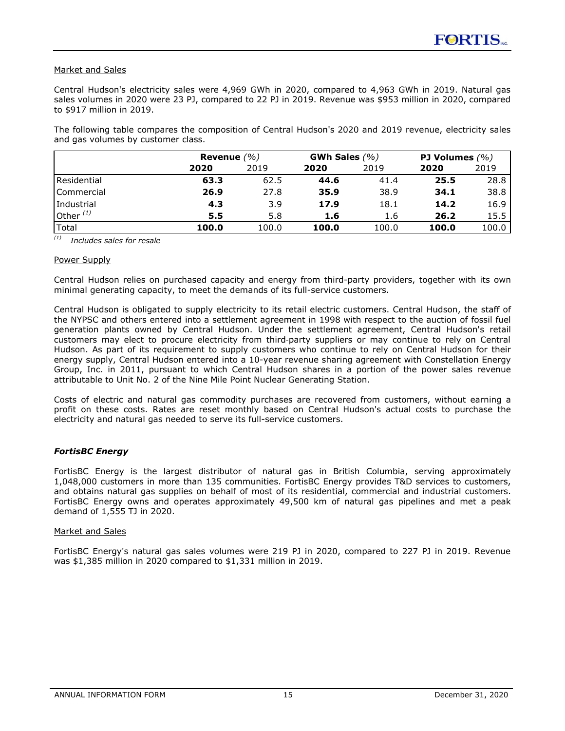### <span id="page-15-0"></span>Market and Sales

Central Hudson's electricity sales were 4,969 GWh in 2020, compared to 4,963 GWh in 2019. Natural gas sales volumes in 2020 were 23 PJ, compared to 22 PJ in 2019. Revenue was \$953 million in 2020, compared to \$917 million in 2019.

The following table compares the composition of Central Hudson's 2020 and 2019 revenue, electricity sales and gas volumes by customer class.

|                |       | Revenue $(\% )$ |       | GWh Sales $(% )$ |       | <b>PJ Volumes</b> $(%)$ |  |
|----------------|-------|-----------------|-------|------------------|-------|-------------------------|--|
|                | 2020  | 2019            | 2020  | 2019             | 2020  | 2019                    |  |
| l Residential  | 63.3  | 62.5            | 44.6  | 41.4             | 25.5  | 28.8                    |  |
| Commercial     | 26.9  | 27.8            | 35.9  | 38.9             | 34.1  | 38.8                    |  |
| l Industrial   | 4.3   | 3.9             | 17.9  | 18.1             | 14.2  | 16.9                    |  |
| Other $^{(1)}$ | 5.5   | 5.8             | 1.6   | 1.6              | 26.2  | 15.5                    |  |
| Total          | 100.0 | 100.0           | 100.0 | 100.0            | 100.0 | 100.0                   |  |

*(1) Includes sales for resale*

#### Power Supply

Central Hudson relies on purchased capacity and energy from third-party providers, together with its own minimal generating capacity, to meet the demands of its full-service customers.

Central Hudson is obligated to supply electricity to its retail electric customers. Central Hudson, the staff of the NYPSC and others entered into a settlement agreement in 1998 with respect to the auction of fossil fuel generation plants owned by Central Hudson. Under the settlement agreement, Central Hudson's retail customers may elect to procure electricity from third-party suppliers or may continue to rely on Central Hudson. As part of its requirement to supply customers who continue to rely on Central Hudson for their energy supply, Central Hudson entered into a 10-year revenue sharing agreement with Constellation Energy Group, Inc. in 2011, pursuant to which Central Hudson shares in a portion of the power sales revenue attributable to Unit No. 2 of the Nine Mile Point Nuclear Generating Station.

Costs of electric and natural gas commodity purchases are recovered from customers, without earning a profit on these costs. Rates are reset monthly based on Central Hudson's actual costs to purchase the electricity and natural gas needed to serve its full-service customers.

### *FortisBC Energy*

FortisBC Energy is the largest distributor of natural gas in British Columbia, serving approximately 1,048,000 customers in more than 135 communities. FortisBC Energy provides T&D services to customers, and obtains natural gas supplies on behalf of most of its residential, commercial and industrial customers. FortisBC Energy owns and operates approximately 49,500 km of natural gas pipelines and met a peak demand of 1,555 TJ in 2020.

#### Market and Sales

FortisBC Energy's natural gas sales volumes were 219 PJ in 2020, compared to 227 PJ in 2019. Revenue was \$1,385 million in 2020 compared to \$1,331 million in 2019.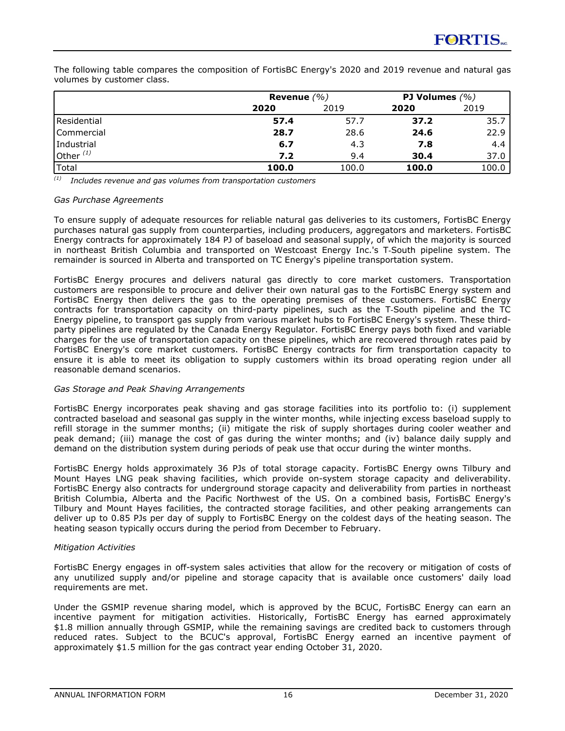The following table compares the composition of FortisBC Energy's 2020 and 2019 revenue and natural gas volumes by customer class.

|                   |       | Revenue $(\% )$ |       |       |
|-------------------|-------|-----------------|-------|-------|
|                   | 2020  | 2019            | 2020  | 2019  |
| Residential       | 57.4  | 57.7            | 37.2  | 35.7  |
| <b>Commercial</b> | 28.7  | 28.6            | 24.6  | 22.9  |
| Industrial        | 6.7   | 4.3             | 7.8   | 4.4   |
| Other $(1)$       | 7.2   | 9.4             | 30.4  | 37.0  |
| Total             | 100.0 | 100.0           | 100.0 | 100.0 |

*(1) Includes revenue and gas volumes from transportation customers*

### *Gas Purchase Agreements*

To ensure supply of adequate resources for reliable natural gas deliveries to its customers, FortisBC Energy purchases natural gas supply from counterparties, including producers, aggregators and marketers. FortisBC Energy contracts for approximately 184 PJ of baseload and seasonal supply, of which the majority is sourced in northeast British Columbia and transported on Westcoast Energy Inc.'s T‑South pipeline system. The remainder is sourced in Alberta and transported on TC Energy's pipeline transportation system.

FortisBC Energy procures and delivers natural gas directly to core market customers. Transportation customers are responsible to procure and deliver their own natural gas to the FortisBC Energy system and FortisBC Energy then delivers the gas to the operating premises of these customers. FortisBC Energy contracts for transportation capacity on third-party pipelines, such as the T-South pipeline and the TC Energy pipeline, to transport gas supply from various market hubs to FortisBC Energy's system. These thirdparty pipelines are regulated by the Canada Energy Regulator. FortisBC Energy pays both fixed and variable charges for the use of transportation capacity on these pipelines, which are recovered through rates paid by FortisBC Energy's core market customers. FortisBC Energy contracts for firm transportation capacity to ensure it is able to meet its obligation to supply customers within its broad operating region under all reasonable demand scenarios.

### *Gas Storage and Peak Shaving Arrangements*

FortisBC Energy incorporates peak shaving and gas storage facilities into its portfolio to: (i) supplement contracted baseload and seasonal gas supply in the winter months, while injecting excess baseload supply to refill storage in the summer months; (ii) mitigate the risk of supply shortages during cooler weather and peak demand; (iii) manage the cost of gas during the winter months; and (iv) balance daily supply and demand on the distribution system during periods of peak use that occur during the winter months.

FortisBC Energy holds approximately 36 PJs of total storage capacity. FortisBC Energy owns Tilbury and Mount Hayes LNG peak shaving facilities, which provide on-system storage capacity and deliverability. FortisBC Energy also contracts for underground storage capacity and deliverability from parties in northeast British Columbia, Alberta and the Pacific Northwest of the US. On a combined basis, FortisBC Energy's Tilbury and Mount Hayes facilities, the contracted storage facilities, and other peaking arrangements can deliver up to 0.85 PJs per day of supply to FortisBC Energy on the coldest days of the heating season. The heating season typically occurs during the period from December to February.

#### *Mitigation Activities*

FortisBC Energy engages in off-system sales activities that allow for the recovery or mitigation of costs of any unutilized supply and/or pipeline and storage capacity that is available once customers' daily load requirements are met.

Under the GSMIP revenue sharing model, which is approved by the BCUC, FortisBC Energy can earn an incentive payment for mitigation activities. Historically, FortisBC Energy has earned approximately \$1.8 million annually through GSMIP, while the remaining savings are credited back to customers through reduced rates. Subject to the BCUC's approval, FortisBC Energy earned an incentive payment of approximately \$1.5 million for the gas contract year ending October 31, 2020.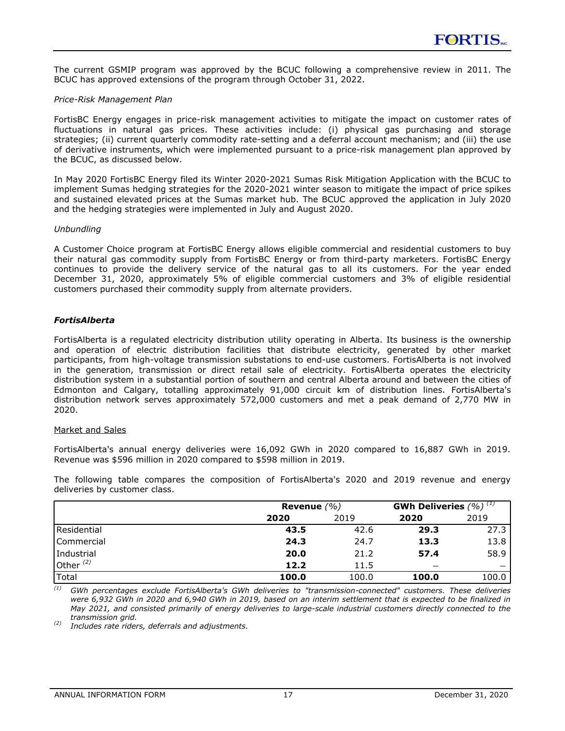<span id="page-17-0"></span>The current GSMIP program was approved by the BCUC following a comprehensive review in 2011. The BCUC has approved extensions of the program through October 31, 2022.

#### *Price-Risk Management Plan*

FortisBC Energy engages in price-risk management activities to mitigate the impact on customer rates of fluctuations in natural gas prices. These activities include: (i) physical gas purchasing and storage strategies; (ii) current quarterly commodity rate-setting and a deferral account mechanism; and (iii) the use of derivative instruments, which were implemented pursuant to a price-risk management plan approved by the BCUC, as discussed below.

In May 2020 FortisBC Energy filed its Winter 2020-2021 Sumas Risk Mitigation Application with the BCUC to implement Sumas hedging strategies for the 2020-2021 winter season to mitigate the impact of price spikes and sustained elevated prices at the Sumas market hub. The BCUC approved the application in July 2020 and the hedging strategies were implemented in July and August 2020.

### *Unbundling*

A Customer Choice program at FortisBC Energy allows eligible commercial and residential customers to buy their natural gas commodity supply from FortisBC Energy or from third-party marketers. FortisBC Energy continues to provide the delivery service of the natural gas to all its customers. For the year ended December 31, 2020, approximately 5% of eligible commercial customers and 3% of eligible residential customers purchased their commodity supply from alternate providers.

### *FortisAlberta*

FortisAlberta is a regulated electricity distribution utility operating in Alberta. Its business is the ownership and operation of electric distribution facilities that distribute electricity, generated by other market participants, from high-voltage transmission substations to end-use customers. FortisAlberta is not involved in the generation, transmission or direct retail sale of electricity. FortisAlberta operates the electricity distribution system in a substantial portion of southern and central Alberta around and between the cities of Edmonton and Calgary, totalling approximately 91,000 circuit km of distribution lines. FortisAlberta's distribution network serves approximately 572,000 customers and met a peak demand of 2,770 MW in 2020.

#### Market and Sales

FortisAlberta's annual energy deliveries were 16,092 GWh in 2020 compared to 16,887 GWh in 2019. Revenue was \$596 million in 2020 compared to \$598 million in 2019.

The following table compares the composition of FortisAlberta's 2020 and 2019 revenue and energy deliveries by customer class.

|                      | Revenue $(\% )$ | GWh Deliveries $(%)$ <sup>(1)</sup> |       |       |
|----------------------|-----------------|-------------------------------------|-------|-------|
|                      | 2020            | 2019                                | 2020  | 2019  |
| <b>I</b> Residential | 43.5            | 42.6                                | 29.3  | 27.3  |
| Commercial           | 24.3            | 24.7                                | 13.3  | 13.8  |
| Industrial           | 20.0            | 21.2                                | 57.4  | 58.9  |
| Other $^{(2)}$       | 12.2            | 11.5                                | –     |       |
| 'Total               | 100.0           | 100.0                               | 100.0 | 100.0 |

*(1) GWh percentages exclude FortisAlberta's GWh deliveries to "transmission-connected" customers. These deliveries were 6,932 GWh in 2020 and 6,940 GWh in 2019, based on an interim settlement that is expected to be finalized in May 2021, and consisted primarily of energy deliveries to large-scale industrial customers directly connected to the transmission grid.*

*(2) Includes rate riders, deferrals and adjustments.*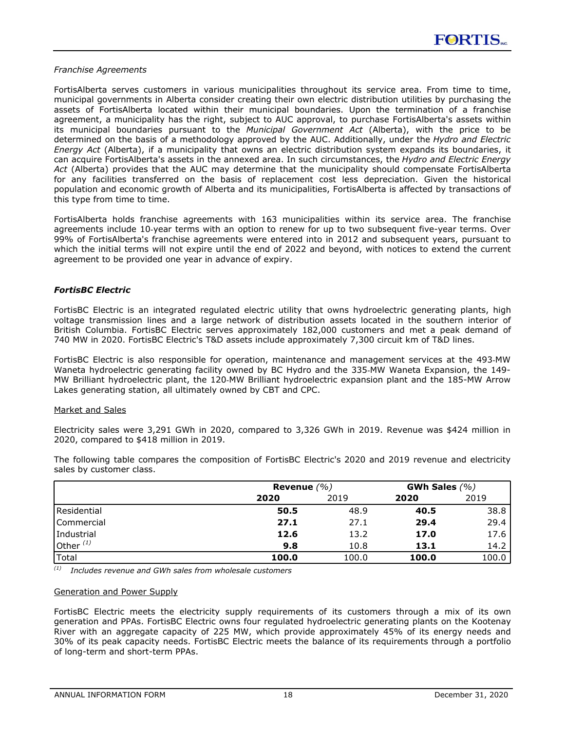#### <span id="page-18-0"></span>*Franchise Agreements*

FortisAlberta serves customers in various municipalities throughout its service area. From time to time, municipal governments in Alberta consider creating their own electric distribution utilities by purchasing the assets of FortisAlberta located within their municipal boundaries. Upon the termination of a franchise agreement, a municipality has the right, subject to AUC approval, to purchase FortisAlberta's assets within its municipal boundaries pursuant to the *Municipal Government Act* (Alberta), with the price to be determined on the basis of a methodology approved by the AUC. Additionally, under the *Hydro and Electric Energy Act* (Alberta), if a municipality that owns an electric distribution system expands its boundaries, it can acquire FortisAlberta's assets in the annexed area. In such circumstances, the *Hydro and Electric Energy Act* (Alberta) provides that the AUC may determine that the municipality should compensate FortisAlberta for any facilities transferred on the basis of replacement cost less depreciation. Given the historical population and economic growth of Alberta and its municipalities, FortisAlberta is affected by transactions of this type from time to time.

FortisAlberta holds franchise agreements with 163 municipalities within its service area. The franchise agreements include 10‑year terms with an option to renew for up to two subsequent five-year terms. Over 99% of FortisAlberta's franchise agreements were entered into in 2012 and subsequent years, pursuant to which the initial terms will not expire until the end of 2022 and beyond, with notices to extend the current agreement to be provided one year in advance of expiry.

### *FortisBC Electric*

FortisBC Electric is an integrated regulated electric utility that owns hydroelectric generating plants, high voltage transmission lines and a large network of distribution assets located in the southern interior of British Columbia. FortisBC Electric serves approximately 182,000 customers and met a peak demand of 740 MW in 2020. FortisBC Electric's T&D assets include approximately 7,300 circuit km of T&D lines.

FortisBC Electric is also responsible for operation, maintenance and management services at the 493‑MW Waneta hydroelectric generating facility owned by BC Hydro and the 335‑MW Waneta Expansion, the 149- MW Brilliant hydroelectric plant, the 120‑MW Brilliant hydroelectric expansion plant and the 185-MW Arrow Lakes generating station, all ultimately owned by CBT and CPC.

#### Market and Sales

Electricity sales were 3,291 GWh in 2020, compared to 3,326 GWh in 2019. Revenue was \$424 million in 2020, compared to \$418 million in 2019.

|             |       | Revenue $(\% )$ |       |       |
|-------------|-------|-----------------|-------|-------|
|             | 2020  | 2019            | 2020  | 2019  |
| Residential | 50.5  | 48.9            | 40.5  | 38.8  |
| Commercial  | 27.1  | 27.1            | 29.4  | 29.4  |
| Industrial  | 12.6  | 13.2            | 17.0  | 17.6  |
| Other $(1)$ | 9.8   | 10.8            | 13.1  | 14.2  |
| Total       | 100.0 | 100.0           | 100.0 | 100.0 |

The following table compares the composition of FortisBC Electric's 2020 and 2019 revenue and electricity sales by customer class.

*(1) Includes revenue and GWh sales from wholesale customers*

#### Generation and Power Supply

FortisBC Electric meets the electricity supply requirements of its customers through a mix of its own generation and PPAs. FortisBC Electric owns four regulated hydroelectric generating plants on the Kootenay River with an aggregate capacity of 225 MW, which provide approximately 45% of its energy needs and 30% of its peak capacity needs. FortisBC Electric meets the balance of its requirements through a portfolio of long-term and short-term PPAs.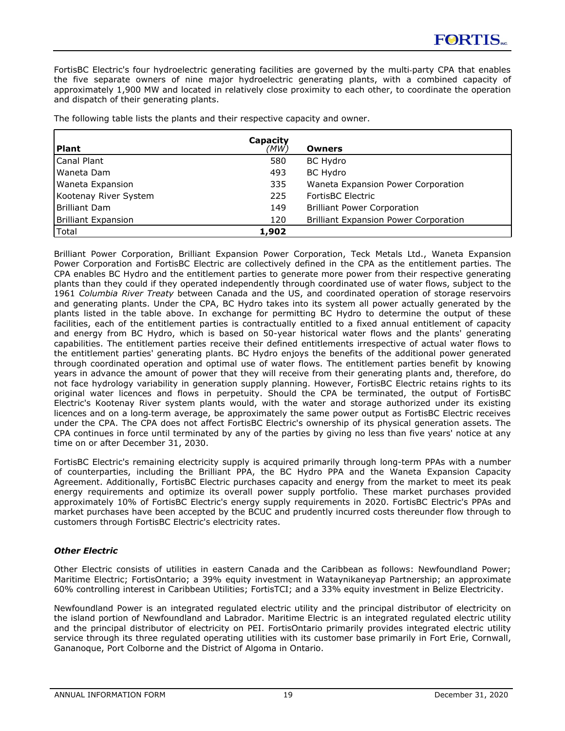<span id="page-19-0"></span>FortisBC Electric's four hydroelectric generating facilities are governed by the multi-party CPA that enables the five separate owners of nine major hydroelectric generating plants, with a combined capacity of approximately 1,900 MW and located in relatively close proximity to each other, to coordinate the operation and dispatch of their generating plants.

| Plant                 | Capacity<br>(MW) | <b>Owners</b>                                |
|-----------------------|------------------|----------------------------------------------|
| Canal Plant           | 580              | <b>BC Hydro</b>                              |
| l Waneta Dam          | 493              | <b>BC Hydro</b>                              |
| Waneta Expansion      | 335              | Waneta Expansion Power Corporation           |
| Kootenay River System | 225              | FortisBC Electric                            |
| Brilliant Dam         | 149              | <b>Brilliant Power Corporation</b>           |
| Brilliant Expansion   | 120              | <b>Brilliant Expansion Power Corporation</b> |
| l Total               | 1,902            |                                              |

The following table lists the plants and their respective capacity and owner.

Brilliant Power Corporation, Brilliant Expansion Power Corporation, Teck Metals Ltd., Waneta Expansion Power Corporation and FortisBC Electric are collectively defined in the CPA as the entitlement parties. The CPA enables BC Hydro and the entitlement parties to generate more power from their respective generating plants than they could if they operated independently through coordinated use of water flows, subject to the 1961 *Columbia River Treaty* between Canada and the US, and coordinated operation of storage reservoirs and generating plants. Under the CPA, BC Hydro takes into its system all power actually generated by the plants listed in the table above. In exchange for permitting BC Hydro to determine the output of these facilities, each of the entitlement parties is contractually entitled to a fixed annual entitlement of capacity and energy from BC Hydro, which is based on 50-year historical water flows and the plants' generating capabilities. The entitlement parties receive their defined entitlements irrespective of actual water flows to the entitlement parties' generating plants. BC Hydro enjoys the benefits of the additional power generated through coordinated operation and optimal use of water flows. The entitlement parties benefit by knowing years in advance the amount of power that they will receive from their generating plants and, therefore, do not face hydrology variability in generation supply planning. However, FortisBC Electric retains rights to its original water licences and flows in perpetuity. Should the CPA be terminated, the output of FortisBC Electric's Kootenay River system plants would, with the water and storage authorized under its existing licences and on a long‑term average, be approximately the same power output as FortisBC Electric receives under the CPA. The CPA does not affect FortisBC Electric's ownership of its physical generation assets. The CPA continues in force until terminated by any of the parties by giving no less than five years' notice at any time on or after December 31, 2030.

FortisBC Electric's remaining electricity supply is acquired primarily through long-term PPAs with a number of counterparties, including the Brilliant PPA, the BC Hydro PPA and the Waneta Expansion Capacity Agreement. Additionally, FortisBC Electric purchases capacity and energy from the market to meet its peak energy requirements and optimize its overall power supply portfolio. These market purchases provided approximately 10% of FortisBC Electric's energy supply requirements in 2020. FortisBC Electric's PPAs and market purchases have been accepted by the BCUC and prudently incurred costs thereunder flow through to customers through FortisBC Electric's electricity rates.

# *Other Electric*

Other Electric consists of utilities in eastern Canada and the Caribbean as follows: Newfoundland Power; Maritime Electric; FortisOntario; a 39% equity investment in Wataynikaneyap Partnership; an approximate 60% controlling interest in Caribbean Utilities; FortisTCI; and a 33% equity investment in Belize Electricity.

Newfoundland Power is an integrated regulated electric utility and the principal distributor of electricity on the island portion of Newfoundland and Labrador. Maritime Electric is an integrated regulated electric utility and the principal distributor of electricity on PEI. FortisOntario primarily provides integrated electric utility service through its three regulated operating utilities with its customer base primarily in Fort Erie, Cornwall, Gananoque, Port Colborne and the District of Algoma in Ontario.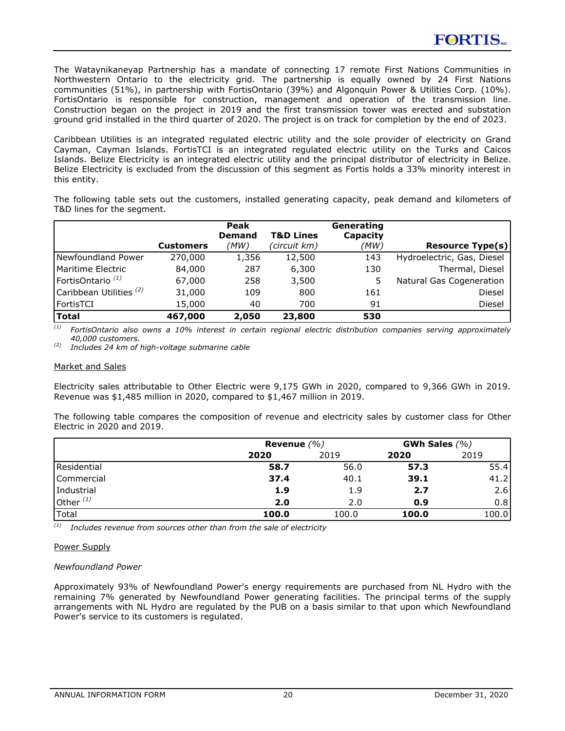The Wataynikaneyap Partnership has a mandate of connecting 17 remote First Nations Communities in Northwestern Ontario to the electricity grid. The partnership is equally owned by 24 First Nations communities (51%), in partnership with FortisOntario (39%) and Algonquin Power & Utilities Corp. (10%). FortisOntario is responsible for construction, management and operation of the transmission line. Construction began on the project in 2019 and the first transmission tower was erected and substation ground grid installed in the third quarter of 2020. The project is on track for completion by the end of 2023.

Caribbean Utilities is an integrated regulated electric utility and the sole provider of electricity on Grand Cayman, Cayman Islands. FortisTCI is an integrated regulated electric utility on the Turks and Caicos Islands. Belize Electricity is an integrated electric utility and the principal distributor of electricity in Belize. Belize Electricity is excluded from the discussion of this segment as Fortis holds a 33% minority interest in this entity.

The following table sets out the customers, installed generating capacity, peak demand and kilometers of T&D lines for the segment.

|                                    | <b>Customers</b> | <b>Peak</b><br><b>Demand</b><br>(MW) | <b>T&amp;D Lines</b><br>(circuit km) | Generating<br>Capacity<br>(MW) | <b>Resource Type(s)</b>    |
|------------------------------------|------------------|--------------------------------------|--------------------------------------|--------------------------------|----------------------------|
| Newfoundland Power                 | 270,000          | 1,356                                | 12,500                               | 143                            | Hydroelectric, Gas, Diesel |
| <b>IMaritime Electric</b>          | 84,000           | 287                                  | 6,300                                | 130                            | Thermal, Diesel            |
| FortisOntario <sup>(1)</sup>       | 67,000           | 258                                  | 3,500                                |                                | Natural Gas Cogeneration   |
| Caribbean Utilities <sup>(2)</sup> | 31,000           | 109                                  | 800                                  | 161                            | <b>Diesel</b>              |
| l FortisTCI                        | 15,000           | 40                                   | 700                                  | 91                             | Diesel                     |
| Total                              | 467,000          | 2,050                                | 23,800                               | 530                            |                            |

*(1) FortisOntario also owns a 10% interest in certain regional electric distribution companies serving approximately 40,000 customers.*

*(2) Includes 24 km of high-voltage submarine cable*

#### Market and Sales

Electricity sales attributable to Other Electric were 9,175 GWh in 2020, compared to 9,366 GWh in 2019. Revenue was \$1,485 million in 2020, compared to \$1,467 million in 2019.

The following table compares the composition of revenue and electricity sales by customer class for Other Electric in 2020 and 2019.

|                     | Revenue $(\% )$ | GWh Sales $(%)$ |       |       |
|---------------------|-----------------|-----------------|-------|-------|
|                     | 2020            | 2019            | 2020  | 2019  |
| Residential         | 58.7            | 56.0            | 57.3  | 55.4  |
| <b>I</b> Commercial | 37.4            | 40.1            | 39.1  | 41.2  |
| Industrial          | 1.9             | 1.9             | 2.7   | 2.6   |
| Other $(1)$         | 2.0             | 2.0             | 0.9   | 0.8   |
| <b>Total</b>        | 100.0           | 100.0           | 100.0 | 100.0 |

*(1) Includes revenue from sources other than from the sale of electricity*

#### Power Supply

### *Newfoundland Power*

Approximately 93% of Newfoundland Power's energy requirements are purchased from NL Hydro with the remaining 7% generated by Newfoundland Power generating facilities. The principal terms of the supply arrangements with NL Hydro are regulated by the PUB on a basis similar to that upon which Newfoundland Power's service to its customers is regulated.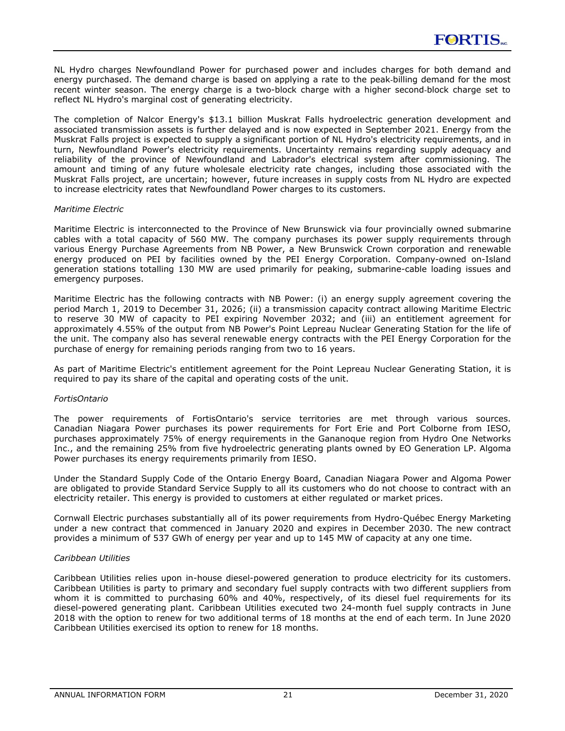NL Hydro charges Newfoundland Power for purchased power and includes charges for both demand and energy purchased. The demand charge is based on applying a rate to the peak-billing demand for the most recent winter season. The energy charge is a two-block charge with a higher second-block charge set to reflect NL Hydro's marginal cost of generating electricity.

The completion of Nalcor Energy's \$13.1 billion Muskrat Falls hydroelectric generation development and associated transmission assets is further delayed and is now expected in September 2021. Energy from the Muskrat Falls project is expected to supply a significant portion of NL Hydro's electricity requirements, and in turn, Newfoundland Power's electricity requirements. Uncertainty remains regarding supply adequacy and reliability of the province of Newfoundland and Labrador's electrical system after commissioning. The amount and timing of any future wholesale electricity rate changes, including those associated with the Muskrat Falls project, are uncertain; however, future increases in supply costs from NL Hydro are expected to increase electricity rates that Newfoundland Power charges to its customers.

#### *Maritime Electric*

Maritime Electric is interconnected to the Province of New Brunswick via four provincially owned submarine cables with a total capacity of 560 MW. The company purchases its power supply requirements through various Energy Purchase Agreements from NB Power, a New Brunswick Crown corporation and renewable energy produced on PEI by facilities owned by the PEI Energy Corporation. Company-owned on-Island generation stations totalling 130 MW are used primarily for peaking, submarine-cable loading issues and emergency purposes.

Maritime Electric has the following contracts with NB Power: (i) an energy supply agreement covering the period March 1, 2019 to December 31, 2026; (ii) a transmission capacity contract allowing Maritime Electric to reserve 30 MW of capacity to PEI expiring November 2032; and (iii) an entitlement agreement for approximately 4.55% of the output from NB Power's Point Lepreau Nuclear Generating Station for the life of the unit. The company also has several renewable energy contracts with the PEI Energy Corporation for the purchase of energy for remaining periods ranging from two to 16 years.

As part of Maritime Electric's entitlement agreement for the Point Lepreau Nuclear Generating Station, it is required to pay its share of the capital and operating costs of the unit.

### *FortisOntario*

The power requirements of FortisOntario's service territories are met through various sources. Canadian Niagara Power purchases its power requirements for Fort Erie and Port Colborne from IESO, purchases approximately 75% of energy requirements in the Gananoque region from Hydro One Networks Inc., and the remaining 25% from five hydroelectric generating plants owned by EO Generation LP. Algoma Power purchases its energy requirements primarily from IESO.

Under the Standard Supply Code of the Ontario Energy Board, Canadian Niagara Power and Algoma Power are obligated to provide Standard Service Supply to all its customers who do not choose to contract with an electricity retailer. This energy is provided to customers at either regulated or market prices.

Cornwall Electric purchases substantially all of its power requirements from Hydro-Québec Energy Marketing under a new contract that commenced in January 2020 and expires in December 2030. The new contract provides a minimum of 537 GWh of energy per year and up to 145 MW of capacity at any one time.

### *Caribbean Utilities*

Caribbean Utilities relies upon in-house diesel-powered generation to produce electricity for its customers. Caribbean Utilities is party to primary and secondary fuel supply contracts with two different suppliers from whom it is committed to purchasing 60% and 40%, respectively, of its diesel fuel requirements for its diesel-powered generating plant. Caribbean Utilities executed two 24-month fuel supply contracts in June 2018 with the option to renew for two additional terms of 18 months at the end of each term. In June 2020 Caribbean Utilities exercised its option to renew for 18 months.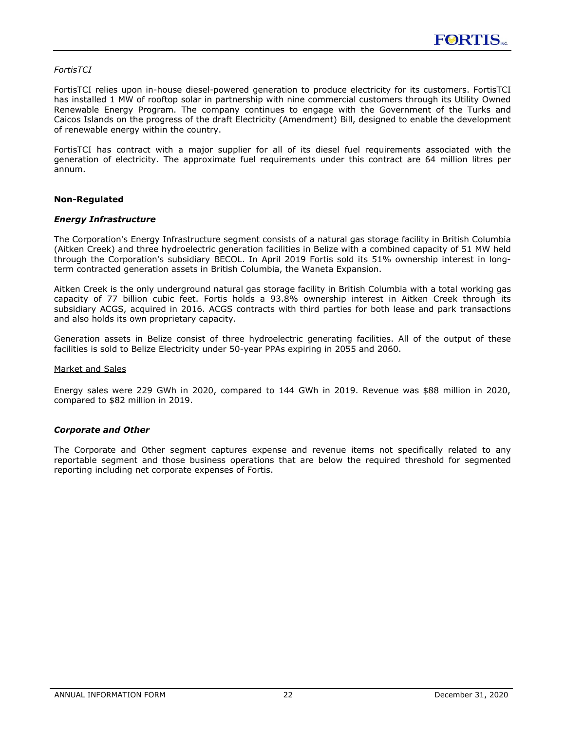### <span id="page-22-0"></span>*FortisTCI*

FortisTCI relies upon in-house diesel-powered generation to produce electricity for its customers. FortisTCI has installed 1 MW of rooftop solar in partnership with nine commercial customers through its Utility Owned Renewable Energy Program. The company continues to engage with the Government of the Turks and Caicos Islands on the progress of the draft Electricity (Amendment) Bill, designed to enable the development of renewable energy within the country.

FortisTCI has contract with a major supplier for all of its diesel fuel requirements associated with the generation of electricity. The approximate fuel requirements under this contract are 64 million litres per annum.

### **Non-Regulated**

### *Energy Infrastructure*

The Corporation's Energy Infrastructure segment consists of a natural gas storage facility in British Columbia (Aitken Creek) and three hydroelectric generation facilities in Belize with a combined capacity of 51 MW held through the Corporation's subsidiary BECOL. In April 2019 Fortis sold its 51% ownership interest in longterm contracted generation assets in British Columbia, the Waneta Expansion.

Aitken Creek is the only underground natural gas storage facility in British Columbia with a total working gas capacity of 77 billion cubic feet. Fortis holds a 93.8% ownership interest in Aitken Creek through its subsidiary ACGS, acquired in 2016. ACGS contracts with third parties for both lease and park transactions and also holds its own proprietary capacity.

Generation assets in Belize consist of three hydroelectric generating facilities. All of the output of these facilities is sold to Belize Electricity under 50-year PPAs expiring in 2055 and 2060.

#### Market and Sales

Energy sales were 229 GWh in 2020, compared to 144 GWh in 2019. Revenue was \$88 million in 2020, compared to \$82 million in 2019.

#### *Corporate and Other*

The Corporate and Other segment captures expense and revenue items not specifically related to any reportable segment and those business operations that are below the required threshold for segmented reporting including net corporate expenses of Fortis.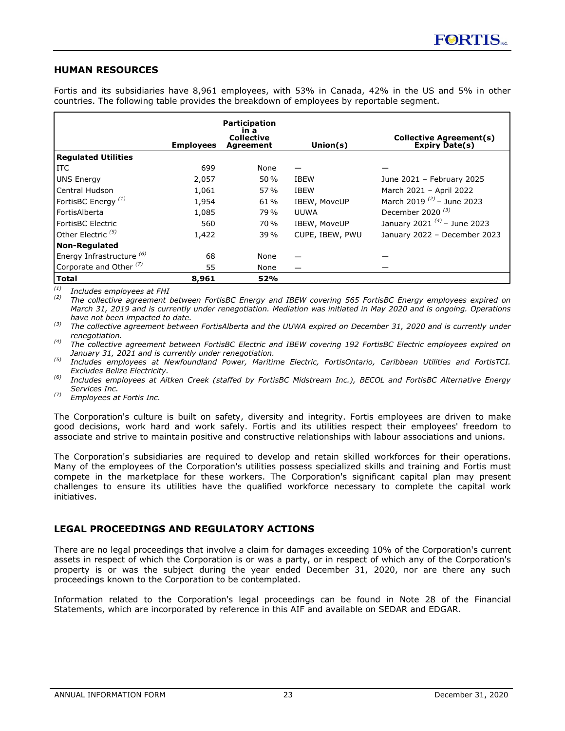### <span id="page-23-0"></span>**HUMAN RESOURCES**

Fortis and its subsidiaries have 8,961 employees, with 53% in Canada, 42% in the US and 5% in other countries. The following table provides the breakdown of employees by reportable segment.

|                                    | <b>Employees</b> | <b>Participation</b><br>ın a<br><b>Collective</b><br>Agreement | Union $(s)$     | Collective Agreement(s)<br>Expiry Date(s) |
|------------------------------------|------------------|----------------------------------------------------------------|-----------------|-------------------------------------------|
| Regulated Utilities                |                  |                                                                |                 |                                           |
| l ITC                              | 699              | None                                                           |                 |                                           |
| UNS Energy                         | 2,057            | 50%                                                            | <b>IBEW</b>     | June 2021 - February 2025                 |
| l Central Hudson                   | 1,061            | 57%                                                            | <b>IBEW</b>     | March 2021 - April 2022                   |
| FortisBC Energy <sup>(1)</sup>     | 1.954            | 61%                                                            | IBEW, MoveUP    | March 2019 $^{(2)}$ – June 2023           |
| l FortisAlberta                    | 1,085            | 79%                                                            | <b>UUWA</b>     | December 2020 $(3)$                       |
| l FortisBC Electric                | 560              | 70 %                                                           | IBEW, MoveUP    | January 2021 $^{(4)}$ – June 2023         |
| $\,$ Other Electric $^{(5)}$       | 1,422            | 39 %                                                           | CUPE, IBEW, PWU | January 2022 - December 2023              |
| Non-Regulated                      |                  |                                                                |                 |                                           |
| Energy Infrastructure (6)          | 68               | None                                                           |                 |                                           |
| Corporate and Other <sup>(7)</sup> | 55               | None                                                           |                 |                                           |
| Total                              | 8,961            | 52%                                                            |                 |                                           |

*(1) Includes employees at FHI*

*(2) The collective agreement between FortisBC Energy and IBEW covering 565 FortisBC Energy employees expired on March 31, 2019 and is currently under renegotiation. Mediation was initiated in May 2020 and is ongoing. Operations have not been impacted to date.*

*(3) The collective agreement between FortisAlberta and the UUWA expired on December 31, 2020 and is currently under renegotiation.*

*(4) The collective agreement between FortisBC Electric and IBEW covering 192 FortisBC Electric employees expired on January 31, 2021 and is currently under renegotiation.*

*(5) Includes employees at Newfoundland Power, Maritime Electric, FortisOntario, Caribbean Utilities and FortisTCI. Excludes Belize Electricity.*

*(6) Includes employees at Aitken Creek (staffed by FortisBC Midstream Inc.), BECOL and FortisBC Alternative Energy Services Inc.*

*(7) Employees at Fortis Inc.*

The Corporation's culture is built on safety, diversity and integrity. Fortis employees are driven to make good decisions, work hard and work safely. Fortis and its utilities respect their employees' freedom to associate and strive to maintain positive and constructive relationships with labour associations and unions.

The Corporation's subsidiaries are required to develop and retain skilled workforces for their operations. Many of the employees of the Corporation's utilities possess specialized skills and training and Fortis must compete in the marketplace for these workers. The Corporation's significant capital plan may present challenges to ensure its utilities have the qualified workforce necessary to complete the capital work initiatives.

# **LEGAL PROCEEDINGS AND REGULATORY ACTIONS**

There are no legal proceedings that involve a claim for damages exceeding 10% of the Corporation's current assets in respect of which the Corporation is or was a party, or in respect of which any of the Corporation's property is or was the subject during the year ended December 31, 2020, nor are there any such proceedings known to the Corporation to be contemplated.

Information related to the Corporation's legal proceedings can be found in Note 28 of the Financial Statements, which are incorporated by reference in this AIF and available on SEDAR and EDGAR.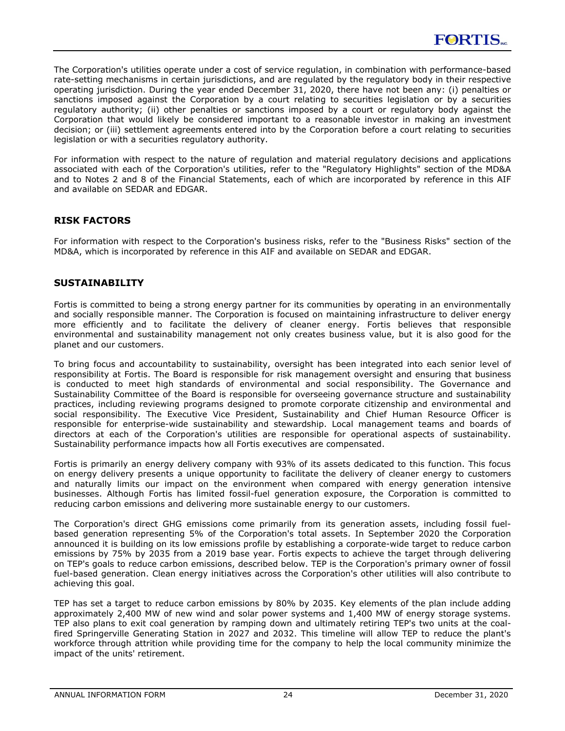<span id="page-24-0"></span>The Corporation's utilities operate under a cost of service regulation, in combination with performance-based rate-setting mechanisms in certain jurisdictions, and are regulated by the regulatory body in their respective operating jurisdiction. During the year ended December 31, 2020, there have not been any: (i) penalties or sanctions imposed against the Corporation by a court relating to securities legislation or by a securities regulatory authority; (ii) other penalties or sanctions imposed by a court or regulatory body against the Corporation that would likely be considered important to a reasonable investor in making an investment decision; or (iii) settlement agreements entered into by the Corporation before a court relating to securities legislation or with a securities regulatory authority.

For information with respect to the nature of regulation and material regulatory decisions and applications associated with each of the Corporation's utilities, refer to the "Regulatory Highlights" section of the MD&A and to Notes 2 and 8 of the Financial Statements, each of which are incorporated by reference in this AIF and available on SEDAR and EDGAR.

# **RISK FACTORS**

For information with respect to the Corporation's business risks, refer to the "Business Risks" section of the MD&A, which is incorporated by reference in this AIF and available on SEDAR and EDGAR.

# **SUSTAINABILITY**

Fortis is committed to being a strong energy partner for its communities by operating in an environmentally and socially responsible manner. The Corporation is focused on maintaining infrastructure to deliver energy more efficiently and to facilitate the delivery of cleaner energy. Fortis believes that responsible environmental and sustainability management not only creates business value, but it is also good for the planet and our customers.

To bring focus and accountability to sustainability, oversight has been integrated into each senior level of responsibility at Fortis. The Board is responsible for risk management oversight and ensuring that business is conducted to meet high standards of environmental and social responsibility. The Governance and Sustainability Committee of the Board is responsible for overseeing governance structure and sustainability practices, including reviewing programs designed to promote corporate citizenship and environmental and social responsibility. The Executive Vice President, Sustainability and Chief Human Resource Officer is responsible for enterprise-wide sustainability and stewardship. Local management teams and boards of directors at each of the Corporation's utilities are responsible for operational aspects of sustainability. Sustainability performance impacts how all Fortis executives are compensated.

Fortis is primarily an energy delivery company with 93% of its assets dedicated to this function. This focus on energy delivery presents a unique opportunity to facilitate the delivery of cleaner energy to customers and naturally limits our impact on the environment when compared with energy generation intensive businesses. Although Fortis has limited fossil-fuel generation exposure, the Corporation is committed to reducing carbon emissions and delivering more sustainable energy to our customers.

The Corporation's direct GHG emissions come primarily from its generation assets, including fossil fuelbased generation representing 5% of the Corporation's total assets. In September 2020 the Corporation announced it is building on its low emissions profile by establishing a corporate-wide target to reduce carbon emissions by 75% by 2035 from a 2019 base year. Fortis expects to achieve the target through delivering on TEP's goals to reduce carbon emissions, described below. TEP is the Corporation's primary owner of fossil fuel-based generation. Clean energy initiatives across the Corporation's other utilities will also contribute to achieving this goal.

TEP has set a target to reduce carbon emissions by 80% by 2035. Key elements of the plan include adding approximately 2,400 MW of new wind and solar power systems and 1,400 MW of energy storage systems. TEP also plans to exit coal generation by ramping down and ultimately retiring TEP's two units at the coalfired Springerville Generating Station in 2027 and 2032. This timeline will allow TEP to reduce the plant's workforce through attrition while providing time for the company to help the local community minimize the impact of the units' retirement.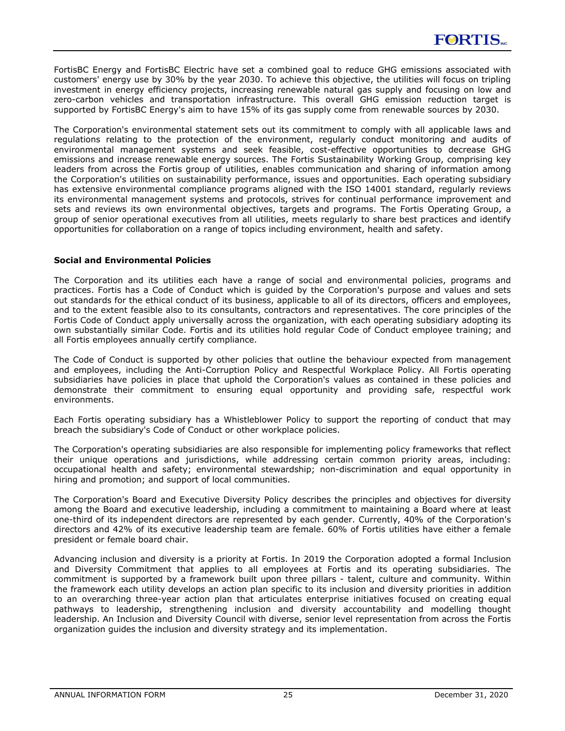<span id="page-25-0"></span>FortisBC Energy and FortisBC Electric have set a combined goal to reduce GHG emissions associated with customers' energy use by 30% by the year 2030. To achieve this objective, the utilities will focus on tripling investment in energy efficiency projects, increasing renewable natural gas supply and focusing on low and zero-carbon vehicles and transportation infrastructure. This overall GHG emission reduction target is supported by FortisBC Energy's aim to have 15% of its gas supply come from renewable sources by 2030.

The Corporation's environmental statement sets out its commitment to comply with all applicable laws and regulations relating to the protection of the environment, regularly conduct monitoring and audits of environmental management systems and seek feasible, cost-effective opportunities to decrease GHG emissions and increase renewable energy sources. The Fortis Sustainability Working Group, comprising key leaders from across the Fortis group of utilities, enables communication and sharing of information among the Corporation's utilities on sustainability performance, issues and opportunities. Each operating subsidiary has extensive environmental compliance programs aligned with the ISO 14001 standard, regularly reviews its environmental management systems and protocols, strives for continual performance improvement and sets and reviews its own environmental objectives, targets and programs. The Fortis Operating Group, a group of senior operational executives from all utilities, meets regularly to share best practices and identify opportunities for collaboration on a range of topics including environment, health and safety.

### **Social and Environmental Policies**

The Corporation and its utilities each have a range of social and environmental policies, programs and practices. Fortis has a Code of Conduct which is guided by the Corporation's purpose and values and sets out standards for the ethical conduct of its business, applicable to all of its directors, officers and employees, and to the extent feasible also to its consultants, contractors and representatives. The core principles of the Fortis Code of Conduct apply universally across the organization, with each operating subsidiary adopting its own substantially similar Code. Fortis and its utilities hold regular Code of Conduct employee training; and all Fortis employees annually certify compliance.

The Code of Conduct is supported by other policies that outline the behaviour expected from management and employees, including the Anti-Corruption Policy and Respectful Workplace Policy. All Fortis operating subsidiaries have policies in place that uphold the Corporation's values as contained in these policies and demonstrate their commitment to ensuring equal opportunity and providing safe, respectful work environments.

Each Fortis operating subsidiary has a Whistleblower Policy to support the reporting of conduct that may breach the subsidiary's Code of Conduct or other workplace policies.

The Corporation's operating subsidiaries are also responsible for implementing policy frameworks that reflect their unique operations and jurisdictions, while addressing certain common priority areas, including: occupational health and safety; environmental stewardship; non-discrimination and equal opportunity in hiring and promotion; and support of local communities.

The Corporation's Board and Executive Diversity Policy describes the principles and objectives for diversity among the Board and executive leadership, including a commitment to maintaining a Board where at least one-third of its independent directors are represented by each gender. Currently, 40% of the Corporation's directors and 42% of its executive leadership team are female. 60% of Fortis utilities have either a female president or female board chair.

Advancing inclusion and diversity is a priority at Fortis. In 2019 the Corporation adopted a formal Inclusion and Diversity Commitment that applies to all employees at Fortis and its operating subsidiaries. The commitment is supported by a framework built upon three pillars - talent, culture and community. Within the framework each utility develops an action plan specific to its inclusion and diversity priorities in addition to an overarching three-year action plan that articulates enterprise initiatives focused on creating equal pathways to leadership, strengthening inclusion and diversity accountability and modelling thought leadership. An Inclusion and Diversity Council with diverse, senior level representation from across the Fortis organization guides the inclusion and diversity strategy and its implementation.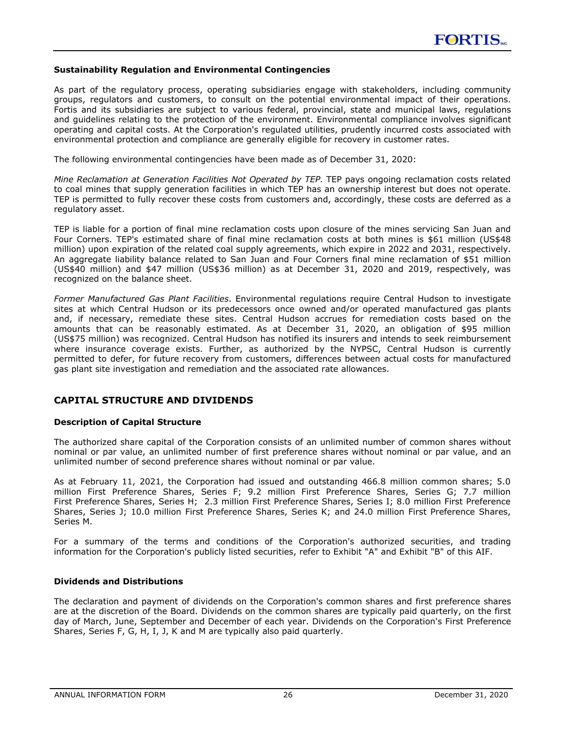### <span id="page-26-0"></span>**Sustainability Regulation and Environmental Contingencies**

As part of the regulatory process, operating subsidiaries engage with stakeholders, including community groups, regulators and customers, to consult on the potential environmental impact of their operations. Fortis and its subsidiaries are subject to various federal, provincial, state and municipal laws, regulations and guidelines relating to the protection of the environment. Environmental compliance involves significant operating and capital costs. At the Corporation's regulated utilities, prudently incurred costs associated with environmental protection and compliance are generally eligible for recovery in customer rates.

The following environmental contingencies have been made as of December 31, 2020:

*Mine Reclamation at Generation Facilities Not Operated by TEP*. TEP pays ongoing reclamation costs related to coal mines that supply generation facilities in which TEP has an ownership interest but does not operate. TEP is permitted to fully recover these costs from customers and, accordingly, these costs are deferred as a regulatory asset.

TEP is liable for a portion of final mine reclamation costs upon closure of the mines servicing San Juan and Four Corners. TEP's estimated share of final mine reclamation costs at both mines is \$61 million (US\$48 million) upon expiration of the related coal supply agreements, which expire in 2022 and 2031, respectively. An aggregate liability balance related to San Juan and Four Corners final mine reclamation of \$51 million (US\$40 million) and \$47 million (US\$36 million) as at December 31, 2020 and 2019, respectively, was recognized on the balance sheet.

*Former Manufactured Gas Plant Facilities*. Environmental regulations require Central Hudson to investigate sites at which Central Hudson or its predecessors once owned and/or operated manufactured gas plants and, if necessary, remediate these sites. Central Hudson accrues for remediation costs based on the amounts that can be reasonably estimated. As at December 31, 2020, an obligation of \$95 million (US\$75 million) was recognized. Central Hudson has notified its insurers and intends to seek reimbursement where insurance coverage exists. Further, as authorized by the NYPSC, Central Hudson is currently permitted to defer, for future recovery from customers, differences between actual costs for manufactured gas plant site investigation and remediation and the associated rate allowances.

# **CAPITAL STRUCTURE AND DIVIDENDS**

### **Description of Capital Structure**

The authorized share capital of the Corporation consists of an unlimited number of common shares without nominal or par value, an unlimited number of first preference shares without nominal or par value, and an unlimited number of second preference shares without nominal or par value.

As at February 11, 2021, the Corporation had issued and outstanding 466.8 million common shares; 5.0 million First Preference Shares, Series F; 9.2 million First Preference Shares, Series G; 7.7 million First Preference Shares, Series H; 2.3 million First Preference Shares, Series I; 8.0 million First Preference Shares, Series J; 10.0 million First Preference Shares, Series K; and 24.0 million First Preference Shares, Series M.

For a summary of the terms and conditions of the Corporation's authorized securities, and trading information for the Corporation's publicly listed securities, refer to Exhibit "A" and Exhibit "B" of this AIF.

#### **Dividends and Distributions**

The declaration and payment of dividends on the Corporation's common shares and first preference shares are at the discretion of the Board. Dividends on the common shares are typically paid quarterly, on the first day of March, June, September and December of each year. Dividends on the Corporation's First Preference Shares, Series F, G, H, I, J, K and M are typically also paid quarterly.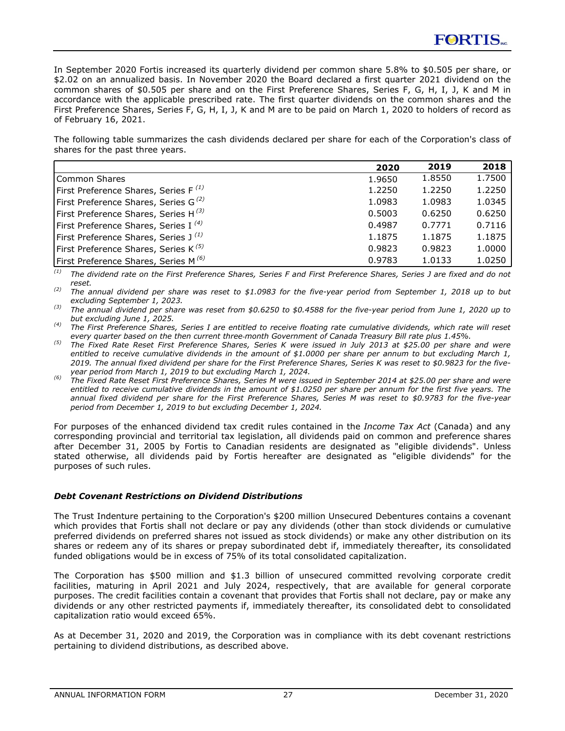<span id="page-27-0"></span>In September 2020 Fortis increased its quarterly dividend per common share 5.8% to \$0.505 per share, or \$2.02 on an annualized basis. In November 2020 the Board declared a first quarter 2021 dividend on the common shares of \$0.505 per share and on the First Preference Shares, Series F, G, H, I, J, K and M in accordance with the applicable prescribed rate. The first quarter dividends on the common shares and the First Preference Shares, Series F, G, H, I, J, K and M are to be paid on March 1, 2020 to holders of record as of February 16, 2021.

The following table summarizes the cash dividends declared per share for each of the Corporation's class of shares for the past three years.

|                                                  | 2020   | 2019   | 2018   |
|--------------------------------------------------|--------|--------|--------|
| Common Shares                                    | 1.9650 | 1.8550 | 1.7500 |
| First Preference Shares, Series F $^{(1)}$       | 1.2250 | 1.2250 | 1.2250 |
| First Preference Shares, Series G <sup>(2)</sup> | 1.0983 | 1.0983 | 1.0345 |
| First Preference Shares, Series H $^{(3)}$       | 0.5003 | 0.6250 | 0.6250 |
| First Preference Shares, Series I <sup>(4)</sup> | 0.4987 | 0.7771 | 0.7116 |
| First Preference Shares, Series $J^{(1)}$        | 1.1875 | 1.1875 | 1.1875 |
| First Preference Shares, Series K <sup>(5)</sup> | 0.9823 | 0.9823 | 1.0000 |
| First Preference Shares, Series M <sup>(6)</sup> | 0.9783 | 1.0133 | 1.0250 |

*(1) The dividend rate on the First Preference Shares, Series F and First Preference Shares, Series J are fixed and do not reset.*

*(2) The annual dividend per share was reset to \$1.0983 for the five-year period from September 1, 2018 up to but excluding September 1, 2023.*

*(3) The annual dividend per share was reset from \$0.6250 to \$0.4588 for the five-year period from June 1, 2020 up to but excluding June 1, 2025.*

*(4) The First Preference Shares, Series I are entitled to receive floating rate cumulative dividends, which rate will reset every quarter based on the then current three*‑*month Government of Canada Treasury Bill rate plus 1.45%.*

*(5) The Fixed Rate Reset First Preference Shares, Series K were issued in July 2013 at \$25.00 per share and were entitled to receive cumulative dividends in the amount of \$1.0000 per share per annum to but excluding March 1, 2019. The annual fixed dividend per share for the First Preference Shares, Series K was reset to \$0.9823 for the fiveyear period from March 1, 2019 to but excluding March 1, 2024.* 

*(6) The Fixed Rate Reset First Preference Shares, Series M were issued in September 2014 at \$25.00 per share and were entitled to receive cumulative dividends in the amount of \$1.0250 per share per annum for the first five years. The annual fixed dividend per share for the First Preference Shares, Series M was reset to \$0.9783 for the five-year period from December 1, 2019 to but excluding December 1, 2024.*

For purposes of the enhanced dividend tax credit rules contained in the *Income Tax Act* (Canada) and any corresponding provincial and territorial tax legislation, all dividends paid on common and preference shares after December 31, 2005 by Fortis to Canadian residents are designated as "eligible dividends". Unless stated otherwise, all dividends paid by Fortis hereafter are designated as "eligible dividends" for the purposes of such rules.

### *Debt Covenant Restrictions on Dividend Distributions*

The Trust Indenture pertaining to the Corporation's \$200 million Unsecured Debentures contains a covenant which provides that Fortis shall not declare or pay any dividends (other than stock dividends or cumulative preferred dividends on preferred shares not issued as stock dividends) or make any other distribution on its shares or redeem any of its shares or prepay subordinated debt if, immediately thereafter, its consolidated funded obligations would be in excess of 75% of its total consolidated capitalization.

The Corporation has \$500 million and \$1.3 billion of unsecured committed revolving corporate credit facilities, maturing in April 2021 and July 2024, respectively, that are available for general corporate purposes. The credit facilities contain a covenant that provides that Fortis shall not declare, pay or make any dividends or any other restricted payments if, immediately thereafter, its consolidated debt to consolidated capitalization ratio would exceed 65%.

As at December 31, 2020 and 2019, the Corporation was in compliance with its debt covenant restrictions pertaining to dividend distributions, as described above.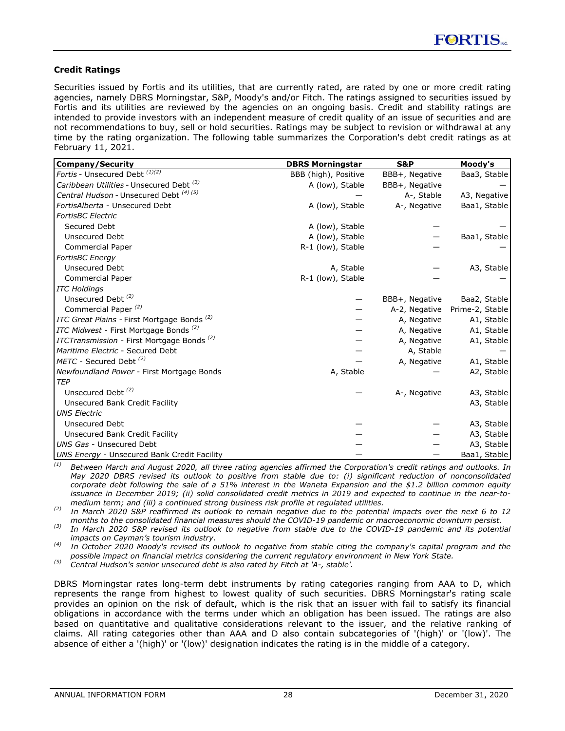### <span id="page-28-0"></span>**Credit Ratings**

Securities issued by Fortis and its utilities, that are currently rated, are rated by one or more credit rating agencies, namely DBRS Morningstar, S&P, Moody's and/or Fitch. The ratings assigned to securities issued by Fortis and its utilities are reviewed by the agencies on an ongoing basis. Credit and stability ratings are intended to provide investors with an independent measure of credit quality of an issue of securities and are not recommendations to buy, sell or hold securities. Ratings may be subject to revision or withdrawal at any time by the rating organization. The following table summarizes the Corporation's debt credit ratings as at February 11, 2021.

| <b>Company/Security</b>                                | <b>DBRS Morningstar</b> | <b>S&amp;P</b> | Moody's         |
|--------------------------------------------------------|-------------------------|----------------|-----------------|
| Fortis - Unsecured Debt $\sqrt{1/(2)}$                 | BBB (high), Positive    | BBB+, Negative | Baa3, Stable    |
| Caribbean Utilities - Unsecured Debt <sup>(3)</sup>    | A (low), Stable         | BBB+, Negative |                 |
| Central Hudson - Unsecured Debt <sup>(4)(5)</sup>      |                         | A-, Stable     | A3, Negative    |
| FortisAlberta - Unsecured Debt                         | A (low), Stable         | A-, Negative   | Baa1, Stable    |
| <b>FortisBC</b> Electric                               |                         |                |                 |
| Secured Debt                                           | A (low), Stable         |                |                 |
| <b>Unsecured Debt</b>                                  | A (low), Stable         |                | Baa1, Stable    |
| Commercial Paper                                       | R-1 (low), Stable       |                |                 |
| <b>FortisBC</b> Energy                                 |                         |                |                 |
| <b>Unsecured Debt</b>                                  | A, Stable               |                | A3, Stable      |
| <b>Commercial Paper</b>                                | R-1 (low), Stable       |                |                 |
| <b>ITC Holdings</b>                                    |                         |                |                 |
| Unsecured Debt <sup>(2)</sup>                          |                         | BBB+, Negative | Baa2, Stable    |
| Commercial Paper <sup>(2)</sup>                        |                         | A-2, Negative  | Prime-2, Stable |
| ITC Great Plains - First Mortgage Bonds <sup>(2)</sup> |                         | A, Negative    | A1, Stable      |
| ITC Midwest - First Mortgage Bonds <sup>(2)</sup>      |                         | A, Negative    | A1, Stable      |
| ITCTransmission - First Mortgage Bonds <sup>(2)</sup>  |                         | A, Negative    | A1, Stable      |
| Maritime Electric - Secured Debt                       |                         | A, Stable      |                 |
| METC - Secured Debt <sup>(2)</sup>                     |                         | A, Negative    | A1, Stable      |
| Newfoundland Power - First Mortgage Bonds              | A, Stable               |                | A2, Stable      |
| <b>TEP</b>                                             |                         |                |                 |
| Unsecured Debt <sup>(2)</sup>                          |                         | A-, Negative   | A3, Stable      |
| Unsecured Bank Credit Facility                         |                         |                | A3, Stable      |
| <b>UNS Electric</b>                                    |                         |                |                 |
| Unsecured Debt                                         |                         |                | A3, Stable      |
| Unsecured Bank Credit Facility                         |                         |                | A3, Stable      |
| UNS Gas - Unsecured Debt                               |                         |                | A3, Stable      |
| <b>UNS Energy - Unsecured Bank Credit Facility</b>     |                         |                | Baa1, Stable    |

*(1) Between March and August 2020, all three rating agencies affirmed the Corporation's credit ratings and outlooks. In May 2020 DBRS revised its outlook to positive from stable due to: (i) significant reduction of nonconsolidated corporate debt following the sale of a 51% interest in the Waneta Expansion and the \$1.2 billion common equity issuance in December 2019; (ii) solid consolidated credit metrics in 2019 and expected to continue in the near-tomedium term; and (iii) a continued strong business risk profile at regulated utilities.* 

*(2) In March 2020 S&P reaffirmed its outlook to remain negative due to the potential impacts over the next 6 to 12 months to the consolidated financial measures should the COVID-19 pandemic or macroeconomic downturn persist.*

*(3) In March 2020 S&P revised its outlook to negative from stable due to the COVID-19 pandemic and its potential impacts on Cayman's tourism industry.*

*(4) In October 2020 Moody's revised its outlook to negative from stable citing the company's capital program and the possible impact on financial metrics considering the current regulatory environment in New York State.*

*(5) Central Hudson's senior unsecured debt is also rated by Fitch at 'A-, stable'.*

DBRS Morningstar rates long-term debt instruments by rating categories ranging from AAA to D, which represents the range from highest to lowest quality of such securities. DBRS Morningstar's rating scale provides an opinion on the risk of default, which is the risk that an issuer with fail to satisfy its financial obligations in accordance with the terms under which an obligation has been issued. The ratings are also based on quantitative and qualitative considerations relevant to the issuer, and the relative ranking of claims. All rating categories other than AAA and D also contain subcategories of '(high)' or '(low)'. The absence of either a '(high)' or '(low)' designation indicates the rating is in the middle of a category.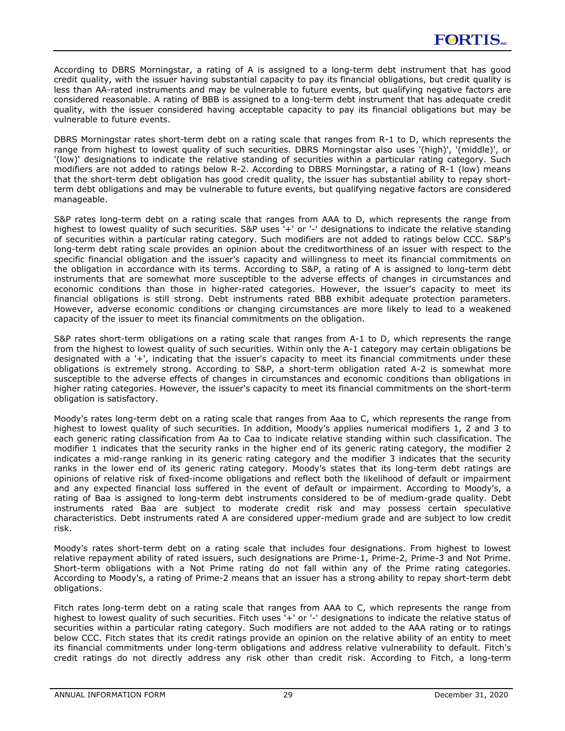According to DBRS Morningstar, a rating of A is assigned to a long-term debt instrument that has good credit quality, with the issuer having substantial capacity to pay its financial obligations, but credit quality is less than AA-rated instruments and may be vulnerable to future events, but qualifying negative factors are considered reasonable. A rating of BBB is assigned to a long-term debt instrument that has adequate credit quality, with the issuer considered having acceptable capacity to pay its financial obligations but may be vulnerable to future events.

DBRS Morningstar rates short-term debt on a rating scale that ranges from R-1 to D, which represents the range from highest to lowest quality of such securities. DBRS Morningstar also uses '(high)', '(middle)', or '(low)' designations to indicate the relative standing of securities within a particular rating category. Such modifiers are not added to ratings below R-2. According to DBRS Morningstar, a rating of R-1 (low) means that the short-term debt obligation has good credit quality, the issuer has substantial ability to repay shortterm debt obligations and may be vulnerable to future events, but qualifying negative factors are considered manageable.

S&P rates long-term debt on a rating scale that ranges from AAA to D, which represents the range from highest to lowest quality of such securities. S&P uses '+' or '-' designations to indicate the relative standing of securities within a particular rating category. Such modifiers are not added to ratings below CCC. S&P's long-term debt rating scale provides an opinion about the creditworthiness of an issuer with respect to the specific financial obligation and the issuer's capacity and willingness to meet its financial commitments on the obligation in accordance with its terms. According to S&P, a rating of A is assigned to long-term debt instruments that are somewhat more susceptible to the adverse effects of changes in circumstances and economic conditions than those in higher-rated categories. However, the issuer's capacity to meet its financial obligations is still strong. Debt instruments rated BBB exhibit adequate protection parameters. However, adverse economic conditions or changing circumstances are more likely to lead to a weakened capacity of the issuer to meet its financial commitments on the obligation.

S&P rates short-term obligations on a rating scale that ranges from A-1 to D, which represents the range from the highest to lowest quality of such securities. Within only the A-1 category may certain obligations be designated with a '+', indicating that the issuer's capacity to meet its financial commitments under these obligations is extremely strong. According to S&P, a short-term obligation rated A-2 is somewhat more susceptible to the adverse effects of changes in circumstances and economic conditions than obligations in higher rating categories. However, the issuer's capacity to meet its financial commitments on the short-term obligation is satisfactory.

Moody's rates long-term debt on a rating scale that ranges from Aaa to C, which represents the range from highest to lowest quality of such securities. In addition, Moody's applies numerical modifiers 1, 2 and 3 to each generic rating classification from Aa to Caa to indicate relative standing within such classification. The modifier 1 indicates that the security ranks in the higher end of its generic rating category, the modifier 2 indicates a mid-range ranking in its generic rating category and the modifier 3 indicates that the security ranks in the lower end of its generic rating category. Moody's states that its long-term debt ratings are opinions of relative risk of fixed-income obligations and reflect both the likelihood of default or impairment and any expected financial loss suffered in the event of default or impairment. According to Moody's, a rating of Baa is assigned to long-term debt instruments considered to be of medium-grade quality. Debt instruments rated Baa are subject to moderate credit risk and may possess certain speculative characteristics. Debt instruments rated A are considered upper-medium grade and are subject to low credit risk.

Moody's rates short-term debt on a rating scale that includes four designations. From highest to lowest relative repayment ability of rated issuers, such designations are Prime-1, Prime-2, Prime-3 and Not Prime. Short-term obligations with a Not Prime rating do not fall within any of the Prime rating categories. According to Moody's, a rating of Prime-2 means that an issuer has a strong ability to repay short-term debt obligations.

Fitch rates long-term debt on a rating scale that ranges from AAA to C, which represents the range from highest to lowest quality of such securities. Fitch uses +' or '-' designations to indicate the relative status of securities within a particular rating category. Such modifiers are not added to the AAA rating or to ratings below CCC. Fitch states that its credit ratings provide an opinion on the relative ability of an entity to meet its financial commitments under long-term obligations and address relative vulnerability to default. Fitch's credit ratings do not directly address any risk other than credit risk. According to Fitch, a long-term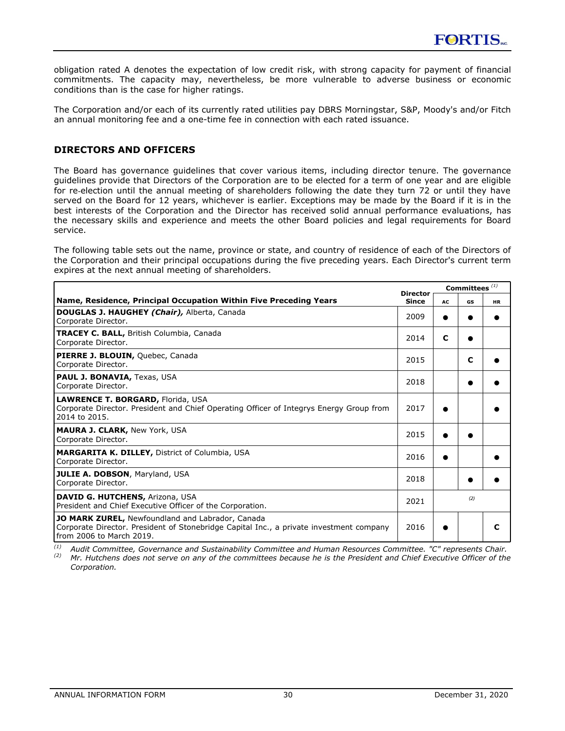<span id="page-30-0"></span>obligation rated A denotes the expectation of low credit risk, with strong capacity for payment of financial commitments. The capacity may, nevertheless, be more vulnerable to adverse business or economic conditions than is the case for higher ratings.

The Corporation and/or each of its currently rated utilities pay DBRS Morningstar, S&P, Moody's and/or Fitch an annual monitoring fee and a one-time fee in connection with each rated issuance.

# **DIRECTORS AND OFFICERS**

The Board has governance guidelines that cover various items, including director tenure. The governance guidelines provide that Directors of the Corporation are to be elected for a term of one year and are eligible for re‑election until the annual meeting of shareholders following the date they turn 72 or until they have served on the Board for 12 years, whichever is earlier. Exceptions may be made by the Board if it is in the best interests of the Corporation and the Director has received solid annual performance evaluations, has the necessary skills and experience and meets the other Board policies and legal requirements for Board service.

The following table sets out the name, province or state, and country of residence of each of the Directors of the Corporation and their principal occupations during the five preceding years. Each Director's current term expires at the next annual meeting of shareholders.

|                                                                                                                                                                         | <b>Director</b> |    | Committees $(1)$ |           |  |
|-------------------------------------------------------------------------------------------------------------------------------------------------------------------------|-----------------|----|------------------|-----------|--|
| Name, Residence, Principal Occupation Within Five Preceding Years                                                                                                       | Since           | AC | GS               | <b>HR</b> |  |
| <b>DOUGLAS J. HAUGHEY (Chair), Alberta, Canada</b><br>Corporate Director.                                                                                               | 2009            |    |                  |           |  |
| <b>TRACEY C. BALL, British Columbia, Canada</b><br>Corporate Director.                                                                                                  | 2014            | C  |                  |           |  |
| PIERRE J. BLOUIN, Quebec, Canada<br>Corporate Director.                                                                                                                 | 2015            |    | C                |           |  |
| PAUL J. BONAVIA, Texas, USA<br>Corporate Director.                                                                                                                      | 2018            |    |                  |           |  |
| <b>LAWRENCE T. BORGARD, Florida, USA</b><br>Corporate Director. President and Chief Operating Officer of Integrys Energy Group from<br>2014 to 2015.                    | 2017            |    |                  |           |  |
| <b>MAURA J. CLARK, New York, USA</b><br>Corporate Director.                                                                                                             | 2015            |    |                  |           |  |
| <b>MARGARITA K. DILLEY, District of Columbia, USA</b><br>Corporate Director.                                                                                            | 2016            |    |                  |           |  |
| <b>JULIE A. DOBSON, Maryland, USA</b><br>Corporate Director.                                                                                                            | 2018            |    |                  |           |  |
| DAVID G. HUTCHENS, Arizona, USA<br>President and Chief Executive Officer of the Corporation.                                                                            | 2021            |    | (2)              |           |  |
| JO MARK ZUREL, Newfoundland and Labrador, Canada<br>Corporate Director. President of Stonebridge Capital Inc., a private investment company<br>from 2006 to March 2019. | 2016            |    |                  | C         |  |

*(1) Audit Committee, Governance and Sustainability Committee and Human Resources Committee. "C" represents Chair.*

*(2) Mr. Hutchens does not serve on any of the committees because he is the President and Chief Executive Officer of the Corporation.*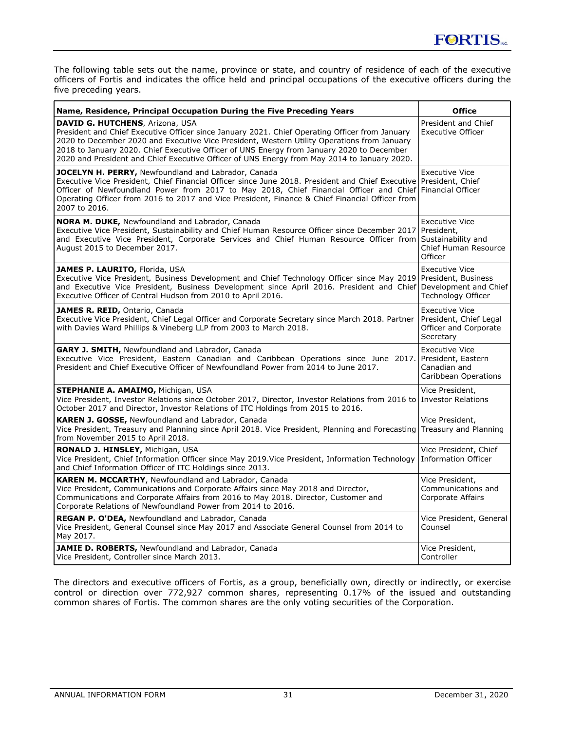The following table sets out the name, province or state, and country of residence of each of the executive officers of Fortis and indicates the office held and principal occupations of the executive officers during the five preceding years.

| Name, Residence, Principal Occupation During the Five Preceding Years                                                                                                                                                                                                                                                                                                                                                               | <b>Office</b>                                                                                |
|-------------------------------------------------------------------------------------------------------------------------------------------------------------------------------------------------------------------------------------------------------------------------------------------------------------------------------------------------------------------------------------------------------------------------------------|----------------------------------------------------------------------------------------------|
| <b>DAVID G. HUTCHENS, Arizona, USA</b><br>President and Chief Executive Officer since January 2021. Chief Operating Officer from January<br>2020 to December 2020 and Executive Vice President, Western Utility Operations from January<br>2018 to January 2020. Chief Executive Officer of UNS Energy from January 2020 to December<br>2020 and President and Chief Executive Officer of UNS Energy from May 2014 to January 2020. | President and Chief<br><b>Executive Officer</b>                                              |
| JOCELYN H. PERRY, Newfoundland and Labrador, Canada<br>Executive Vice President, Chief Financial Officer since June 2018. President and Chief Executive<br>Officer of Newfoundland Power from 2017 to May 2018, Chief Financial Officer and Chief<br>Operating Officer from 2016 to 2017 and Vice President, Finance & Chief Financial Officer from<br>2007 to 2016.                                                                | <b>Executive Vice</b><br>President, Chief<br>Financial Officer                               |
| <b>NORA M. DUKE, Newfoundland and Labrador, Canada</b><br>Executive Vice President, Sustainability and Chief Human Resource Officer since December 2017<br>and Executive Vice President, Corporate Services and Chief Human Resource Officer from<br>August 2015 to December 2017.                                                                                                                                                  | <b>Executive Vice</b><br>President,<br>Sustainability and<br>Chief Human Resource<br>Officer |
| <b>JAMES P. LAURITO, Florida, USA</b><br>Executive Vice President, Business Development and Chief Technology Officer since May 2019<br>and Executive Vice President, Business Development since April 2016. President and Chief<br>Executive Officer of Central Hudson from 2010 to April 2016.                                                                                                                                     | <b>Executive Vice</b><br>President, Business<br>Development and Chief<br>Technology Officer  |
| JAMES R. REID, Ontario, Canada<br>Executive Vice President, Chief Legal Officer and Corporate Secretary since March 2018. Partner<br>with Davies Ward Phillips & Vineberg LLP from 2003 to March 2018.                                                                                                                                                                                                                              | <b>Executive Vice</b><br>President, Chief Legal<br>Officer and Corporate<br>Secretary        |
| <b>GARY J. SMITH, Newfoundland and Labrador, Canada</b><br>Executive Vice President, Eastern Canadian and Caribbean Operations since June 2017.<br>President and Chief Executive Officer of Newfoundland Power from 2014 to June 2017.                                                                                                                                                                                              | <b>Executive Vice</b><br>President, Eastern<br>Canadian and<br>Caribbean Operations          |
| STEPHANIE A. AMAIMO, Michigan, USA<br>Vice President, Investor Relations since October 2017, Director, Investor Relations from 2016 to Investor Relations<br>October 2017 and Director, Investor Relations of ITC Holdings from 2015 to 2016.                                                                                                                                                                                       | Vice President,                                                                              |
| <b>KAREN J. GOSSE, Newfoundland and Labrador, Canada</b><br>Vice President, Treasury and Planning since April 2018. Vice President, Planning and Forecasting<br>from November 2015 to April 2018.                                                                                                                                                                                                                                   | Vice President,<br>Treasury and Planning                                                     |
| <b>RONALD J. HINSLEY, Michigan, USA</b><br>Vice President, Chief Information Officer since May 2019. Vice President, Information Technology<br>and Chief Information Officer of ITC Holdings since 2013.                                                                                                                                                                                                                            | Vice President, Chief<br><b>Information Officer</b>                                          |
| <b>KAREN M. MCCARTHY, Newfoundland and Labrador, Canada</b><br>Vice President, Communications and Corporate Affairs since May 2018 and Director,<br>Communications and Corporate Affairs from 2016 to May 2018. Director, Customer and<br>Corporate Relations of Newfoundland Power from 2014 to 2016.                                                                                                                              | Vice President,<br>Communications and<br>Corporate Affairs                                   |
| REGAN P. O'DEA, Newfoundland and Labrador, Canada<br>Vice President, General Counsel since May 2017 and Associate General Counsel from 2014 to<br>May 2017.                                                                                                                                                                                                                                                                         | Vice President, General<br>Counsel                                                           |
| JAMIE D. ROBERTS, Newfoundland and Labrador, Canada<br>Vice President, Controller since March 2013.                                                                                                                                                                                                                                                                                                                                 | Vice President,<br>Controller                                                                |

The directors and executive officers of Fortis, as a group, beneficially own, directly or indirectly, or exercise control or direction over 772,927 common shares, representing 0.17% of the issued and outstanding common shares of Fortis. The common shares are the only voting securities of the Corporation.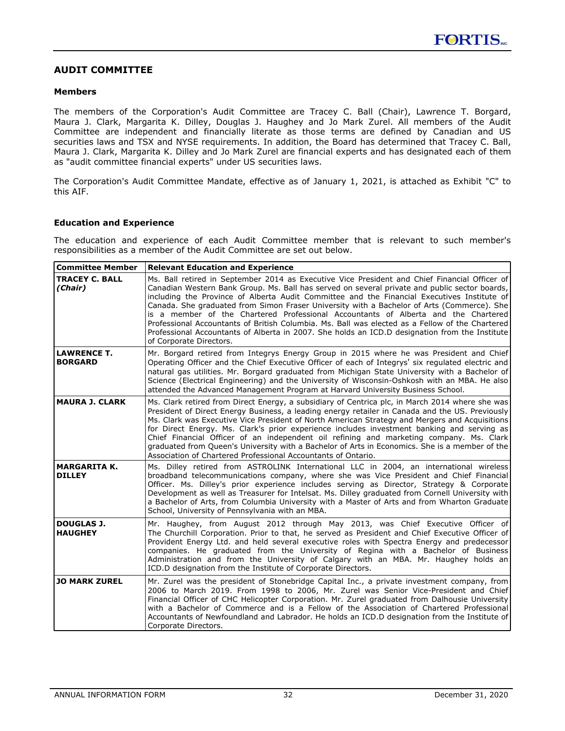### <span id="page-32-0"></span>**AUDIT COMMITTEE**

### **Members**

The members of the Corporation's Audit Committee are Tracey C. Ball (Chair), Lawrence T. Borgard, Maura J. Clark, Margarita K. Dilley, Douglas J. Haughey and Jo Mark Zurel. All members of the Audit Committee are independent and financially literate as those terms are defined by Canadian and US securities laws and TSX and NYSE requirements. In addition, the Board has determined that Tracey C. Ball, Maura J. Clark, Margarita K. Dilley and Jo Mark Zurel are financial experts and has designated each of them as "audit committee financial experts" under US securities laws.

The Corporation's Audit Committee Mandate, effective as of January 1, 2021, is attached as Exhibit "C" to this AIF.

### **Education and Experience**

The education and experience of each Audit Committee member that is relevant to such member's responsibilities as a member of the Audit Committee are set out below.

| <b>Committee Member</b>              | <b>Relevant Education and Experience</b>                                                                                                                                                                                                                                                                                                                                                                                                                                                                                                                                                                                                                                                                          |
|--------------------------------------|-------------------------------------------------------------------------------------------------------------------------------------------------------------------------------------------------------------------------------------------------------------------------------------------------------------------------------------------------------------------------------------------------------------------------------------------------------------------------------------------------------------------------------------------------------------------------------------------------------------------------------------------------------------------------------------------------------------------|
| <b>TRACEY C. BALL</b><br>(Chair)     | Ms. Ball retired in September 2014 as Executive Vice President and Chief Financial Officer of<br>Canadian Western Bank Group. Ms. Ball has served on several private and public sector boards,<br>including the Province of Alberta Audit Committee and the Financial Executives Institute of<br>Canada. She graduated from Simon Fraser University with a Bachelor of Arts (Commerce). She<br>is a member of the Chartered Professional Accountants of Alberta and the Chartered<br>Professional Accountants of British Columbia. Ms. Ball was elected as a Fellow of the Chartered<br>Professional Accountants of Alberta in 2007. She holds an ICD.D designation from the Institute<br>of Corporate Directors. |
| <b>LAWRENCE T.</b><br><b>BORGARD</b> | Mr. Borgard retired from Integrys Energy Group in 2015 where he was President and Chief<br>Operating Officer and the Chief Executive Officer of each of Integrys' six regulated electric and<br>natural gas utilities. Mr. Borgard graduated from Michigan State University with a Bachelor of<br>Science (Electrical Engineering) and the University of Wisconsin-Oshkosh with an MBA. He also<br>attended the Advanced Management Program at Harvard University Business School.                                                                                                                                                                                                                                |
| <b>MAURA J. CLARK</b>                | Ms. Clark retired from Direct Energy, a subsidiary of Centrica plc, in March 2014 where she was<br>President of Direct Energy Business, a leading energy retailer in Canada and the US. Previously<br>Ms. Clark was Executive Vice President of North American Strategy and Mergers and Acquisitions<br>for Direct Energy. Ms. Clark's prior experience includes investment banking and serving as<br>Chief Financial Officer of an independent oil refining and marketing company. Ms. Clark<br>graduated from Queen's University with a Bachelor of Arts in Economics. She is a member of the<br>Association of Chartered Professional Accountants of Ontario.                                                  |
| <b>MARGARITA K.</b><br><b>DILLEY</b> | Ms. Dilley retired from ASTROLINK International LLC in 2004, an international wireless<br>broadband telecommunications company, where she was Vice President and Chief Financial<br>Officer. Ms. Dilley's prior experience includes serving as Director, Strategy & Corporate<br>Development as well as Treasurer for Intelsat. Ms. Dilley graduated from Cornell University with<br>a Bachelor of Arts, from Columbia University with a Master of Arts and from Wharton Graduate<br>School, University of Pennsylvania with an MBA.                                                                                                                                                                              |
| <b>DOUGLAS J.</b><br><b>HAUGHEY</b>  | Mr. Haughey, from August 2012 through May 2013, was Chief Executive Officer of<br>The Churchill Corporation. Prior to that, he served as President and Chief Executive Officer of<br>Provident Energy Ltd. and held several executive roles with Spectra Energy and predecessor<br>companies. He graduated from the University of Regina with a Bachelor of Business<br>Administration and from the University of Calgary with an MBA. Mr. Haughey holds an<br>ICD.D designation from the Institute of Corporate Directors.                                                                                                                                                                                       |
| <b>JO MARK ZUREL</b>                 | Mr. Zurel was the president of Stonebridge Capital Inc., a private investment company, from<br>2006 to March 2019. From 1998 to 2006, Mr. Zurel was Senior Vice-President and Chief<br>Financial Officer of CHC Helicopter Corporation. Mr. Zurel graduated from Dalhousie University<br>with a Bachelor of Commerce and is a Fellow of the Association of Chartered Professional<br>Accountants of Newfoundland and Labrador. He holds an ICD.D designation from the Institute of<br>Corporate Directors.                                                                                                                                                                                                        |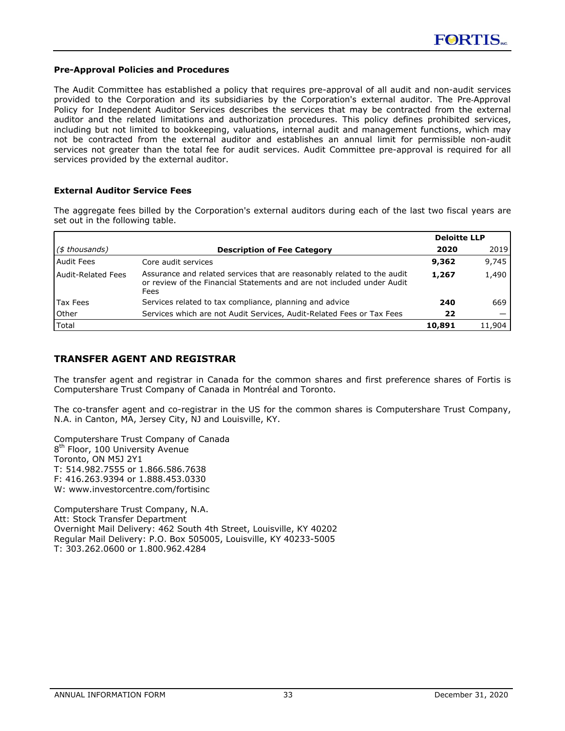### <span id="page-33-0"></span>**Pre-Approval Policies and Procedures**

The Audit Committee has established a policy that requires pre-approval of all audit and non-audit services provided to the Corporation and its subsidiaries by the Corporation's external auditor. The Pre‑Approval Policy for Independent Auditor Services describes the services that may be contracted from the external auditor and the related limitations and authorization procedures. This policy defines prohibited services, including but not limited to bookkeeping, valuations, internal audit and management functions, which may not be contracted from the external auditor and establishes an annual limit for permissible non-audit services not greater than the total fee for audit services. Audit Committee pre-approval is required for all services provided by the external auditor.

### **External Auditor Service Fees**

The aggregate fees billed by the Corporation's external auditors during each of the last two fiscal years are set out in the following table.

|                         |                                                                                                                                                           | <b>Deloitte LLP</b> |        |
|-------------------------|-----------------------------------------------------------------------------------------------------------------------------------------------------------|---------------------|--------|
| $(\text{\$}$ thousands) | <b>Description of Fee Category</b>                                                                                                                        | 2020                | 2019   |
| l Audit Fees            | Core audit services                                                                                                                                       | 9,362               | 9,745  |
| Audit-Related Fees      | Assurance and related services that are reasonably related to the audit<br>or review of the Financial Statements and are not included under Audit<br>Fees | 1,267               | 1,490  |
| Tax Fees                | Services related to tax compliance, planning and advice                                                                                                   | 240                 | 669    |
| l Other                 | Services which are not Audit Services, Audit-Related Fees or Tax Fees                                                                                     | 22                  |        |
| Total                   |                                                                                                                                                           | 10,891              | 11,904 |

# **TRANSFER AGENT AND REGISTRAR**

The transfer agent and registrar in Canada for the common shares and first preference shares of Fortis is Computershare Trust Company of Canada in Montréal and Toronto.

The co-transfer agent and co-registrar in the US for the common shares is Computershare Trust Company, N.A. in Canton, MA, Jersey City, NJ and Louisville, KY.

Computershare Trust Company of Canada 8<sup>th</sup> Floor, 100 University Avenue Toronto, ON M5J 2Y1 T: 514.982.7555 or 1.866.586.7638 F: 416.263.9394 or 1.888.453.0330 W: www.investorcentre.com/fortisinc

Computershare Trust Company, N.A. Att: Stock Transfer Department Overnight Mail Delivery: 462 South 4th Street, Louisville, KY 40202 Regular Mail Delivery: P.O. Box 505005, Louisville, KY 40233-5005 T: 303.262.0600 or 1.800.962.4284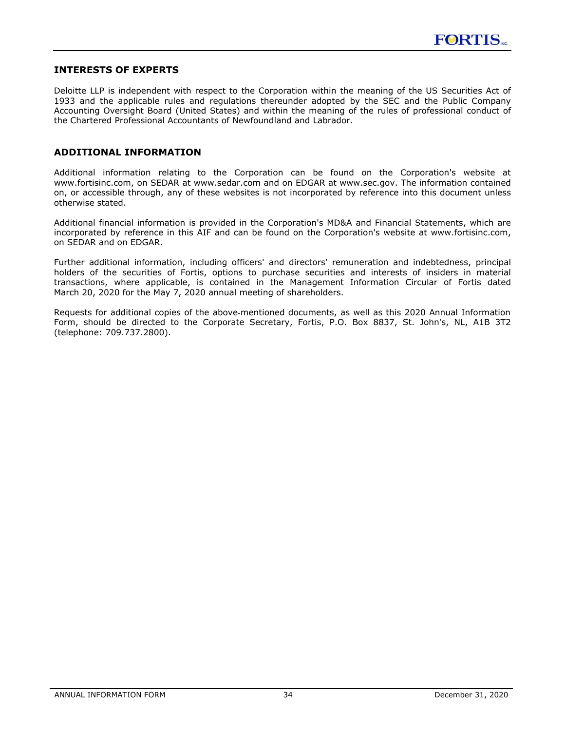### <span id="page-34-0"></span>**INTERESTS OF EXPERTS**

Deloitte LLP is independent with respect to the Corporation within the meaning of the US Securities Act of 1933 and the applicable rules and regulations thereunder adopted by the SEC and the Public Company Accounting Oversight Board (United States) and within the meaning of the rules of professional conduct of the Chartered Professional Accountants of Newfoundland and Labrador.

### **ADDITIONAL INFORMATION**

Additional information relating to the Corporation can be found on the Corporation's website at www.fortisinc.com, on SEDAR at www.sedar.com and on EDGAR at www.sec.gov. The information contained on, or accessible through, any of these websites is not incorporated by reference into this document unless otherwise stated.

Additional financial information is provided in the Corporation's MD&A and Financial Statements, which are incorporated by reference in this AIF and can be found on the Corporation's website at www.fortisinc.com, on SEDAR and on EDGAR.

Further additional information, including officers' and directors' remuneration and indebtedness, principal holders of the securities of Fortis, options to purchase securities and interests of insiders in material transactions, where applicable, is contained in the Management Information Circular of Fortis dated March 20, 2020 for the May 7, 2020 annual meeting of shareholders.

Requests for additional copies of the above-mentioned documents, as well as this 2020 Annual Information Form, should be directed to the Corporate Secretary, Fortis, P.O. Box 8837, St. John's, NL, A1B 3T2 (telephone: 709.737.2800).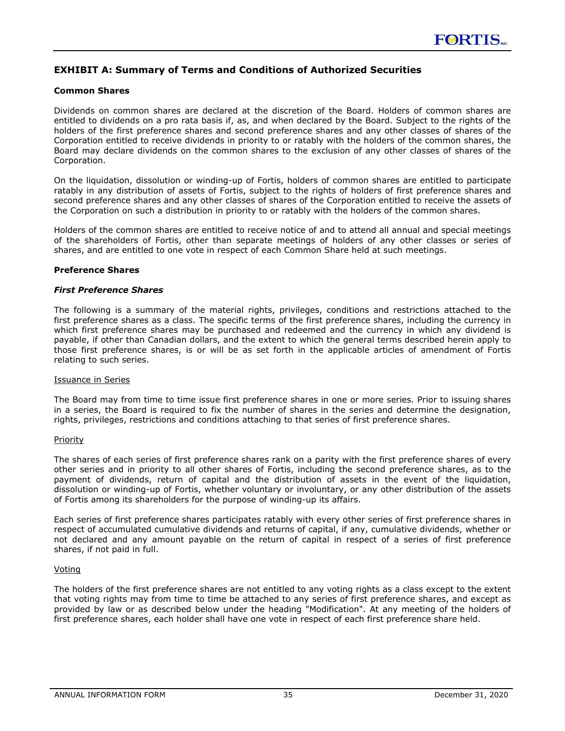# <span id="page-35-0"></span>**EXHIBIT A: Summary of Terms and Conditions of Authorized Securities**

### **Common Shares**

Dividends on common shares are declared at the discretion of the Board. Holders of common shares are entitled to dividends on a pro rata basis if, as, and when declared by the Board. Subject to the rights of the holders of the first preference shares and second preference shares and any other classes of shares of the Corporation entitled to receive dividends in priority to or ratably with the holders of the common shares, the Board may declare dividends on the common shares to the exclusion of any other classes of shares of the Corporation.

On the liquidation, dissolution or winding-up of Fortis, holders of common shares are entitled to participate ratably in any distribution of assets of Fortis, subject to the rights of holders of first preference shares and second preference shares and any other classes of shares of the Corporation entitled to receive the assets of the Corporation on such a distribution in priority to or ratably with the holders of the common shares.

Holders of the common shares are entitled to receive notice of and to attend all annual and special meetings of the shareholders of Fortis, other than separate meetings of holders of any other classes or series of shares, and are entitled to one vote in respect of each Common Share held at such meetings.

### **Preference Shares**

### *First Preference Shares*

The following is a summary of the material rights, privileges, conditions and restrictions attached to the first preference shares as a class. The specific terms of the first preference shares, including the currency in which first preference shares may be purchased and redeemed and the currency in which any dividend is payable, if other than Canadian dollars, and the extent to which the general terms described herein apply to those first preference shares, is or will be as set forth in the applicable articles of amendment of Fortis relating to such series.

#### Issuance in Series

The Board may from time to time issue first preference shares in one or more series. Prior to issuing shares in a series, the Board is required to fix the number of shares in the series and determine the designation, rights, privileges, restrictions and conditions attaching to that series of first preference shares.

#### **Priority**

The shares of each series of first preference shares rank on a parity with the first preference shares of every other series and in priority to all other shares of Fortis, including the second preference shares, as to the payment of dividends, return of capital and the distribution of assets in the event of the liquidation, dissolution or winding-up of Fortis, whether voluntary or involuntary, or any other distribution of the assets of Fortis among its shareholders for the purpose of winding-up its affairs.

Each series of first preference shares participates ratably with every other series of first preference shares in respect of accumulated cumulative dividends and returns of capital, if any, cumulative dividends, whether or not declared and any amount payable on the return of capital in respect of a series of first preference shares, if not paid in full.

### Voting

The holders of the first preference shares are not entitled to any voting rights as a class except to the extent that voting rights may from time to time be attached to any series of first preference shares, and except as provided by law or as described below under the heading "Modification". At any meeting of the holders of first preference shares, each holder shall have one vote in respect of each first preference share held.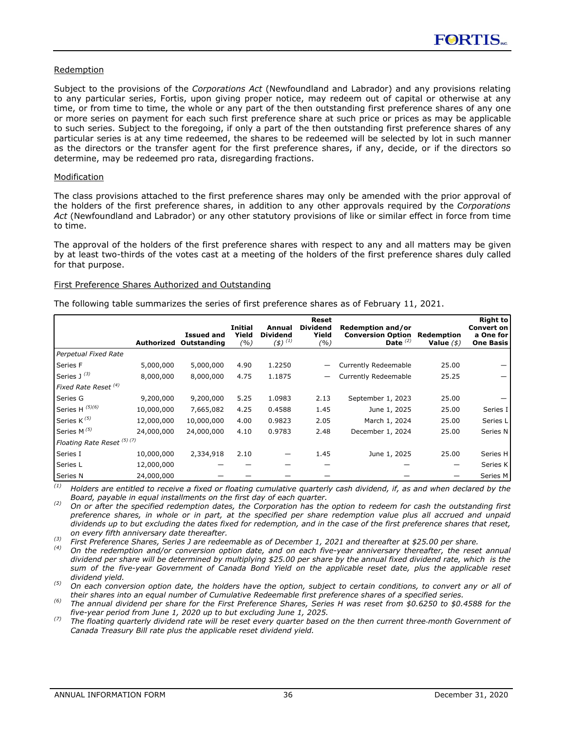#### Redemption

Subject to the provisions of the *Corporations Act* (Newfoundland and Labrador) and any provisions relating to any particular series, Fortis, upon giving proper notice, may redeem out of capital or otherwise at any time, or from time to time, the whole or any part of the then outstanding first preference shares of any one or more series on payment for each such first preference share at such price or prices as may be applicable to such series. Subject to the foregoing, if only a part of the then outstanding first preference shares of any particular series is at any time redeemed, the shares to be redeemed will be selected by lot in such manner as the directors or the transfer agent for the first preference shares, if any, decide, or if the directors so determine, may be redeemed pro rata, disregarding fractions.

#### Modification

The class provisions attached to the first preference shares may only be amended with the prior approval of the holders of the first preference shares, in addition to any other approvals required by the *Corporations Act* (Newfoundland and Labrador) or any other statutory provisions of like or similar effect in force from time to time.

The approval of the holders of the first preference shares with respect to any and all matters may be given by at least two-thirds of the votes cast at a meeting of the holders of the first preference shares duly called for that purpose.

#### First Preference Shares Authorized and Outstanding

The following table summarizes the series of first preference shares as of February 11, 2021.

|                                       | Authorized | <b>Issued and</b><br>Outstanding | Initial<br>Yield<br>(%) | Annual<br><b>Dividend</b><br>$(4)$ <sup>(1)</sup> | Reset<br><b>Dividend</b><br>Yield<br>(%) | Redemption and/or<br><b>Conversion Option</b><br>Date $(2)$ | Redemption<br>Value $($ \$) | <b>Right to</b><br>Convert on<br>a One for<br><b>One Basis</b> |
|---------------------------------------|------------|----------------------------------|-------------------------|---------------------------------------------------|------------------------------------------|-------------------------------------------------------------|-----------------------------|----------------------------------------------------------------|
| Perpetual Fixed Rate                  |            |                                  |                         |                                                   |                                          |                                                             |                             |                                                                |
| Series F                              | 5,000,000  | 5,000,000                        | 4.90                    | 1.2250                                            |                                          | <b>Currently Redeemable</b>                                 | 25.00                       |                                                                |
| Series J <sup>(3)</sup>               | 8,000,000  | 8,000,000                        | 4.75                    | 1.1875                                            | $\overline{\phantom{0}}$                 | <b>Currently Redeemable</b>                                 | 25.25                       |                                                                |
| Fixed Rate Reset <sup>(4)</sup>       |            |                                  |                         |                                                   |                                          |                                                             |                             |                                                                |
| Series G                              | 9,200,000  | 9,200,000                        | 5.25                    | 1.0983                                            | 2.13                                     | September 1, 2023                                           | 25.00                       |                                                                |
| Series H (5)(6)                       | 10,000,000 | 7,665,082                        | 4.25                    | 0.4588                                            | 1.45                                     | June 1, 2025                                                | 25.00                       | Series I                                                       |
| Series K <sup>(5)</sup>               | 12,000,000 | 10,000,000                       | 4.00                    | 0.9823                                            | 2.05                                     | March 1, 2024                                               | 25.00                       | Series L                                                       |
| Series M <sup>(5)</sup>               | 24,000,000 | 24,000,000                       | 4.10                    | 0.9783                                            | 2.48                                     | December 1, 2024                                            | 25.00                       | Series N                                                       |
| Floating Rate Reset <sup>(5)(7)</sup> |            |                                  |                         |                                                   |                                          |                                                             |                             |                                                                |
| Series I                              | 10,000,000 | 2,334,918                        | 2.10                    |                                                   | 1.45                                     | June 1, 2025                                                | 25.00                       | Series H                                                       |
| Series L                              | 12,000,000 |                                  |                         |                                                   |                                          |                                                             |                             | Series K                                                       |
| Series N                              | 24,000,000 |                                  |                         |                                                   |                                          |                                                             |                             | Series M                                                       |

*(1) Holders are entitled to receive a fixed or floating cumulative quarterly cash dividend, if, as and when declared by the Board, payable in equal installments on the first day of each quarter.*

*(2) On or after the specified redemption dates, the Corporation has the option to redeem for cash the outstanding first preference shares, in whole or in part, at the specified per share redemption value plus all accrued and unpaid dividends up to but excluding the dates fixed for redemption, and in the case of the first preference shares that reset, on every fifth anniversary date thereafter.*

*(3) First Preference Shares, Series J are redeemable as of December 1, 2021 and thereafter at \$25.00 per share.*

*(4) On the redemption and/or conversion option date, and on each five-year anniversary thereafter, the reset annual dividend per share will be determined by multiplying \$25.00 per share by the annual fixed dividend rate, which is the sum of the five-year Government of Canada Bond Yield on the applicable reset date, plus the applicable reset dividend yield.*

*(5) On each conversion option date, the holders have the option, subject to certain conditions, to convert any or all of their shares into an equal number of Cumulative Redeemable first preference shares of a specified series.* 

*(6) The annual dividend per share for the First Preference Shares, Series H was reset from \$0.6250 to \$0.4588 for the five-year period from June 1, 2020 up to but excluding June 1, 2025.*

The floating quarterly dividend rate will be reset every quarter based on the then current three-month Government of *Canada Treasury Bill rate plus the applicable reset dividend yield.*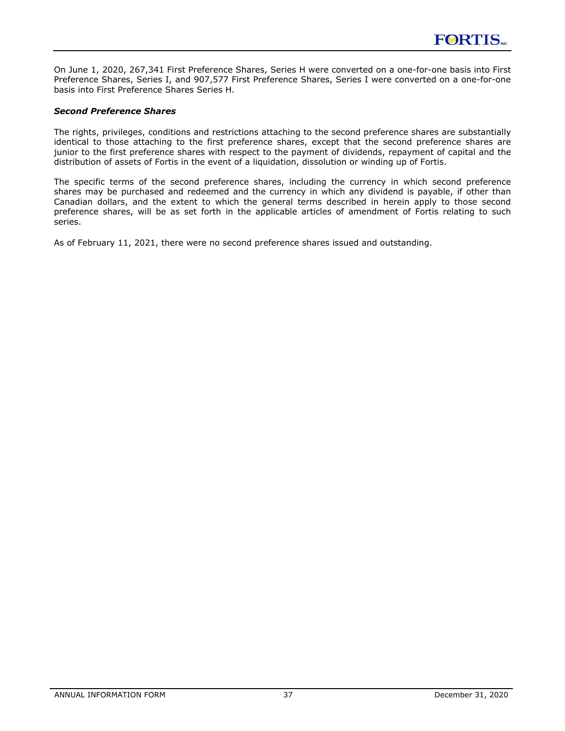On June 1, 2020, 267,341 First Preference Shares, Series H were converted on a one-for-one basis into First Preference Shares, Series I, and 907,577 First Preference Shares, Series I were converted on a one-for-one basis into First Preference Shares Series H.

### *Second Preference Shares*

The rights, privileges, conditions and restrictions attaching to the second preference shares are substantially identical to those attaching to the first preference shares, except that the second preference shares are junior to the first preference shares with respect to the payment of dividends, repayment of capital and the distribution of assets of Fortis in the event of a liquidation, dissolution or winding up of Fortis.

The specific terms of the second preference shares, including the currency in which second preference shares may be purchased and redeemed and the currency in which any dividend is payable, if other than Canadian dollars, and the extent to which the general terms described in herein apply to those second preference shares, will be as set forth in the applicable articles of amendment of Fortis relating to such series.

As of February 11, 2021, there were no second preference shares issued and outstanding.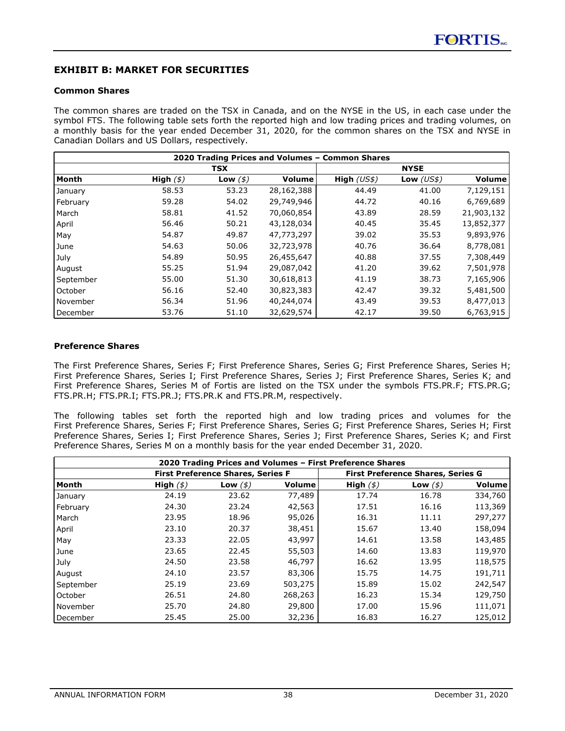# <span id="page-38-0"></span>**EXHIBIT B: MARKET FOR SECURITIES**

### **Common Shares**

The common shares are traded on the TSX in Canada, and on the NYSE in the US, in each case under the symbol FTS. The following table sets forth the reported high and low trading prices and trading volumes, on a monthly basis for the year ended December 31, 2020, for the common shares on the TSX and NYSE in Canadian Dollars and US Dollars, respectively.

| 2020 Trading Prices and Volumes - Common Shares |              |                |            |              |             |            |  |
|-------------------------------------------------|--------------|----------------|------------|--------------|-------------|------------|--|
|                                                 | <b>TSX</b>   |                |            |              | <b>NYSE</b> |            |  |
| Month                                           | High $($ \$) | Low $($ \$ $)$ | Volume     | High $(US$)$ | Low $(US$)$ | Volume     |  |
| January                                         | 58.53        | 53.23          | 28,162,388 | 44.49        | 41.00       | 7,129,151  |  |
| February                                        | 59.28        | 54.02          | 29,749,946 | 44.72        | 40.16       | 6,769,689  |  |
| March                                           | 58.81        | 41.52          | 70,060,854 | 43.89        | 28.59       | 21,903,132 |  |
| April                                           | 56.46        | 50.21          | 43,128,034 | 40.45        | 35.45       | 13,852,377 |  |
| May                                             | 54.87        | 49.87          | 47,773,297 | 39.02        | 35.53       | 9,893,976  |  |
| June                                            | 54.63        | 50.06          | 32,723,978 | 40.76        | 36.64       | 8,778,081  |  |
| July                                            | 54.89        | 50.95          | 26,455,647 | 40.88        | 37.55       | 7,308,449  |  |
| August                                          | 55.25        | 51.94          | 29,087,042 | 41.20        | 39.62       | 7,501,978  |  |
| September                                       | 55.00        | 51.30          | 30,618,813 | 41.19        | 38.73       | 7,165,906  |  |
| October                                         | 56.16        | 52.40          | 30,823,383 | 42.47        | 39.32       | 5,481,500  |  |
| l November                                      | 56.34        | 51.96          | 40,244,074 | 43.49        | 39.53       | 8,477,013  |  |
| l December                                      | 53.76        | 51.10          | 32,629,574 | 42.17        | 39.50       | 6,763,915  |  |

### **Preference Shares**

The First Preference Shares, Series F; First Preference Shares, Series G; First Preference Shares, Series H; First Preference Shares, Series I; First Preference Shares, Series J; First Preference Shares, Series K; and First Preference Shares, Series M of Fortis are listed on the TSX under the symbols FTS.PR.F; FTS.PR.G; FTS.PR.H; FTS.PR.I; FTS.PR.J; FTS.PR.K and FTS.PR.M, respectively.

The following tables set forth the reported high and low trading prices and volumes for the First Preference Shares, Series F; First Preference Shares, Series G; First Preference Shares, Series H; First Preference Shares, Series I; First Preference Shares, Series J; First Preference Shares, Series K; and First Preference Shares, Series M on a monthly basis for the year ended December 31, 2020.

| 2020 Trading Prices and Volumes - First Preference Shares |              |                |         |                |                                          |         |
|-----------------------------------------------------------|--------------|----------------|---------|----------------|------------------------------------------|---------|
| <b>First Preference Shares, Series F</b>                  |              |                |         |                | <b>First Preference Shares, Series G</b> |         |
| Month                                                     | High $($ \$) | Low $($ \$ $)$ | Volume  | High $($ math) | Low $($ \$ $)$                           | Volume  |
| January                                                   | 24.19        | 23.62          | 77,489  | 17.74          | 16.78                                    | 334,760 |
| February                                                  | 24.30        | 23.24          | 42,563  | 17.51          | 16.16                                    | 113,369 |
| March                                                     | 23.95        | 18.96          | 95,026  | 16.31          | 11.11                                    | 297,277 |
| April                                                     | 23.10        | 20.37          | 38,451  | 15.67          | 13.40                                    | 158,094 |
| May                                                       | 23.33        | 22.05          | 43,997  | 14.61          | 13.58                                    | 143,485 |
| June                                                      | 23.65        | 22.45          | 55,503  | 14.60          | 13.83                                    | 119,970 |
| l July                                                    | 24.50        | 23.58          | 46,797  | 16.62          | 13.95                                    | 118,575 |
| August                                                    | 24.10        | 23.57          | 83,306  | 15.75          | 14.75                                    | 191,711 |
| September                                                 | 25.19        | 23.69          | 503,275 | 15.89          | 15.02                                    | 242,547 |
| October                                                   | 26.51        | 24.80          | 268,263 | 16.23          | 15.34                                    | 129,750 |
| November                                                  | 25.70        | 24.80          | 29,800  | 17.00          | 15.96                                    | 111,071 |
| l December                                                | 25.45        | 25.00          | 32,236  | 16.83          | 16.27                                    | 125,012 |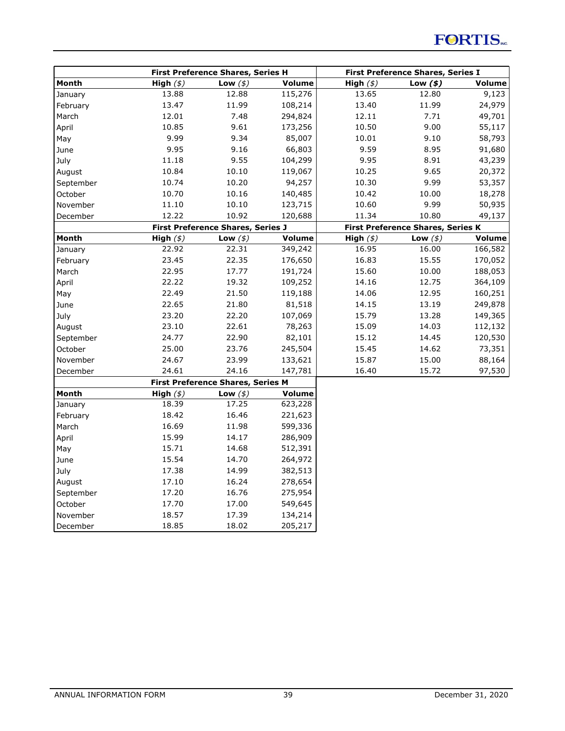|           | First Preference Shares, Series H |                                          |               | <b>First Preference Shares, Series I</b> |                                          |         |
|-----------|-----------------------------------|------------------------------------------|---------------|------------------------------------------|------------------------------------------|---------|
| Month     | High $($ math)                    | Low $($ math)                            | Volume        | High $($ math)                           | Low $($ \$ $)$                           | Volume  |
| January   | 13.88                             | 12.88                                    | 115,276       | 13.65                                    | 12.80                                    | 9,123   |
| February  | 13.47                             | 11.99                                    | 108,214       | 13.40                                    | 11.99                                    | 24,979  |
| March     | 12.01                             | 7.48                                     | 294,824       | 12.11                                    | 7.71                                     | 49,701  |
| April     | 10.85                             | 9.61                                     | 173,256       | 10.50                                    | 9.00                                     | 55,117  |
| May       | 9.99                              | 9.34                                     | 85,007        | 10.01                                    | 9.10                                     | 58,793  |
| June      | 9.95                              | 9.16                                     | 66,803        | 9.59                                     | 8.95                                     | 91,680  |
| July      | 11.18                             | 9.55                                     | 104,299       | 9.95                                     | 8.91                                     | 43,239  |
| August    | 10.84                             | 10.10                                    | 119,067       | 10.25                                    | 9.65                                     | 20,372  |
| September | 10.74                             | 10.20                                    | 94,257        | 10.30                                    | 9.99                                     | 53,357  |
| October   | 10.70                             | 10.16                                    | 140,485       | 10.42                                    | 10.00                                    | 18,278  |
| November  | 11.10                             | 10.10                                    | 123,715       | 10.60                                    | 9.99                                     | 50,935  |
| December  | 12.22                             | 10.92                                    | 120,688       | 11.34                                    | 10.80                                    | 49,137  |
|           |                                   | <b>First Preference Shares, Series J</b> |               |                                          | <b>First Preference Shares, Series K</b> |         |
| Month     | High $($ math)                    | Low $($ math)                            | <b>Volume</b> | High $($ math)                           | Low $($ \$ $)$                           | Volume  |
| January   | 22.92                             | 22.31                                    | 349,242       | 16.95                                    | 16.00                                    | 166,582 |
| February  | 23.45                             | 22.35                                    | 176,650       | 16.83                                    | 15.55                                    | 170,052 |
| March     | 22.95                             | 17.77                                    | 191,724       | 15.60                                    | 10.00                                    | 188,053 |
| April     | 22.22                             | 19.32                                    | 109,252       | 14.16                                    | 12.75                                    | 364,109 |
| May       | 22.49                             | 21.50                                    | 119,188       | 14.06                                    | 12.95                                    | 160,251 |
| June      | 22.65                             | 21.80                                    | 81,518        | 14.15                                    | 13.19                                    | 249,878 |
| July      | 23.20                             | 22.20                                    | 107,069       | 15.79                                    | 13.28                                    | 149,365 |
| August    | 23.10                             | 22.61                                    | 78,263        | 15.09                                    | 14.03                                    | 112,132 |
| September | 24.77                             | 22.90                                    | 82,101        | 15.12                                    | 14.45                                    | 120,530 |
| October   | 25.00                             | 23.76                                    | 245,504       | 15.45                                    | 14.62                                    | 73,351  |
| November  | 24.67                             | 23.99                                    | 133,621       | 15.87                                    | 15.00                                    | 88,164  |
| December  | 24.61                             | 24.16                                    | 147,781       | 16.40                                    | 15.72                                    | 97,530  |
|           |                                   | First Preference Shares, Series M        |               |                                          |                                          |         |
| Month     | High $($ math)                    | Low $($ math)                            | Volume        |                                          |                                          |         |
| January   | 18.39                             | 17.25                                    | 623,228       |                                          |                                          |         |
| February  | 18.42                             | 16.46                                    | 221,623       |                                          |                                          |         |
| March     | 16.69                             | 11.98                                    | 599,336       |                                          |                                          |         |
| April     | 15.99                             | 14.17                                    | 286,909       |                                          |                                          |         |
| May       | 15.71                             | 14.68                                    | 512,391       |                                          |                                          |         |
| June      | 15.54                             | 14.70                                    | 264,972       |                                          |                                          |         |
| July      | 17.38                             | 14.99                                    | 382,513       |                                          |                                          |         |
| August    | 17.10                             | 16.24                                    | 278,654       |                                          |                                          |         |
| September | 17.20                             | 16.76                                    | 275,954       |                                          |                                          |         |
| October   | 17.70                             | 17.00                                    | 549,645       |                                          |                                          |         |
| November  | 18.57                             | 17.39                                    | 134,214       |                                          |                                          |         |
| December  | 18.85                             | 18.02                                    | 205,217       |                                          |                                          |         |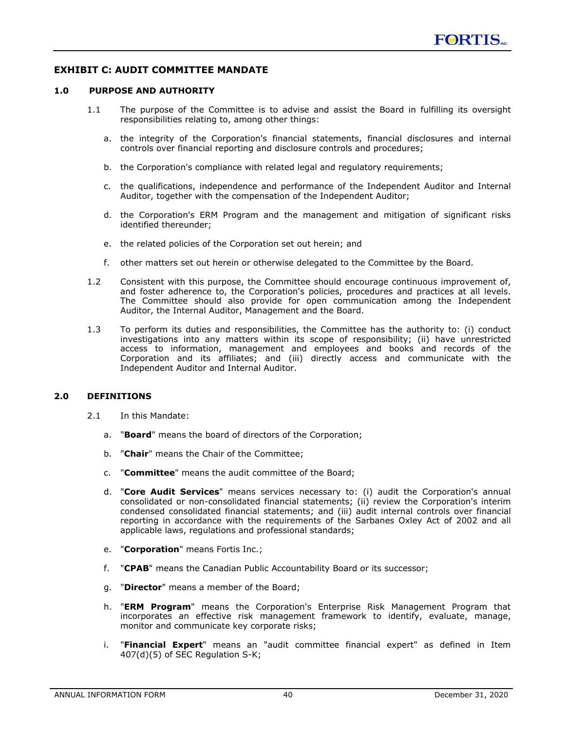### <span id="page-40-0"></span>**EXHIBIT C: AUDIT COMMITTEE MANDATE**

### **1.0 PURPOSE AND AUTHORITY**

- 1.1 The purpose of the Committee is to advise and assist the Board in fulfilling its oversight responsibilities relating to, among other things:
	- a. the integrity of the Corporation's financial statements, financial disclosures and internal controls over financial reporting and disclosure controls and procedures;
	- b. the Corporation's compliance with related legal and regulatory requirements;
	- c. the qualifications, independence and performance of the Independent Auditor and Internal Auditor, together with the compensation of the Independent Auditor;
	- d. the Corporation's ERM Program and the management and mitigation of significant risks identified thereunder;
	- e. the related policies of the Corporation set out herein; and
	- f. other matters set out herein or otherwise delegated to the Committee by the Board.
- 1.2 Consistent with this purpose, the Committee should encourage continuous improvement of, and foster adherence to, the Corporation's policies, procedures and practices at all levels. The Committee should also provide for open communication among the Independent Auditor, the Internal Auditor, Management and the Board.
- 1.3 To perform its duties and responsibilities, the Committee has the authority to: (i) conduct investigations into any matters within its scope of responsibility; (ii) have unrestricted access to information, management and employees and books and records of the Corporation and its affiliates; and (iii) directly access and communicate with the Independent Auditor and Internal Auditor.

### **2.0 DEFINITIONS**

- 2.1 In this Mandate:
	- a. "**Board**" means the board of directors of the Corporation;
	- b. "**Chair**" means the Chair of the Committee;
	- c. "**Committee**" means the audit committee of the Board;
	- d. "**Core Audit Services**" means services necessary to: (i) audit the Corporation's annual consolidated or non-consolidated financial statements; (ii) review the Corporation's interim condensed consolidated financial statements; and (iii) audit internal controls over financial reporting in accordance with the requirements of the Sarbanes Oxley Act of 2002 and all applicable laws, regulations and professional standards;
	- e. "**Corporation**" means Fortis Inc.;
	- f. "**CPAB**" means the Canadian Public Accountability Board or its successor;
	- g. "**Director**" means a member of the Board;
	- h. "**ERM Program**" means the Corporation's Enterprise Risk Management Program that incorporates an effective risk management framework to identify, evaluate, manage, monitor and communicate key corporate risks;
	- i. "**Financial Expert**" means an "audit committee financial expert" as defined in Item 407(d)(5) of SEC Regulation S-K;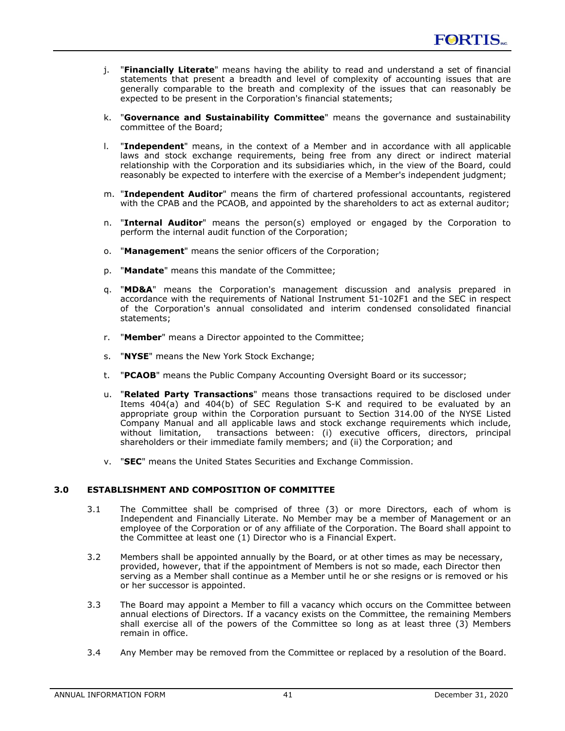- j. "**Financially Literate**" means having the ability to read and understand a set of financial statements that present a breadth and level of complexity of accounting issues that are generally comparable to the breath and complexity of the issues that can reasonably be expected to be present in the Corporation's financial statements;
- k. "**Governance and Sustainability Committee**" means the governance and sustainability committee of the Board;
- l. "**Independent**" means, in the context of a Member and in accordance with all applicable laws and stock exchange requirements, being free from any direct or indirect material relationship with the Corporation and its subsidiaries which, in the view of the Board, could reasonably be expected to interfere with the exercise of a Member's independent judgment;
- m. "**Independent Auditor**" means the firm of chartered professional accountants, registered with the CPAB and the PCAOB, and appointed by the shareholders to act as external auditor;
- n. "**Internal Auditor**" means the person(s) employed or engaged by the Corporation to perform the internal audit function of the Corporation;
- o. "**Management**" means the senior officers of the Corporation;
- p. "**Mandate**" means this mandate of the Committee;
- q. "**MD&A**" means the Corporation's management discussion and analysis prepared in accordance with the requirements of National Instrument 51-102F1 and the SEC in respect of the Corporation's annual consolidated and interim condensed consolidated financial statements;
- r. "**Member**" means a Director appointed to the Committee;
- s. "**NYSE**" means the New York Stock Exchange;
- t. "**PCAOB**" means the Public Company Accounting Oversight Board or its successor;
- u. "**Related Party Transactions**" means those transactions required to be disclosed under Items 404(a) and 404(b) of SEC Regulation S-K and required to be evaluated by an appropriate group within the Corporation pursuant to Section 314.00 of the NYSE Listed Company Manual and all applicable laws and stock exchange requirements which include, without limitation, transactions between: (i) executive officers, directors, principal shareholders or their immediate family members; and (ii) the Corporation; and
- v. "**SEC**" means the United States Securities and Exchange Commission.

### **3.0 ESTABLISHMENT AND COMPOSITION OF COMMITTEE**

- 3.1 The Committee shall be comprised of three (3) or more Directors, each of whom is Independent and Financially Literate. No Member may be a member of Management or an employee of the Corporation or of any affiliate of the Corporation. The Board shall appoint to the Committee at least one (1) Director who is a Financial Expert.
- 3.2 Members shall be appointed annually by the Board, or at other times as may be necessary, provided, however, that if the appointment of Members is not so made, each Director then serving as a Member shall continue as a Member until he or she resigns or is removed or his or her successor is appointed.
- 3.3 The Board may appoint a Member to fill a vacancy which occurs on the Committee between annual elections of Directors. If a vacancy exists on the Committee, the remaining Members shall exercise all of the powers of the Committee so long as at least three (3) Members remain in office.
- 3.4 Any Member may be removed from the Committee or replaced by a resolution of the Board.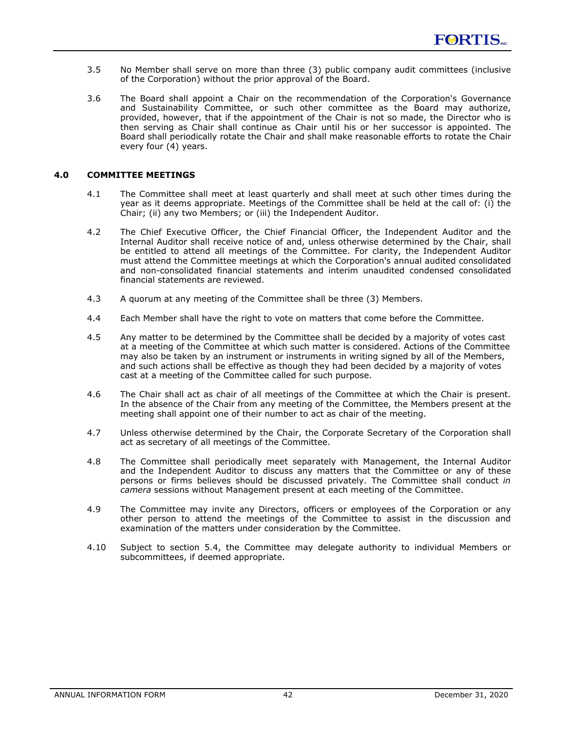- 3.5 No Member shall serve on more than three (3) public company audit committees (inclusive of the Corporation) without the prior approval of the Board.
- 3.6 The Board shall appoint a Chair on the recommendation of the Corporation's Governance and Sustainability Committee, or such other committee as the Board may authorize, provided, however, that if the appointment of the Chair is not so made, the Director who is then serving as Chair shall continue as Chair until his or her successor is appointed. The Board shall periodically rotate the Chair and shall make reasonable efforts to rotate the Chair every four (4) years.

### **4.0 COMMITTEE MEETINGS**

- 4.1 The Committee shall meet at least quarterly and shall meet at such other times during the year as it deems appropriate. Meetings of the Committee shall be held at the call of: (i) the Chair; (ii) any two Members; or (iii) the Independent Auditor.
- 4.2 The Chief Executive Officer, the Chief Financial Officer, the Independent Auditor and the Internal Auditor shall receive notice of and, unless otherwise determined by the Chair, shall be entitled to attend all meetings of the Committee. For clarity, the Independent Auditor must attend the Committee meetings at which the Corporation's annual audited consolidated and non-consolidated financial statements and interim unaudited condensed consolidated financial statements are reviewed.
- 4.3 A quorum at any meeting of the Committee shall be three (3) Members.
- 4.4 Each Member shall have the right to vote on matters that come before the Committee.
- 4.5 Any matter to be determined by the Committee shall be decided by a majority of votes cast at a meeting of the Committee at which such matter is considered. Actions of the Committee may also be taken by an instrument or instruments in writing signed by all of the Members, and such actions shall be effective as though they had been decided by a majority of votes cast at a meeting of the Committee called for such purpose.
- 4.6 The Chair shall act as chair of all meetings of the Committee at which the Chair is present. In the absence of the Chair from any meeting of the Committee, the Members present at the meeting shall appoint one of their number to act as chair of the meeting.
- 4.7 Unless otherwise determined by the Chair, the Corporate Secretary of the Corporation shall act as secretary of all meetings of the Committee.
- 4.8 The Committee shall periodically meet separately with Management, the Internal Auditor and the Independent Auditor to discuss any matters that the Committee or any of these persons or firms believes should be discussed privately. The Committee shall conduct *in camera* sessions without Management present at each meeting of the Committee.
- 4.9 The Committee may invite any Directors, officers or employees of the Corporation or any other person to attend the meetings of the Committee to assist in the discussion and examination of the matters under consideration by the Committee.
- 4.10 Subject to section 5.4, the Committee may delegate authority to individual Members or subcommittees, if deemed appropriate.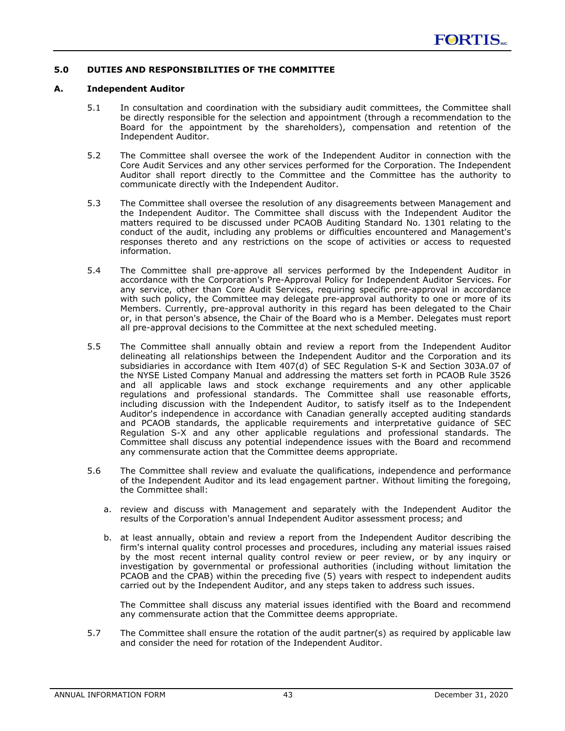### **5.0 DUTIES AND RESPONSIBILITIES OF THE COMMITTEE**

### **A. Independent Auditor**

- 5.1 In consultation and coordination with the subsidiary audit committees, the Committee shall be directly responsible for the selection and appointment (through a recommendation to the Board for the appointment by the shareholders), compensation and retention of the Independent Auditor.
- 5.2 The Committee shall oversee the work of the Independent Auditor in connection with the Core Audit Services and any other services performed for the Corporation. The Independent Auditor shall report directly to the Committee and the Committee has the authority to communicate directly with the Independent Auditor.
- 5.3 The Committee shall oversee the resolution of any disagreements between Management and the Independent Auditor. The Committee shall discuss with the Independent Auditor the matters required to be discussed under PCAOB Auditing Standard No. 1301 relating to the conduct of the audit, including any problems or difficulties encountered and Management's responses thereto and any restrictions on the scope of activities or access to requested information.
- 5.4 The Committee shall pre-approve all services performed by the Independent Auditor in accordance with the Corporation's Pre-Approval Policy for Independent Auditor Services. For any service, other than Core Audit Services, requiring specific pre-approval in accordance with such policy, the Committee may delegate pre-approval authority to one or more of its Members. Currently, pre-approval authority in this regard has been delegated to the Chair or, in that person's absence, the Chair of the Board who is a Member. Delegates must report all pre-approval decisions to the Committee at the next scheduled meeting.
- 5.5 The Committee shall annually obtain and review a report from the Independent Auditor delineating all relationships between the Independent Auditor and the Corporation and its subsidiaries in accordance with Item 407(d) of SEC Regulation S-K and Section 303A.07 of the NYSE Listed Company Manual and addressing the matters set forth in PCAOB Rule 3526 and all applicable laws and stock exchange requirements and any other applicable regulations and professional standards. The Committee shall use reasonable efforts, including discussion with the Independent Auditor, to satisfy itself as to the Independent Auditor's independence in accordance with Canadian generally accepted auditing standards and PCAOB standards, the applicable requirements and interpretative guidance of SEC Regulation S-X and any other applicable regulations and professional standards. The Committee shall discuss any potential independence issues with the Board and recommend any commensurate action that the Committee deems appropriate.
- 5.6 The Committee shall review and evaluate the qualifications, independence and performance of the Independent Auditor and its lead engagement partner. Without limiting the foregoing, the Committee shall:
	- a. review and discuss with Management and separately with the Independent Auditor the results of the Corporation's annual Independent Auditor assessment process; and
	- b. at least annually, obtain and review a report from the Independent Auditor describing the firm's internal quality control processes and procedures, including any material issues raised by the most recent internal quality control review or peer review, or by any inquiry or investigation by governmental or professional authorities (including without limitation the PCAOB and the CPAB) within the preceding five (5) years with respect to independent audits carried out by the Independent Auditor, and any steps taken to address such issues.

The Committee shall discuss any material issues identified with the Board and recommend any commensurate action that the Committee deems appropriate.

5.7 The Committee shall ensure the rotation of the audit partner(s) as required by applicable law and consider the need for rotation of the Independent Auditor.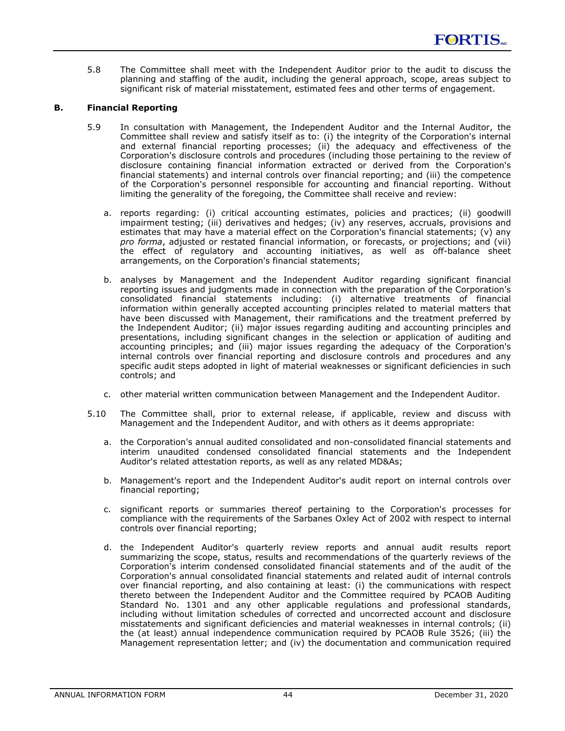5.8 The Committee shall meet with the Independent Auditor prior to the audit to discuss the planning and staffing of the audit, including the general approach, scope, areas subject to significant risk of material misstatement, estimated fees and other terms of engagement.

### **B. Financial Reporting**

- 5.9 In consultation with Management, the Independent Auditor and the Internal Auditor, the Committee shall review and satisfy itself as to: (i) the integrity of the Corporation's internal and external financial reporting processes; (ii) the adequacy and effectiveness of the Corporation's disclosure controls and procedures (including those pertaining to the review of disclosure containing financial information extracted or derived from the Corporation's financial statements) and internal controls over financial reporting; and (iii) the competence of the Corporation's personnel responsible for accounting and financial reporting. Without limiting the generality of the foregoing, the Committee shall receive and review:
	- a. reports regarding: (i) critical accounting estimates, policies and practices; (ii) goodwill impairment testing; (iii) derivatives and hedges; (iv) any reserves, accruals, provisions and estimates that may have a material effect on the Corporation's financial statements; (v) any *pro forma*, adjusted or restated financial information, or forecasts, or projections; and (vii) the effect of regulatory and accounting initiatives, as well as off-balance sheet arrangements, on the Corporation's financial statements;
	- b. analyses by Management and the Independent Auditor regarding significant financial reporting issues and judgments made in connection with the preparation of the Corporation's consolidated financial statements including: (i) alternative treatments of financial information within generally accepted accounting principles related to material matters that have been discussed with Management, their ramifications and the treatment preferred by the Independent Auditor; (ii) major issues regarding auditing and accounting principles and presentations, including significant changes in the selection or application of auditing and accounting principles; and (iii) major issues regarding the adequacy of the Corporation's internal controls over financial reporting and disclosure controls and procedures and any specific audit steps adopted in light of material weaknesses or significant deficiencies in such controls; and
	- c. other material written communication between Management and the Independent Auditor.
- 5.10 The Committee shall, prior to external release, if applicable, review and discuss with Management and the Independent Auditor, and with others as it deems appropriate:
	- a. the Corporation's annual audited consolidated and non-consolidated financial statements and interim unaudited condensed consolidated financial statements and the Independent Auditor's related attestation reports, as well as any related MD&As;
	- b. Management's report and the Independent Auditor's audit report on internal controls over financial reporting;
	- c. significant reports or summaries thereof pertaining to the Corporation's processes for compliance with the requirements of the Sarbanes Oxley Act of 2002 with respect to internal controls over financial reporting;
	- d. the Independent Auditor's quarterly review reports and annual audit results report summarizing the scope, status, results and recommendations of the quarterly reviews of the Corporation's interim condensed consolidated financial statements and of the audit of the Corporation's annual consolidated financial statements and related audit of internal controls over financial reporting, and also containing at least: (i) the communications with respect thereto between the Independent Auditor and the Committee required by PCAOB Auditing Standard No. 1301 and any other applicable regulations and professional standards, including without limitation schedules of corrected and uncorrected account and disclosure misstatements and significant deficiencies and material weaknesses in internal controls; (ii) the (at least) annual independence communication required by PCAOB Rule 3526; (iii) the Management representation letter; and (iv) the documentation and communication required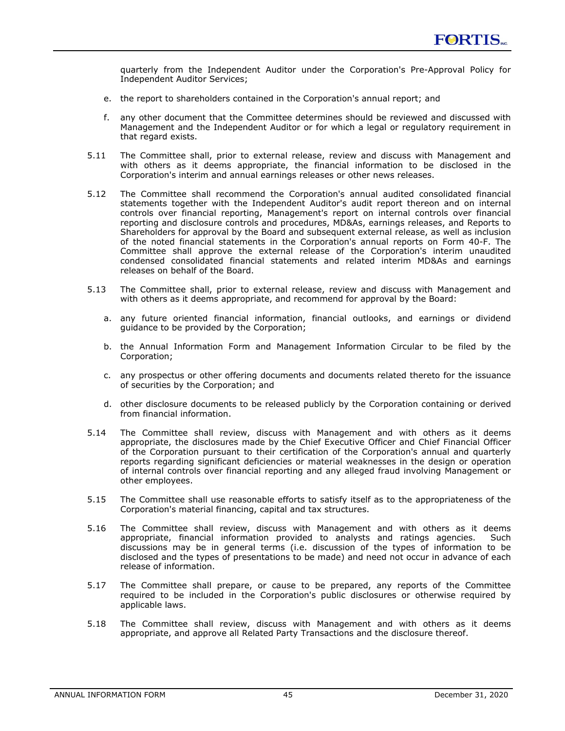quarterly from the Independent Auditor under the Corporation's Pre-Approval Policy for Independent Auditor Services;

- e. the report to shareholders contained in the Corporation's annual report; and
- f. any other document that the Committee determines should be reviewed and discussed with Management and the Independent Auditor or for which a legal or regulatory requirement in that regard exists.
- 5.11 The Committee shall, prior to external release, review and discuss with Management and with others as it deems appropriate, the financial information to be disclosed in the Corporation's interim and annual earnings releases or other news releases.
- 5.12 The Committee shall recommend the Corporation's annual audited consolidated financial statements together with the Independent Auditor's audit report thereon and on internal controls over financial reporting, Management's report on internal controls over financial reporting and disclosure controls and procedures, MD&As, earnings releases, and Reports to Shareholders for approval by the Board and subsequent external release, as well as inclusion of the noted financial statements in the Corporation's annual reports on Form 40-F. The Committee shall approve the external release of the Corporation's interim unaudited condensed consolidated financial statements and related interim MD&As and earnings releases on behalf of the Board.
- 5.13 The Committee shall, prior to external release, review and discuss with Management and with others as it deems appropriate, and recommend for approval by the Board:
	- a. any future oriented financial information, financial outlooks, and earnings or dividend guidance to be provided by the Corporation;
	- b. the Annual Information Form and Management Information Circular to be filed by the Corporation;
	- c. any prospectus or other offering documents and documents related thereto for the issuance of securities by the Corporation; and
	- d. other disclosure documents to be released publicly by the Corporation containing or derived from financial information.
- 5.14 The Committee shall review, discuss with Management and with others as it deems appropriate, the disclosures made by the Chief Executive Officer and Chief Financial Officer of the Corporation pursuant to their certification of the Corporation's annual and quarterly reports regarding significant deficiencies or material weaknesses in the design or operation of internal controls over financial reporting and any alleged fraud involving Management or other employees.
- 5.15 The Committee shall use reasonable efforts to satisfy itself as to the appropriateness of the Corporation's material financing, capital and tax structures.
- 5.16 The Committee shall review, discuss with Management and with others as it deems appropriate, financial information provided to analysts and ratings agencies. Such discussions may be in general terms (i.e. discussion of the types of information to be disclosed and the types of presentations to be made) and need not occur in advance of each release of information.
- 5.17 The Committee shall prepare, or cause to be prepared, any reports of the Committee required to be included in the Corporation's public disclosures or otherwise required by applicable laws.
- 5.18 The Committee shall review, discuss with Management and with others as it deems appropriate, and approve all Related Party Transactions and the disclosure thereof.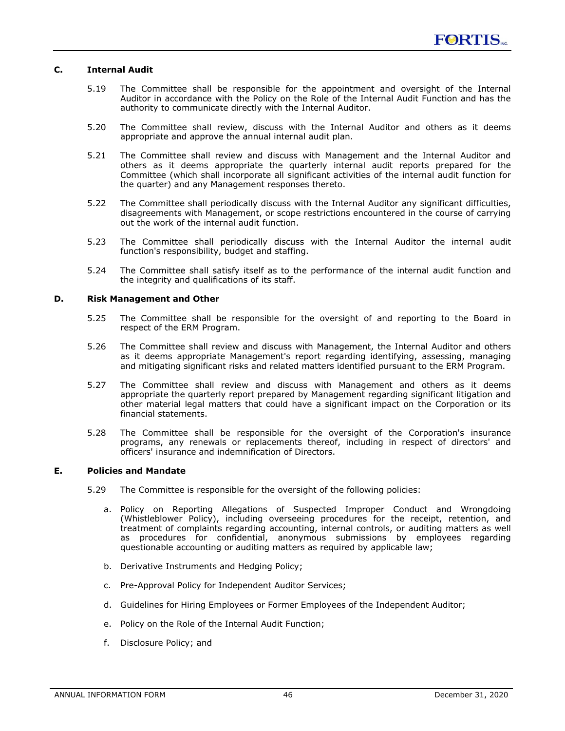### **C. Internal Audit**

- 5.19 The Committee shall be responsible for the appointment and oversight of the Internal Auditor in accordance with the Policy on the Role of the Internal Audit Function and has the authority to communicate directly with the Internal Auditor.
- 5.20 The Committee shall review, discuss with the Internal Auditor and others as it deems appropriate and approve the annual internal audit plan.
- 5.21 The Committee shall review and discuss with Management and the Internal Auditor and others as it deems appropriate the quarterly internal audit reports prepared for the Committee (which shall incorporate all significant activities of the internal audit function for the quarter) and any Management responses thereto.
- 5.22 The Committee shall periodically discuss with the Internal Auditor any significant difficulties, disagreements with Management, or scope restrictions encountered in the course of carrying out the work of the internal audit function.
- 5.23 The Committee shall periodically discuss with the Internal Auditor the internal audit function's responsibility, budget and staffing.
- 5.24 The Committee shall satisfy itself as to the performance of the internal audit function and the integrity and qualifications of its staff.

#### **D. Risk Management and Other**

- 5.25 The Committee shall be responsible for the oversight of and reporting to the Board in respect of the ERM Program.
- 5.26 The Committee shall review and discuss with Management, the Internal Auditor and others as it deems appropriate Management's report regarding identifying, assessing, managing and mitigating significant risks and related matters identified pursuant to the ERM Program.
- 5.27 The Committee shall review and discuss with Management and others as it deems appropriate the quarterly report prepared by Management regarding significant litigation and other material legal matters that could have a significant impact on the Corporation or its financial statements.
- 5.28 The Committee shall be responsible for the oversight of the Corporation's insurance programs, any renewals or replacements thereof, including in respect of directors' and officers' insurance and indemnification of Directors.

### **E. Policies and Mandate**

- 5.29 The Committee is responsible for the oversight of the following policies:
	- a. Policy on Reporting Allegations of Suspected Improper Conduct and Wrongdoing (Whistleblower Policy), including overseeing procedures for the receipt, retention, and treatment of complaints regarding accounting, internal controls, or auditing matters as well as procedures for confidential, anonymous submissions by employees regarding questionable accounting or auditing matters as required by applicable law;
	- b. Derivative Instruments and Hedging Policy;
	- c. Pre-Approval Policy for Independent Auditor Services;
	- d. Guidelines for Hiring Employees or Former Employees of the Independent Auditor;
	- e. Policy on the Role of the Internal Audit Function;
	- f. Disclosure Policy; and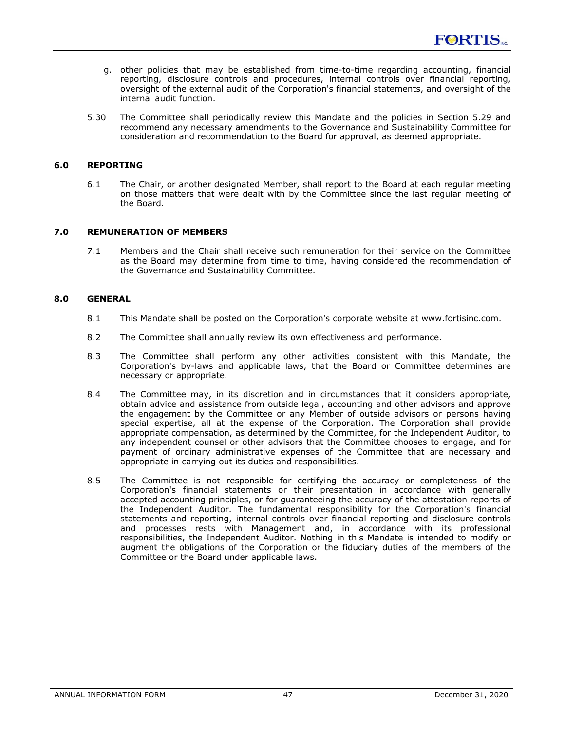- g. other policies that may be established from time-to-time regarding accounting, financial reporting, disclosure controls and procedures, internal controls over financial reporting, oversight of the external audit of the Corporation's financial statements, and oversight of the internal audit function.
- 5.30 The Committee shall periodically review this Mandate and the policies in Section 5.29 and recommend any necessary amendments to the Governance and Sustainability Committee for consideration and recommendation to the Board for approval, as deemed appropriate.

### **6.0 REPORTING**

6.1 The Chair, or another designated Member, shall report to the Board at each regular meeting on those matters that were dealt with by the Committee since the last regular meeting of the Board.

### **7.0 REMUNERATION OF MEMBERS**

7.1 Members and the Chair shall receive such remuneration for their service on the Committee as the Board may determine from time to time, having considered the recommendation of the Governance and Sustainability Committee.

### **8.0 GENERAL**

- 8.1 This Mandate shall be posted on the Corporation's corporate website at www.fortisinc.com.
- 8.2 The Committee shall annually review its own effectiveness and performance.
- 8.3 The Committee shall perform any other activities consistent with this Mandate, the Corporation's by-laws and applicable laws, that the Board or Committee determines are necessary or appropriate.
- 8.4 The Committee may, in its discretion and in circumstances that it considers appropriate, obtain advice and assistance from outside legal, accounting and other advisors and approve the engagement by the Committee or any Member of outside advisors or persons having special expertise, all at the expense of the Corporation. The Corporation shall provide appropriate compensation, as determined by the Committee, for the Independent Auditor, to any independent counsel or other advisors that the Committee chooses to engage, and for payment of ordinary administrative expenses of the Committee that are necessary and appropriate in carrying out its duties and responsibilities.
- 8.5 The Committee is not responsible for certifying the accuracy or completeness of the Corporation's financial statements or their presentation in accordance with generally accepted accounting principles, or for guaranteeing the accuracy of the attestation reports of the Independent Auditor. The fundamental responsibility for the Corporation's financial statements and reporting, internal controls over financial reporting and disclosure controls and processes rests with Management and, in accordance with its professional responsibilities, the Independent Auditor. Nothing in this Mandate is intended to modify or augment the obligations of the Corporation or the fiduciary duties of the members of the Committee or the Board under applicable laws.